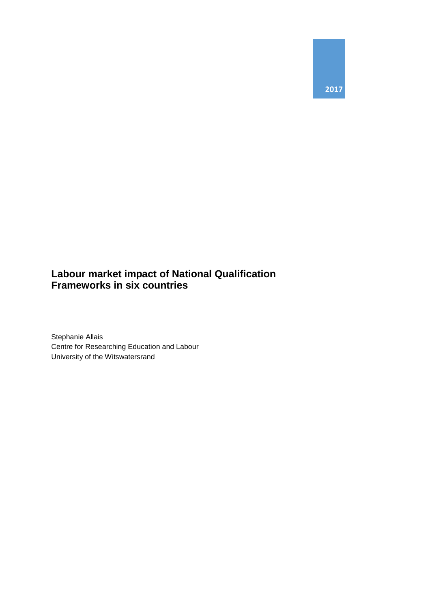

## **Labour market impact of National Qualification Frameworks in six countries**

Stephanie Allais Centre for Researching Education and Labour University of the Witswatersrand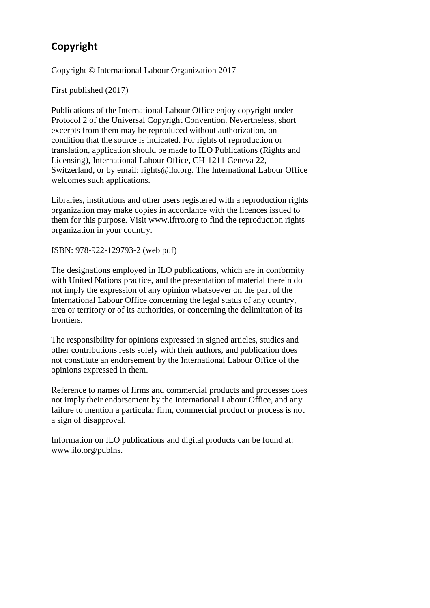# **Copyright**

Copyright © International Labour Organization 2017

First published (2017)

Publications of the International Labour Office enjoy copyright under Protocol 2 of the Universal Copyright Convention. Nevertheless, short excerpts from them may be reproduced without authorization, on condition that the source is indicated. For rights of reproduction or translation, application should be made to ILO Publications (Rights and Licensing), International Labour Office, CH-1211 Geneva 22, Switzerland, or by email: rights@ilo.org. The International Labour Office welcomes such applications.

Libraries, institutions and other users registered with a reproduction rights organization may make copies in accordance with the licences issued to them for this purpose. Visit www.ifrro.org to find the reproduction rights organization in your country.

ISBN: 978-922-129793-2 (web pdf)

The designations employed in ILO publications, which are in conformity with United Nations practice, and the presentation of material therein do not imply the expression of any opinion whatsoever on the part of the International Labour Office concerning the legal status of any country, area or territory or of its authorities, or concerning the delimitation of its frontiers.

The responsibility for opinions expressed in signed articles, studies and other contributions rests solely with their authors, and publication does not constitute an endorsement by the International Labour Office of the opinions expressed in them.

Reference to names of firms and commercial products and processes does not imply their endorsement by the International Labour Office, and any failure to mention a particular firm, commercial product or process is not a sign of disapproval.

Information on ILO publications and digital products can be found at: www.ilo.org/publns.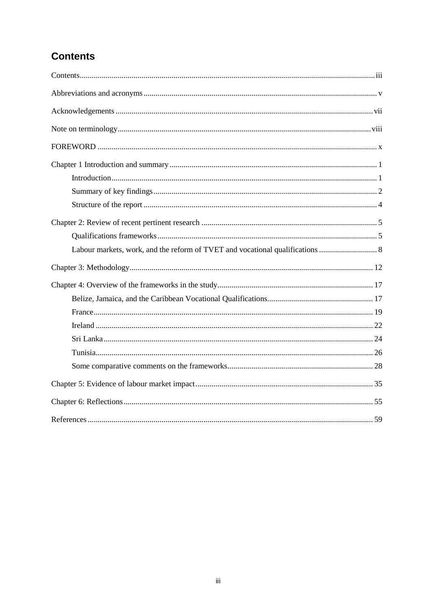# **Contents**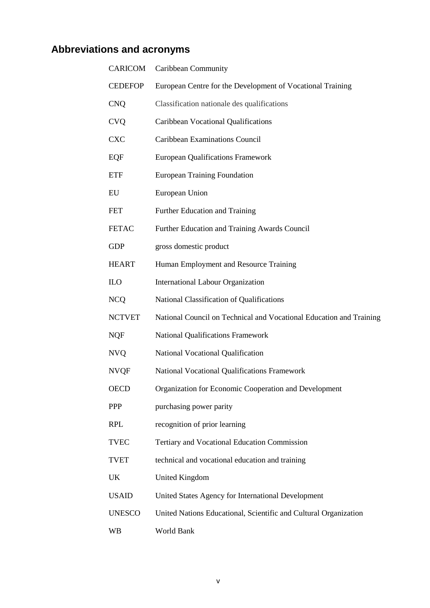# **Abbreviations and acronyms**

| <b>CARICOM</b> | Caribbean Community                                                 |
|----------------|---------------------------------------------------------------------|
| <b>CEDEFOP</b> | European Centre for the Development of Vocational Training          |
| <b>CNQ</b>     | Classification nationale des qualifications                         |
| <b>CVQ</b>     | Caribbean Vocational Qualifications                                 |
| <b>CXC</b>     | Caribbean Examinations Council                                      |
| EQF            | <b>European Qualifications Framework</b>                            |
| <b>ETF</b>     | <b>European Training Foundation</b>                                 |
| EU             | European Union                                                      |
| <b>FET</b>     | Further Education and Training                                      |
| <b>FETAC</b>   | Further Education and Training Awards Council                       |
| <b>GDP</b>     | gross domestic product                                              |
| <b>HEART</b>   | Human Employment and Resource Training                              |
| <b>ILO</b>     | <b>International Labour Organization</b>                            |
| <b>NCQ</b>     | National Classification of Qualifications                           |
| <b>NCTVET</b>  | National Council on Technical and Vocational Education and Training |
| <b>NQF</b>     | <b>National Qualifications Framework</b>                            |
| <b>NVQ</b>     | National Vocational Qualification                                   |
| <b>NVQF</b>    | National Vocational Qualifications Framework                        |
| <b>OECD</b>    | Organization for Economic Cooperation and Development               |
| PPP            | purchasing power parity                                             |
| <b>RPL</b>     | recognition of prior learning                                       |
| <b>TVEC</b>    | Tertiary and Vocational Education Commission                        |
| <b>TVET</b>    | technical and vocational education and training                     |
| UK             | <b>United Kingdom</b>                                               |
| <b>USAID</b>   | United States Agency for International Development                  |
| <b>UNESCO</b>  | United Nations Educational, Scientific and Cultural Organization    |
| WB             | World Bank                                                          |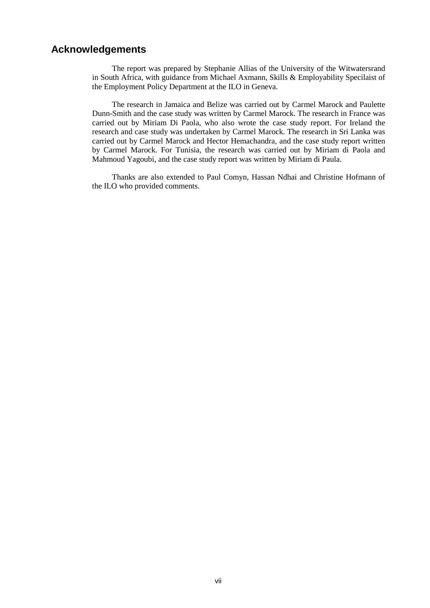## **Acknowledgements**

 The report was prepared by Stephanie Allias of the University of the Witwatersrand in South Africa, with guidance from Michael Axmann, Skills & Employability Specilaist of the Employment Policy Department at the ILO in Geneva.

 The research in Jamaica and Belize was carried out by Carmel Marock and Paulette Dunn-Smith and the case study was written by Carmel Marock. The research in France was carried out by Miriam Di Paola, who also wrote the case study report. For Ireland the research and case study was undertaken by Carmel Marock. The research in Sri Lanka was carried out by Carmel Marock and Hector Hemachandra, and the case study report written by Carmel Marock. For Tunisia, the research was carried out by Miriam di Paola and Mahmoud Yagoubi, and the case study report was written by Miriam di Paula.

 Thanks are also extended to Paul Comyn, Hassan Ndhai and Christine Hofmann of the ILO who provided comments.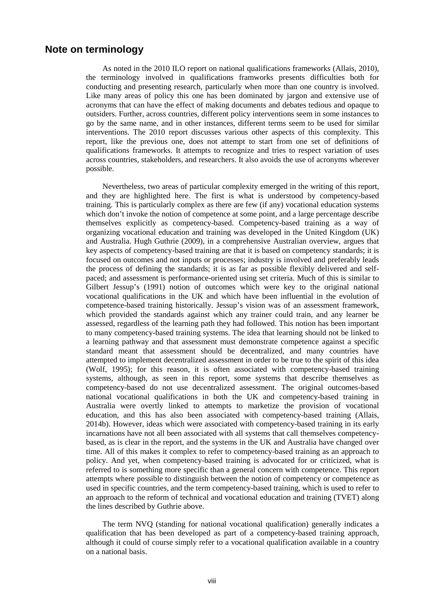## **Note on terminology**

As noted in the 2010 ILO report on national qualifications frameworks (Allais, 2010), the terminology involved in qualifications framworks presents difficulties both for conducting and presenting research, particularly when more than one country is involved. Like many areas of policy this one has been dominated by jargon and extensive use of acronyms that can have the effect of making documents and debates tedious and opaque to outsiders. Further, across countries, different policy interventions seem in some instances to go by the same name, and in other instances, different terms seem to be used for similar interventions. The 2010 report discusses various other aspects of this complexity. This report, like the previous one, does not attempt to start from one set of definitions of qualifications frameworks. It attempts to recognize and tries to respect variation of uses across countries, stakeholders, and researchers. It also avoids the use of acronyms wherever possible.

Nevertheless, two areas of particular complexity emerged in the writing of this report, and they are highlighted here. The first is what is understood by competency-based training. This is particularly complex as there are few (if any) vocational education systems which don't invoke the notion of competence at some point, and a large percentage describe themselves explicitly as competency-based. Competency-based training as a way of organizing vocational education and training was developed in the United Kingdom (UK) and Australia. Hugh Guthrie (2009), in a comprehensive Australian overview, argues that key aspects of competency-based training are that it is based on competency standards; it is focused on outcomes and not inputs or processes; industry is involved and preferably leads the process of defining the standards; it is as far as possible flexibly delivered and selfpaced; and assessment is performance-oriented using set criteria. Much of this is similar to Gilbert Jessup's (1991) notion of outcomes which were key to the original national vocational qualifications in the UK and which have been influential in the evolution of competence-based training historically. Jessup's vision was of an assessment framework, which provided the standards against which any trainer could train, and any learner be assessed, regardless of the learning path they had followed. This notion has been important to many competency-based training systems. The idea that learning should not be linked to a learning pathway and that assessment must demonstrate competence against a specific standard meant that assessment should be decentralized, and many countries have attempted to implement decentralized assessment in order to be true to the spirit of this idea (Wolf, 1995); for this reason, it is often associated with competency-based training systems, although, as seen in this report, some systems that describe themselves as competency-based do not use decentralized assessment. The original outcomes-based national vocational qualifications in both the UK and competency-based training in Australia were overtly linked to attempts to marketize the provision of vocational education, and this has also been associated with competency-based training (Allais, 2014b). However, ideas which were associated with competency-based training in its early incarnations have not all been associated with all systems that call themselves competencybased, as is clear in the report, and the systems in the UK and Australia have changed over time. All of this makes it complex to refer to competency-based training as an approach to policy. And yet, when competency-based training is advocated for or criticized, what is referred to is something more specific than a general concern with competence. This report attempts where possible to distinguish between the notion of competency or competence as used in specific countries, and the term competency-based training, which is used to refer to an approach to the reform of technical and vocational education and training (TVET) along the lines described by Guthrie above.

The term NVQ (standing for national vocational qualification) generally indicates a qualification that has been developed as part of a competency-based training approach, although it could of course simply refer to a vocational qualification available in a country on a national basis.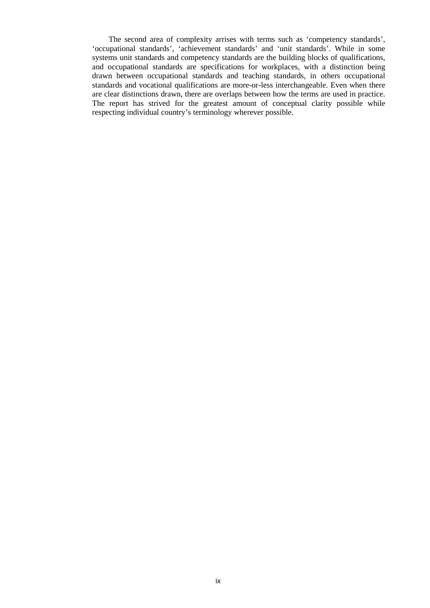The second area of complexity arrises with terms such as 'competency standards', 'occupational standards', 'achievement standards' and 'unit standards'. While in some systems unit standards and competency standards are the building blocks of qualifications, and occupational standards are specifications for workplaces, with a distinction being drawn between occupational standards and teaching standards, in others occupational standards and vocational qualifications are more-or-less interchangeable. Even when there are clear distinctions drawn, there are overlaps between how the terms are used in practice. The report has strived for the greatest amount of conceptual clarity possible while respecting individual country's terminology wherever possible.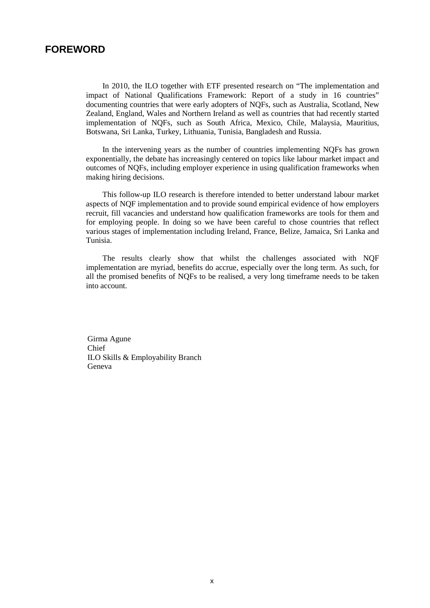## **FOREWORD**

In 2010, the ILO together with ETF presented research on "The implementation and impact of National Qualifications Framework: Report of a study in 16 countries" documenting countries that were early adopters of NQFs, such as Australia, Scotland, New Zealand, England, Wales and Northern Ireland as well as countries that had recently started implementation of NQFs, such as South Africa, Mexico, Chile, Malaysia, Mauritius, Botswana, Sri Lanka, Turkey, Lithuania, Tunisia, Bangladesh and Russia.

In the intervening years as the number of countries implementing NQFs has grown exponentially, the debate has increasingly centered on topics like labour market impact and outcomes of NQFs, including employer experience in using qualification frameworks when making hiring decisions.

This follow-up ILO research is therefore intended to better understand labour market aspects of NQF implementation and to provide sound empirical evidence of how employers recruit, fill vacancies and understand how qualification frameworks are tools for them and for employing people. In doing so we have been careful to chose countries that reflect various stages of implementation including Ireland, France, Belize, Jamaica, Sri Lanka and Tunisia.

The results clearly show that whilst the challenges associated with NQF implementation are myriad, benefits do accrue, especially over the long term. As such, for all the promised benefits of NQFs to be realised, a very long timeframe needs to be taken into account.

Girma Agune Chief ILO Skills & Employability Branch Geneva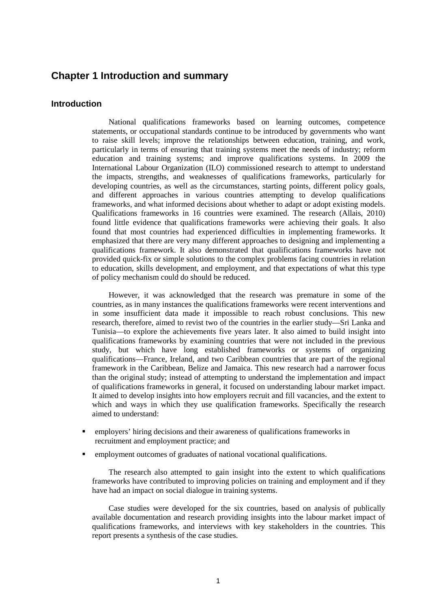## **Chapter 1 Introduction and summary**

#### **Introduction**

National qualifications frameworks based on learning outcomes, competence statements, or occupational standards continue to be introduced by governments who want to raise skill levels; improve the relationships between education, training, and work, particularly in terms of ensuring that training systems meet the needs of industry; reform education and training systems; and improve qualifications systems. In 2009 the International Labour Organization (ILO) commissioned research to attempt to understand the impacts, strengths, and weaknesses of qualifications frameworks, particularly for developing countries, as well as the circumstances, starting points, different policy goals, and different approaches in various countries attempting to develop qualifications frameworks, and what informed decisions about whether to adapt or adopt existing models. Qualifications frameworks in 16 countries were examined. The research (Allais, 2010) found little evidence that qualifications frameworks were achieving their goals. It also found that most countries had experienced difficulties in implementing frameworks. It emphasized that there are very many different approaches to designing and implementing a qualifications framework. It also demonstrated that qualifications frameworks have not provided quick-fix or simple solutions to the complex problems facing countries in relation to education, skills development, and employment, and that expectations of what this type of policy mechanism could do should be reduced.

However, it was acknowledged that the research was premature in some of the countries, as in many instances the qualifications frameworks were recent interventions and in some insufficient data made it impossible to reach robust conclusions. This new research, therefore, aimed to revist two of the countries in the earlier study—Sri Lanka and Tunisia—to explore the achievements five years later. It also aimed to build insight into qualifications frameworks by examining countries that were not included in the previous study, but which have long established frameworks or systems of organizing qualifications—France, Ireland, and two Caribbean countries that are part of the regional framework in the Caribbean, Belize and Jamaica. This new research had a narrower focus than the original study; instead of attempting to understand the implementation and impact of qualifications frameworks in general, it focused on understanding labour market impact. It aimed to develop insights into how employers recruit and fill vacancies, and the extent to which and ways in which they use qualification frameworks. Specifically the research aimed to understand:

- employers' hiring decisions and their awareness of qualifications frameworks in recruitment and employment practice; and
- employment outcomes of graduates of national vocational qualifications.

The research also attempted to gain insight into the extent to which qualifications frameworks have contributed to improving policies on training and employment and if they have had an impact on social dialogue in training systems.

Case studies were developed for the six countries, based on analysis of publically available documentation and research providing insights into the labour market impact of qualifications frameworks, and interviews with key stakeholders in the countries. This report presents a synthesis of the case studies.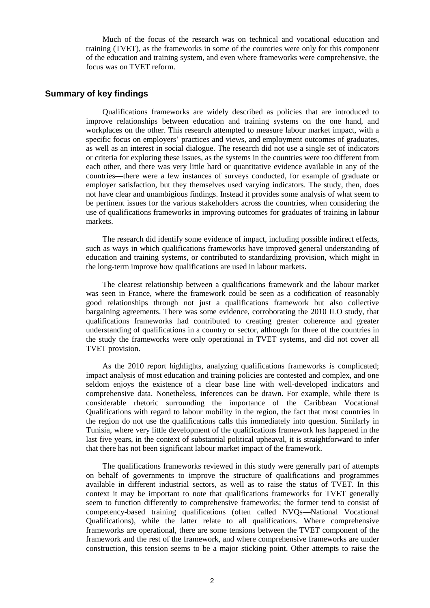Much of the focus of the research was on technical and vocational education and training (TVET), as the frameworks in some of the countries were only for this component of the education and training system, and even where frameworks were comprehensive, the focus was on TVET reform.

## **Summary of key findings**

Qualifications frameworks are widely described as policies that are introduced to improve relationships between education and training systems on the one hand, and workplaces on the other. This research attempted to measure labour market impact, with a specific focus on employers' practices and views, and employment outcomes of graduates, as well as an interest in social dialogue. The research did not use a single set of indicators or criteria for exploring these issues, as the systems in the countries were too different from each other, and there was very little hard or quantitative evidence available in any of the countries—there were a few instances of surveys conducted, for example of graduate or employer satisfaction, but they themselves used varying indicators. The study, then, does not have clear and unambigious findings. Instead it provides some analysis of what seem to be pertinent issues for the various stakeholders across the countries, when considering the use of qualifications frameworks in improving outcomes for graduates of training in labour markets.

The research did identify some evidence of impact, including possible indirect effects, such as ways in which qualifications frameworks have improved general understanding of education and training systems, or contributed to standardizing provision, which might in the long-term improve how qualifications are used in labour markets.

The clearest relationship between a qualifications framework and the labour market was seen in France, where the framework could be seen as a codification of reasonably good relationships through not just a qualifications framework but also collective bargaining agreements. There was some evidence, corroborating the 2010 ILO study, that qualifications frameworks had contributed to creating greater coherence and greater understanding of qualifications in a country or sector, although for three of the countries in the study the frameworks were only operational in TVET systems, and did not cover all TVET provision.

As the 2010 report highlights, analyzing qualifications frameworks is complicated; impact analysis of most education and training policies are contested and complex, and one seldom enjoys the existence of a clear base line with well-developed indicators and comprehensive data. Nonetheless, inferences can be drawn. For example, while there is considerable rhetoric surrounding the importance of the Caribbean Vocational Qualifications with regard to labour mobility in the region, the fact that most countries in the region do not use the qualifications calls this immediately into question. Similarly in Tunisia, where very little development of the qualifications framework has happened in the last five years, in the context of substantial political upheaval, it is straightforward to infer that there has not been significant labour market impact of the framework.

The qualifications frameworks reviewed in this study were generally part of attempts on behalf of governments to improve the structure of qualifications and programmes available in different industrial sectors, as well as to raise the status of TVET. In this context it may be important to note that qualifications frameworks for TVET generally seem to function differently to comprehensive frameworks; the former tend to consist of competency-based training qualifications (often called NVQs—National Vocational Qualifications), while the latter relate to all qualifications. Where comprehensive frameworks are operational, there are some tensions between the TVET component of the framework and the rest of the framework, and where comprehensive frameworks are under construction, this tension seems to be a major sticking point. Other attempts to raise the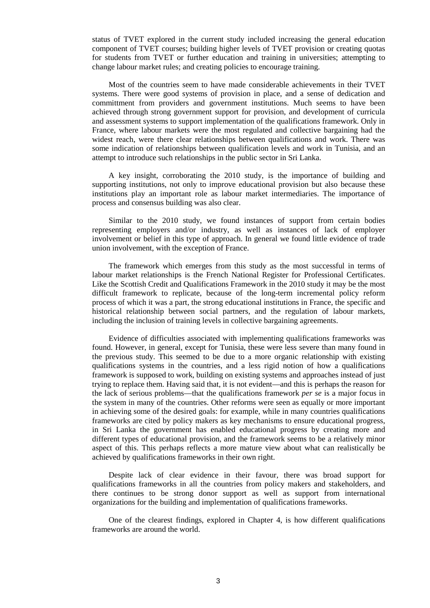status of TVET explored in the current study included increasing the general education component of TVET courses; building higher levels of TVET provision or creating quotas for students from TVET or further education and training in universities; attempting to change labour market rules; and creating policies to encourage training.

Most of the countries seem to have made considerable achievements in their TVET systems. There were good systems of provision in place, and a sense of dedication and committment from providers and government institutions. Much seems to have been achieved through strong government support for provision, and development of curricula and assessment systems to support implementation of the qualifications framework. Only in France, where labour markets were the most regulated and collective bargaining had the widest reach, were there clear relationships between qualifications and work. There was some indication of relationships between qualification levels and work in Tunisia, and an attempt to introduce such relationships in the public sector in Sri Lanka.

A key insight, corroborating the 2010 study, is the importance of building and supporting institutions, not only to improve educational provision but also because these institutions play an important role as labour market intermediaries. The importance of process and consensus building was also clear.

Similar to the 2010 study, we found instances of support from certain bodies representing employers and/or industry, as well as instances of lack of employer involvement or belief in this type of approach. In general we found little evidence of trade union involvement, with the exception of France.

The framework which emerges from this study as the most successful in terms of labour market relationships is the French National Register for Professional Certificates. Like the Scottish Credit and Qualifications Framework in the 2010 study it may be the most difficult framework to replicate, because of the long-term incremental policy reform process of which it was a part, the strong educational institutions in France, the specific and historical relationship between social partners, and the regulation of labour markets, including the inclusion of training levels in collective bargaining agreements.

Evidence of difficulties associated with implementing qualifications frameworks was found. However, in general, except for Tunisia, these were less severe than many found in the previous study. This seemed to be due to a more organic relationship with existing qualifications systems in the countries, and a less rigid notion of how a qualifications framework is supposed to work, building on existing systems and approaches instead of just trying to replace them. Having said that, it is not evident—and this is perhaps the reason for the lack of serious problems—that the qualifications framework *per se* is a major focus in the system in many of the countries. Other reforms were seen as equally or more important in achieving some of the desired goals: for example, while in many countries qualifications frameworks are cited by policy makers as key mechanisms to ensure educational progress, in Sri Lanka the government has enabled educational progress by creating more and different types of educational provision, and the framework seems to be a relatively minor aspect of this. This perhaps reflects a more mature view about what can realistically be achieved by qualifications frameworks in their own right.

Despite lack of clear evidence in their favour, there was broad support for qualifications frameworks in all the countries from policy makers and stakeholders, and there continues to be strong donor support as well as support from international organizations for the building and implementation of qualifications frameworks.

One of the clearest findings, explored in Chapter 4, is how different qualifications frameworks are around the world.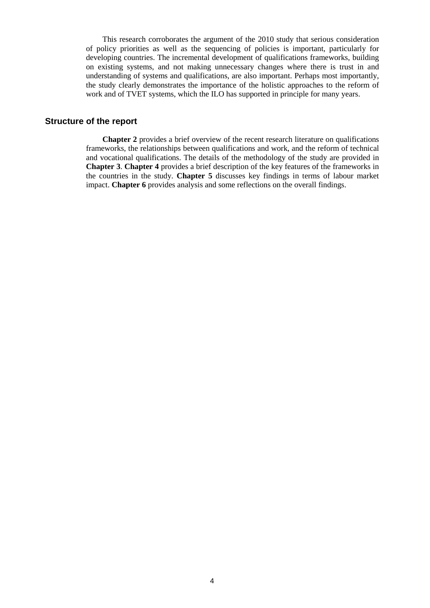This research corroborates the argument of the 2010 study that serious consideration of policy priorities as well as the sequencing of policies is important, particularly for developing countries. The incremental development of qualifications frameworks, building on existing systems, and not making unnecessary changes where there is trust in and understanding of systems and qualifications, are also important. Perhaps most importantly, the study clearly demonstrates the importance of the holistic approaches to the reform of work and of TVET systems, which the ILO has supported in principle for many years.

#### **Structure of the report**

**Chapter 2** provides a brief overview of the recent research literature on qualifications frameworks, the relationships between qualifications and work, and the reform of technical and vocational qualifications. The details of the methodology of the study are provided in **Chapter 3**. **Chapter 4** provides a brief description of the key features of the frameworks in the countries in the study. **Chapter 5** discusses key findings in terms of labour market impact. **Chapter 6** provides analysis and some reflections on the overall findings.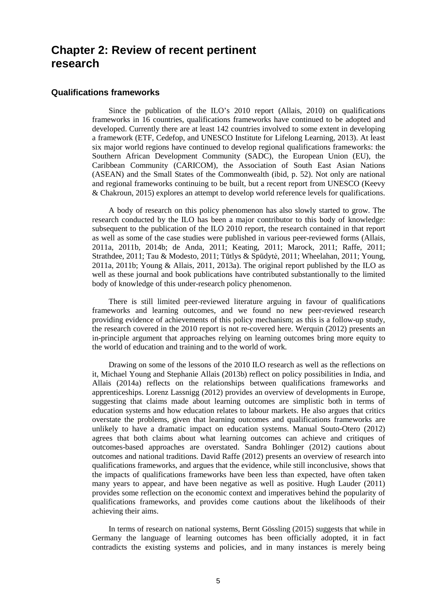## **Chapter 2: Review of recent pertinent research**

#### **Qualifications frameworks**

Since the publication of the ILO's 2010 report (Allais, 2010) on qualifications frameworks in 16 countries, qualifications frameworks have continued to be adopted and developed. Currently there are at least 142 countries involved to some extent in developing a framework (ETF, Cedefop, and UNESCO Institute for Lifelong Learning, 2013). At least six major world regions have continued to develop regional qualifications frameworks: the Southern African Development Community (SADC), the European Union (EU), the Caribbean Community (CARICOM), the Association of South East Asian Nations (ASEAN) and the Small States of the Commonwealth (ibid, p. 52). Not only are national and regional frameworks continuing to be built, but a recent report from UNESCO (Keevy & Chakroun, 2015) explores an attempt to develop world reference levels for qualifications.

A body of research on this policy phenomenon has also slowly started to grow. The research conducted by the ILO has been a major contributor to this body of knowledge: subsequent to the publication of the ILO 2010 report, the research contained in that report as well as some of the case studies were published in various peer-reviewed forms (Allais, 2011a, 2011b, 2014b; de Anda, 2011; Keating, 2011; Marock, 2011; Raffe, 2011; Strathdee, 2011; Tau & Modesto, 2011; Tūtlys & Spūdytė, 2011; Wheelahan, 2011; Young, 2011a, 2011b; Young & Allais, 2011, 2013a). The original report published by the ILO as well as these journal and book publications have contributed substantionally to the limited body of knowledge of this under-research policy phenomenon.

There is still limited peer-reviewed literature arguing in favour of qualifications frameworks and learning outcomes, and we found no new peer-reviewed research providing evidence of achievements of this policy mechanism; as this is a follow-up study, the research covered in the 2010 report is not re-covered here. Werquin (2012) presents an in-principle argument that approaches relying on learning outcomes bring more equity to the world of education and training and to the world of work.

Drawing on some of the lessons of the 2010 ILO research as well as the reflections on it, Michael Young and Stephanie Allais (2013b) reflect on policy possibilities in India, and Allais (2014a) reflects on the relationships between qualifications frameworks and apprenticeships. Lorenz Lassnigg (2012) provides an overview of developments in Europe, suggesting that claims made about learning outcomes are simplistic both in terms of education systems and how education relates to labour markets. He also argues that critics overstate the problems, given that learning outcomes and qualifications frameworks are unlikely to have a dramatic impact on education systems. Manual Souto-Otero (2012) agrees that both claims about what learning outcomes can achieve and critiques of outcomes-based approaches are overstated. Sandra Bohlinger (2012) cautions about outcomes and national traditions. David Raffe (2012) presents an overview of research into qualifications frameworks, and argues that the evidence, while still inconclusive, shows that the impacts of qualifications frameworks have been less than expected, have often taken many years to appear, and have been negative as well as positive. Hugh Lauder (2011) provides some reflection on the economic context and imperatives behind the popularity of qualifications frameworks, and provides come cautions about the likelihoods of their achieving their aims.

In terms of research on national systems, Bernt Gössling (2015) suggests that while in Germany the language of learning outcomes has been officially adopted, it in fact contradicts the existing systems and policies, and in many instances is merely being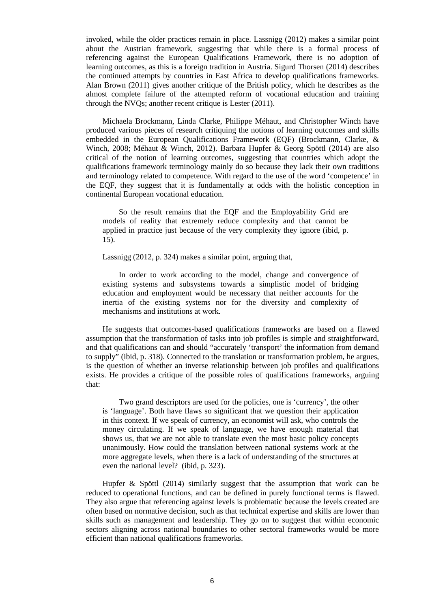invoked, while the older practices remain in place. Lassnigg (2012) makes a similar point about the Austrian framework, suggesting that while there is a formal process of referencing against the European Qualifications Framework, there is no adoption of learning outcomes, as this is a foreign tradition in Austria. Sigurd Thorsen (2014) describes the continued attempts by countries in East Africa to develop qualifications frameworks. Alan Brown (2011) gives another critique of the British policy, which he describes as the almost complete failure of the attempted reform of vocational education and training through the NVQs; another recent critique is Lester (2011).

Michaela Brockmann, Linda Clarke, Philippe Méhaut, and Christopher Winch have produced various pieces of research critiquing the notions of learning outcomes and skills embedded in the European Qualifications Framework (EQF) (Brockmann, Clarke, & Winch, 2008; Méhaut & Winch, 2012). Barbara Hupfer & Georg Spöttl (2014) are also critical of the notion of learning outcomes, suggesting that countries which adopt the qualifications framework terminology mainly do so because they lack their own traditions and terminology related to competence. With regard to the use of the word 'competence' in the EQF, they suggest that it is fundamentally at odds with the holistic conception in continental European vocational education.

So the result remains that the EQF and the Employability Grid are models of reality that extremely reduce complexity and that cannot be applied in practice just because of the very complexity they ignore (ibid, p. 15).

Lassnigg (2012, p. 324) makes a similar point, arguing that,

In order to work according to the model, change and convergence of existing systems and subsystems towards a simplistic model of bridging education and employment would be necessary that neither accounts for the inertia of the existing systems nor for the diversity and complexity of mechanisms and institutions at work.

He suggests that outcomes-based qualifications frameworks are based on a flawed assumption that the transformation of tasks into job profiles is simple and straightforward, and that qualifications can and should "accurately 'transport' the information from demand to supply" (ibid, p. 318). Connected to the translation or transformation problem, he argues, is the question of whether an inverse relationship between job profiles and qualifications exists. He provides a critique of the possible roles of qualifications frameworks, arguing that:

Two grand descriptors are used for the policies, one is 'currency', the other is 'language'. Both have flaws so significant that we question their application in this context. If we speak of currency, an economist will ask, who controls the money circulating. If we speak of language, we have enough material that shows us, that we are not able to translate even the most basic policy concepts unanimously. How could the translation between national systems work at the more aggregate levels, when there is a lack of understanding of the structures at even the national level? (ibid, p. 323).

Hupfer & Spöttl (2014) similarly suggest that the assumption that work can be reduced to operational functions, and can be defined in purely functional terms is flawed. They also argue that referencing against levels is problematic because the levels created are often based on normative decision, such as that technical expertise and skills are lower than skills such as management and leadership. They go on to suggest that within economic sectors aligning across national boundaries to other sectoral frameworks would be more efficient than national qualifications frameworks.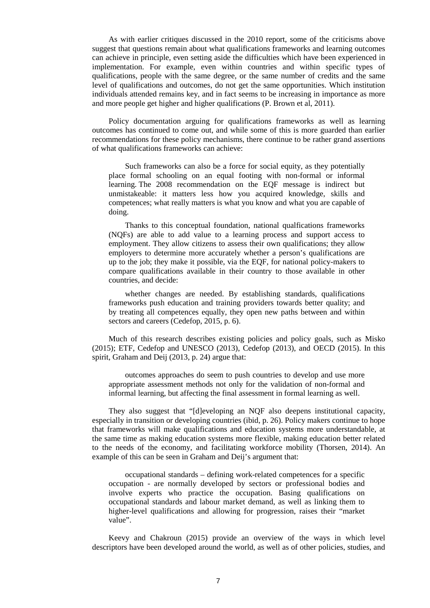As with earlier critiques discussed in the 2010 report, some of the criticisms above suggest that questions remain about what qualifications frameworks and learning outcomes can achieve in principle, even setting aside the difficulties which have been experienced in implementation. For example, even within countries and within specific types of qualifications, people with the same degree, or the same number of credits and the same level of qualifications and outcomes, do not get the same opportunities. Which institution individuals attended remains key, and in fact seems to be increasing in importance as more and more people get higher and higher qualifications (P. Brown et al, 2011).

Policy documentation arguing for qualifications frameworks as well as learning outcomes has continued to come out, and while some of this is more guarded than earlier recommendations for these policy mechanisms, there continue to be rather grand assertions of what qualifications frameworks can achieve:

Such frameworks can also be a force for social equity, as they potentially place formal schooling on an equal footing with non-formal or informal learning. The 2008 recommendation on the EQF message is indirect but unmistakeable: it matters less how you acquired knowledge, skills and competences; what really matters is what you know and what you are capable of doing.

Thanks to this conceptual foundation, national qualfications frameworks (NQFs) are able to add value to a learning process and support access to employment. They allow citizens to assess their own qualifications; they allow employers to determine more accurately whether a person's qualifications are up to the job; they make it possible, via the EQF, for national policy-makers to compare qualifications available in their country to those available in other countries, and decide:

whether changes are needed. By establishing standards, qualifications frameworks push education and training providers towards better quality; and by treating all competences equally, they open new paths between and within sectors and careers (Cedefop, 2015, p. 6).

Much of this research describes existing policies and policy goals, such as Misko (2015); ETF, Cedefop and UNESCO (2013), Cedefop (2013), and OECD (2015). In this spirit, Graham and Deij (2013, p. 24) argue that:

outcomes approaches do seem to push countries to develop and use more appropriate assessment methods not only for the validation of non-formal and informal learning, but affecting the final assessment in formal learning as well.

They also suggest that "[d]eveloping an NQF also deepens institutional capacity, especially in transition or developing countries (ibid, p. 26). Policy makers continue to hope that frameworks will make qualifications and education systems more understandable, at the same time as making education systems more flexible, making education better related to the needs of the economy, and facilitating workforce mobility (Thorsen, 2014). An example of this can be seen in Graham and Deij's argument that:

occupational standards – defining work-related competences for a specific occupation - are normally developed by sectors or professional bodies and involve experts who practice the occupation. Basing qualifications on occupational standards and labour market demand, as well as linking them to higher-level qualifications and allowing for progression, raises their "market value".

Keevy and Chakroun (2015) provide an overview of the ways in which level descriptors have been developed around the world, as well as of other policies, studies, and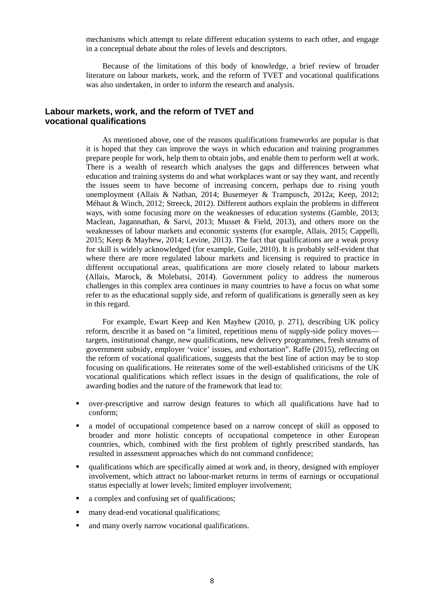mechanisms which attempt to relate different education systems to each other, and engage in a conceptual debate about the roles of levels and descriptors.

Because of the limitations of this body of knowledge, a brief review of broader literature on labour markets, work, and the reform of TVET and vocational qualifications was also undertaken, in order to inform the research and analysis.

## **Labour markets, work, and the reform of TVET and vocational qualifications**

As mentioned above, one of the reasons qualifications frameworks are popular is that it is hoped that they can improve the ways in which education and training programmes prepare people for work, help them to obtain jobs, and enable them to perform well at work. There is a wealth of research which analyses the gaps and differences between what education and training systems do and what workplaces want or say they want, and recently the issues seem to have become of increasing concern, perhaps due to rising youth unemployment (Allais & Nathan, 2014; Busemeyer & Trampusch, 2012a; Keep, 2012; Méhaut & Winch, 2012; Streeck, 2012). Different authors explain the problems in different ways, with some focusing more on the weaknesses of education systems (Gamble, 2013; Maclean, Jagannathan, & Sarvi, 2013; Musset & Field, 2013), and others more on the weaknesses of labour markets and economic systems (for example, Allais, 2015; Cappelli, 2015; Keep & Mayhew, 2014; Levine, 2013). The fact that qualifications are a weak proxy for skill is widely acknowledged (for example, Guile, 2010). It is probably self-evident that where there are more regulated labour markets and licensing is required to practice in different occupational areas, qualifications are more closely related to labour markets (Allais, Marock, & Molebatsi, 2014). Government policy to address the numerous challenges in this complex area continues in many countries to have a focus on what some refer to as the educational supply side, and reform of qualifications is generally seen as key in this regard.

For example, Ewart Keep and Ken Mayhew (2010, p. 271), describing UK policy reform, describe it as based on "a limited, repetitious menu of supply-side policy moves targets, institutional change, new qualifications, new delivery programmes, fresh streams of government subsidy, employer 'voice' issues, and exhortation". Raffe (2015), reflecting on the reform of vocational qualifications, suggests that the best line of action may be to stop focusing on qualifications. He reiterates some of the well-established criticisms of the UK vocational qualifications which reflect issues in the design of qualifications, the role of awarding bodies and the nature of the framework that lead to:

- over-prescriptive and narrow design features to which all qualifications have had to conform;
- a model of occupational competence based on a narrow concept of skill as opposed to broader and more holistic concepts of occupational competence in other European countries, which, combined with the first problem of tightly prescribed standards, has resulted in assessment approaches which do not command confidence;
- qualifications which are specifically aimed at work and, in theory, designed with employer involvement, which attract no labour-market returns in terms of earnings or occupational status especially at lower levels; limited employer involvement;
- a complex and confusing set of qualifications;
- many dead-end vocational qualifications;
- and many overly narrow vocational qualifications.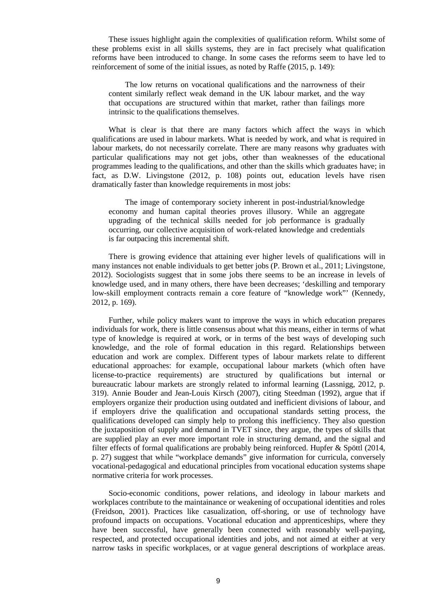These issues highlight again the complexities of qualification reform. Whilst some of these problems exist in all skills systems, they are in fact precisely what qualification reforms have been introduced to change. In some cases the reforms seem to have led to reinforcement of some of the initial issues, as noted by Raffe (2015, p. 149):

The low returns on vocational qualifications and the narrowness of their content similarly reflect weak demand in the UK labour market, and the way that occupations are structured within that market, rather than failings more intrinsic to the qualifications themselves.

What is clear is that there are many factors which affect the ways in which qualifications are used in labour markets. What is needed by work, and what is required in labour markets, do not necessarily correlate. There are many reasons why graduates with particular qualifications may not get jobs, other than weaknesses of the educational programmes leading to the qualifications, and other than the skills which graduates have; in fact, as D.W. Livingstone (2012, p. 108) points out, education levels have risen dramatically faster than knowledge requirements in most jobs:

The image of contemporary society inherent in post-industrial/knowledge economy and human capital theories proves illusory. While an aggregate upgrading of the technical skills needed for job performance is gradually occurring, our collective acquisition of work-related knowledge and credentials is far outpacing this incremental shift.

There is growing evidence that attaining ever higher levels of qualifications will in many instances not enable individuals to get better jobs (P. Brown et al., 2011; Livingstone, 2012). Sociologists suggest that in some jobs there seems to be an increase in levels of knowledge used, and in many others, there have been decreases; 'deskilling and temporary low-skill employment contracts remain a core feature of "knowledge work"' (Kennedy, 2012, p. 169).

Further, while policy makers want to improve the ways in which education prepares individuals for work, there is little consensus about what this means, either in terms of what type of knowledge is required at work, or in terms of the best ways of developing such knowledge, and the role of formal education in this regard. Relationships between education and work are complex. Different types of labour markets relate to different educational approaches: for example, occupational labour markets (which often have license-to-practice requirements) are structured by qualifications but internal or bureaucratic labour markets are strongly related to informal learning (Lassnigg, 2012, p. 319). Annie Bouder and Jean-Louis Kirsch (2007), citing Steedman (1992), argue that if employers organize their production using outdated and inefficient divisions of labour, and if employers drive the qualification and occupational standards setting process, the qualifications developed can simply help to prolong this inefficiency. They also question the juxtaposition of supply and demand in TVET since, they argue, the types of skills that are supplied play an ever more important role in structuring demand, and the signal and filter effects of formal qualifications are probably being reinforced. Hupfer & Spöttl (2014, p. 27) suggest that while "workplace demands" give information for curricula, conversely vocational-pedagogical and educational principles from vocational education systems shape normative criteria for work processes.

Socio-economic conditions, power relations, and ideology in labour markets and workplaces contribute to the maintainance or weakening of occupational identities and roles (Freidson, 2001). Practices like casualization, off-shoring, or use of technology have profound impacts on occupations. Vocational education and apprenticeships, where they have been successful, have generally been connected with reasonably well-paying, respected, and protected occupational identities and jobs, and not aimed at either at very narrow tasks in specific workplaces, or at vague general descriptions of workplace areas.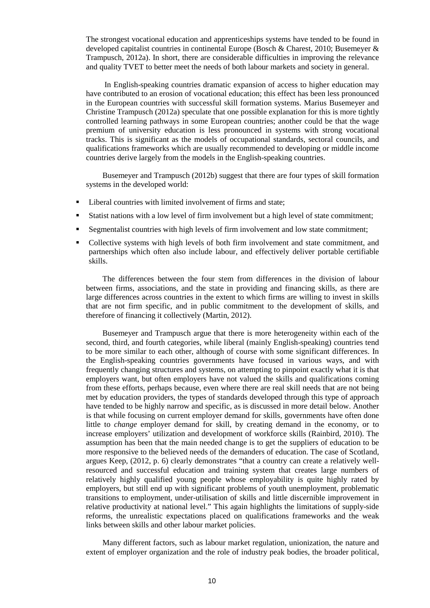The strongest vocational education and apprenticeships systems have tended to be found in developed capitalist countries in continental Europe (Bosch & Charest, 2010; Busemeyer & Trampusch, 2012a). In short, there are considerable difficulties in improving the relevance and quality TVET to better meet the needs of both labour markets and society in general.

 In English-speaking countries dramatic expansion of access to higher education may have contributed to an erosion of vocational education; this effect has been less pronounced in the European countries with successful skill formation systems. Marius Busemeyer and Christine Trampusch (2012a) speculate that one possible explanation for this is more tightly controlled learning pathways in some European countries; another could be that the wage premium of university education is less pronounced in systems with strong vocational tracks. This is significant as the models of occupational standards, sectoral councils, and qualifications frameworks which are usually recommended to developing or middle income countries derive largely from the models in the English-speaking countries.

Busemeyer and Trampusch (2012b) suggest that there are four types of skill formation systems in the developed world:

- Liberal countries with limited involvement of firms and state:
- Statist nations with a low level of firm involvement but a high level of state commitment;
- Segmentalist countries with high levels of firm involvement and low state commitment;
- Collective systems with high levels of both firm involvement and state commitment, and partnerships which often also include labour, and effectively deliver portable certifiable skills.

The differences between the four stem from differences in the division of labour between firms, associations, and the state in providing and financing skills, as there are large differences across countries in the extent to which firms are willing to invest in skills that are not firm specific, and in public commitment to the development of skills, and therefore of financing it collectively (Martin, 2012).

Busemeyer and Trampusch argue that there is more heterogeneity within each of the second, third, and fourth categories, while liberal (mainly English-speaking) countries tend to be more similar to each other, although of course with some significant differences. In the English-speaking countries governments have focused in various ways, and with frequently changing structures and systems, on attempting to pinpoint exactly what it is that employers want, but often employers have not valued the skills and qualifications coming from these efforts, perhaps because, even where there are real skill needs that are not being met by education providers, the types of standards developed through this type of approach have tended to be highly narrow and specific, as is discussed in more detail below. Another is that while focusing on current employer demand for skills, governments have often done little to *change* employer demand for skill, by creating demand in the economy, or to increase employers' utilization and development of workforce skills (Rainbird, 2010). The assumption has been that the main needed change is to get the suppliers of education to be more responsive to the believed needs of the demanders of education. The case of Scotland, argues Keep, (2012, p. 6) clearly demonstrates "that a country can create a relatively wellresourced and successful education and training system that creates large numbers of relatively highly qualified young people whose employability is quite highly rated by employers, but still end up with significant problems of youth unemployment, problematic transitions to employment, under-utilisation of skills and little discernible improvement in relative productivity at national level." This again highlights the limitations of supply-side reforms, the unrealistic expectations placed on qualifications frameworks and the weak links between skills and other labour market policies.

Many different factors, such as labour market regulation, unionization, the nature and extent of employer organization and the role of industry peak bodies, the broader political,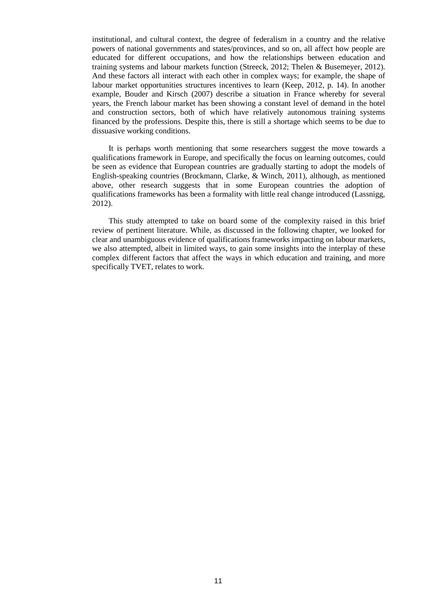institutional, and cultural context, the degree of federalism in a country and the relative powers of national governments and states/provinces, and so on, all affect how people are educated for different occupations, and how the relationships between education and training systems and labour markets function (Streeck, 2012; Thelen & Busemeyer, 2012). And these factors all interact with each other in complex ways; for example, the shape of labour market opportunities structures incentives to learn (Keep, 2012, p. 14). In another example, Bouder and Kirsch (2007) describe a situation in France whereby for several years, the French labour market has been showing a constant level of demand in the hotel and construction sectors, both of which have relatively autonomous training systems financed by the professions. Despite this, there is still a shortage which seems to be due to dissuasive working conditions.

It is perhaps worth mentioning that some researchers suggest the move towards a qualifications framework in Europe, and specifically the focus on learning outcomes, could be seen as evidence that European countries are gradually starting to adopt the models of English-speaking countries (Brockmann, Clarke, & Winch, 2011), although, as mentioned above, other research suggests that in some European countries the adoption of qualifications frameworks has been a formality with little real change introduced (Lassnigg, 2012).

This study attempted to take on board some of the complexity raised in this brief review of pertinent literature. While, as discussed in the following chapter, we looked for clear and unambiguous evidence of qualifications frameworks impacting on labour markets, we also attempted, albeit in limited ways, to gain some insights into the interplay of these complex different factors that affect the ways in which education and training, and more specifically TVET, relates to work.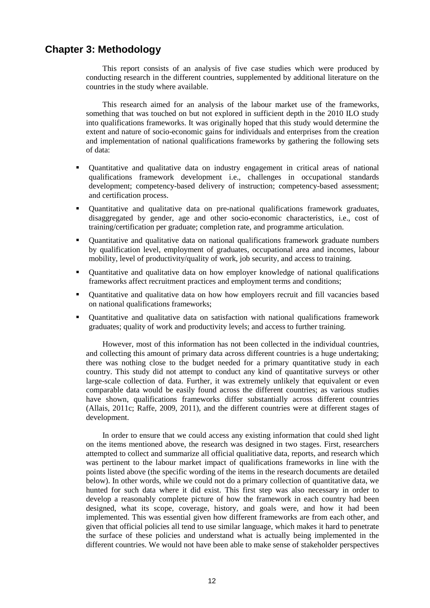## **Chapter 3: Methodology**

This report consists of an analysis of five case studies which were produced by conducting research in the different countries, supplemented by additional literature on the countries in the study where available.

This research aimed for an analysis of the labour market use of the frameworks, something that was touched on but not explored in sufficient depth in the 2010 ILO study into qualifications frameworks. It was originally hoped that this study would determine the extent and nature of socio-economic gains for individuals and enterprises from the creation and implementation of national qualifications frameworks by gathering the following sets of data:

- Quantitative and qualitative data on industry engagement in critical areas of national qualifications framework development i.e., challenges in occupational standards development; competency-based delivery of instruction; competency-based assessment; and certification process.
- Quantitative and qualitative data on pre-national qualifications framework graduates, disaggregated by gender, age and other socio-economic characteristics, i.e., cost of training/certification per graduate; completion rate, and programme articulation.
- Quantitative and qualitative data on national qualifications framework graduate numbers by qualification level, employment of graduates, occupational area and incomes, labour mobility, level of productivity/quality of work, job security, and access to training.
- Quantitative and qualitative data on how employer knowledge of national qualifications frameworks affect recruitment practices and employment terms and conditions;
- Quantitative and qualitative data on how how employers recruit and fill vacancies based on national qualifications frameworks;
- Quantitative and qualitative data on satisfaction with national qualifications framework graduates; quality of work and productivity levels; and access to further training.

However, most of this information has not been collected in the individual countries, and collecting this amount of primary data across different countries is a huge undertaking; there was nothing close to the budget needed for a primary quantitative study in each country. This study did not attempt to conduct any kind of quantitative surveys or other large-scale collection of data. Further, it was extremely unlikely that equivalent or even comparable data would be easily found across the different countries; as various studies have shown, qualifications frameworks differ substantially across different countries (Allais, 2011c; Raffe, 2009, 2011), and the different countries were at different stages of development.

In order to ensure that we could access any existing information that could shed light on the items mentioned above, the research was designed in two stages. First, researchers attempted to collect and summarize all official qualitiative data, reports, and research which was pertinent to the labour market impact of qualifications frameworks in line with the points listed above (the specific wording of the items in the research documents are detailed below). In other words, while we could not do a primary collection of quantitative data, we hunted for such data where it did exist. This first step was also necessary in order to develop a reasonably complete picture of how the framework in each country had been designed, what its scope, coverage, history, and goals were, and how it had been implemented. This was essential given how different frameworks are from each other, and given that official policies all tend to use similar language, which makes it hard to penetrate the surface of these policies and understand what is actually being implemented in the different countries. We would not have been able to make sense of stakeholder perspectives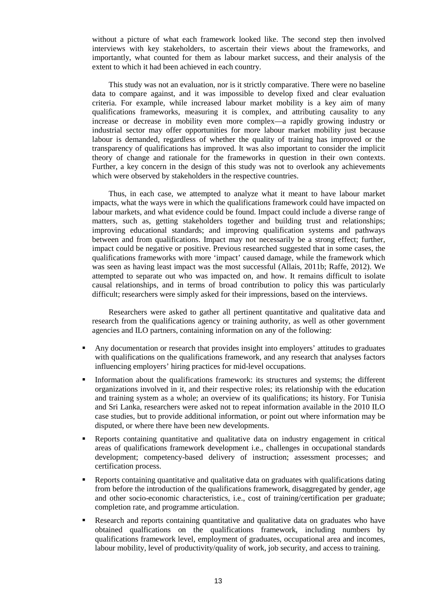without a picture of what each framework looked like. The second step then involved interviews with key stakeholders, to ascertain their views about the frameworks, and importantly, what counted for them as labour market success, and their analysis of the extent to which it had been achieved in each country.

This study was not an evaluation, nor is it strictly comparative. There were no baseline data to compare against, and it was impossible to develop fixed and clear evaluation criteria. For example, while increased labour market mobility is a key aim of many qualifications frameworks, measuring it is complex, and attributing causality to any increase or decrease in mobility even more complex—a rapidly growing industry or industrial sector may offer opportunities for more labour market mobility just because labour is demanded, regardless of whether the quality of training has improved or the transparency of qualifications has improved. It was also important to consider the implicit theory of change and rationale for the frameworks in question in their own contexts. Further, a key concern in the design of this study was not to overlook any achievements which were observed by stakeholders in the respective countries.

Thus, in each case, we attempted to analyze what it meant to have labour market impacts, what the ways were in which the qualifications framework could have impacted on labour markets, and what evidence could be found. Impact could include a diverse range of matters, such as, getting stakeholders together and building trust and relationships; improving educational standards; and improving qualification systems and pathways between and from qualifications. Impact may not necessarily be a strong effect; further, impact could be negative or positive. Previous researched suggested that in some cases, the qualifications frameworks with more 'impact' caused damage, while the framework which was seen as having least impact was the most successful (Allais, 2011b; Raffe, 2012). We attempted to separate out who was impacted on, and how. It remains difficult to isolate causal relationships, and in terms of broad contribution to policy this was particularly difficult; researchers were simply asked for their impressions, based on the interviews.

Researchers were asked to gather all pertinent quantitative and qualitative data and research from the qualifications agency or training authority, as well as other government agencies and ILO partners, containing information on any of the following:

- Any documentation or research that provides insight into employers' attitudes to graduates with qualifications on the qualifications framework, and any research that analyses factors influencing employers' hiring practices for mid-level occupations.
- Information about the qualifications framework: its structures and systems; the different organizations involved in it, and their respective roles; its relationship with the education and training system as a whole; an overview of its qualifications; its history. For Tunisia and Sri Lanka, researchers were asked not to repeat information available in the 2010 ILO case studies, but to provide additional information, or point out where information may be disputed, or where there have been new developments.
- Reports containing quantitative and qualitative data on industry engagement in critical areas of qualifications framework development i.e., challenges in occupational standards development; competency-based delivery of instruction; assessment processes; and certification process.
- Reports containing quantitative and qualitative data on graduates with qualifications dating from before the introduction of the qualifications framework, disaggregated by gender, age and other socio-economic characteristics, i.e., cost of training/certification per graduate; completion rate, and programme articulation.
- Research and reports containing quantitative and qualitative data on graduates who have obtained qualfications on the qualifications framework, including numbers by qualifications framework level, employment of graduates, occupational area and incomes, labour mobility, level of productivity/quality of work, job security, and access to training.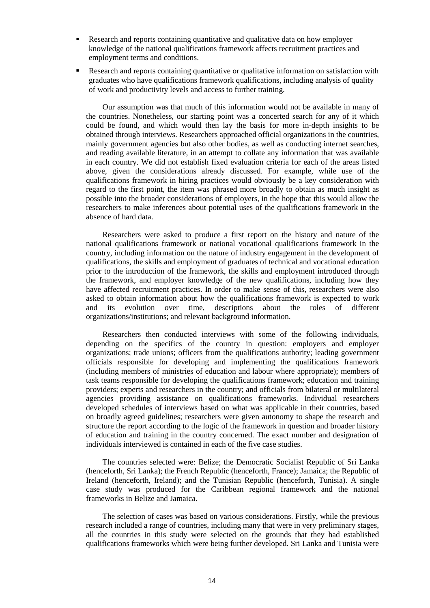- Research and reports containing quantitative and qualitative data on how employer knowledge of the national qualifications framework affects recruitment practices and employment terms and conditions.
- Research and reports containing quantitative or qualitative information on satisfaction with graduates who have qualifications framework qualifications, including analysis of quality of work and productivity levels and access to further training.

Our assumption was that much of this information would not be available in many of the countries. Nonetheless, our starting point was a concerted search for any of it which could be found, and which would then lay the basis for more in-depth insights to be obtained through interviews. Researchers approached official organizations in the countries, mainly government agencies but also other bodies, as well as conducting internet searches, and reading available literature, in an attempt to collate any information that was available in each country. We did not establish fixed evaluation criteria for each of the areas listed above, given the considerations already discussed. For example, while use of the qualifications framework in hiring practices would obviously be a key consideration with regard to the first point, the item was phrased more broadly to obtain as much insight as possible into the broader considerations of employers, in the hope that this would allow the researchers to make inferences about potential uses of the qualifications framework in the absence of hard data.

Researchers were asked to produce a first report on the history and nature of the national qualifications framework or national vocational qualifications framework in the country, including information on the nature of industry engagement in the development of qualifications, the skills and employment of graduates of technical and vocational education prior to the introduction of the framework, the skills and employment introduced through the framework, and employer knowledge of the new qualifications, including how they have affected recruitment practices. In order to make sense of this, researchers were also asked to obtain information about how the qualifications framework is expected to work and its evolution over time, descriptions about the roles of different organizations/institutions; and relevant background information.

Researchers then conducted interviews with some of the following individuals, depending on the specifics of the country in question: employers and employer organizations; trade unions; officers from the qualifications authority; leading government officials responsible for developing and implementing the qualifications framework (including members of ministries of education and labour where appropriate); members of task teams responsible for developing the qualifications framework; education and training providers; experts and researchers in the country; and officials from bilateral or multilateral agencies providing assistance on qualifications frameworks. Individual researchers developed schedules of interviews based on what was applicable in their countries, based on broadly agreed guidelines; researchers were given autonomy to shape the research and structure the report according to the logic of the framework in question and broader history of education and training in the country concerned. The exact number and designation of individuals interviewed is contained in each of the five case studies.

The countries selected were: Belize; the Democratic Socialist Republic of Sri Lanka (henceforth, Sri Lanka); the French Republic (henceforth, France); Jamaica; the Republic of Ireland (henceforth, Ireland); and the Tunisian Republic (henceforth, Tunisia). A single case study was produced for the Caribbean regional framework and the national frameworks in Belize and Jamaica.

The selection of cases was based on various considerations. Firstly, while the previous research included a range of countries, including many that were in very preliminary stages, all the countries in this study were selected on the grounds that they had established qualifications frameworks which were being further developed. Sri Lanka and Tunisia were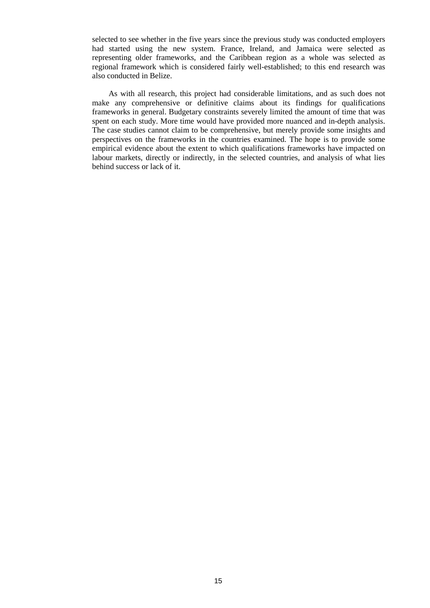selected to see whether in the five years since the previous study was conducted employers had started using the new system. France, Ireland, and Jamaica were selected as representing older frameworks, and the Caribbean region as a whole was selected as regional framework which is considered fairly well-established; to this end research was also conducted in Belize.

As with all research, this project had considerable limitations, and as such does not make any comprehensive or definitive claims about its findings for qualifications frameworks in general. Budgetary constraints severely limited the amount of time that was spent on each study. More time would have provided more nuanced and in-depth analysis. The case studies cannot claim to be comprehensive, but merely provide some insights and perspectives on the frameworks in the countries examined. The hope is to provide some empirical evidence about the extent to which qualifications frameworks have impacted on labour markets, directly or indirectly, in the selected countries, and analysis of what lies behind success or lack of it.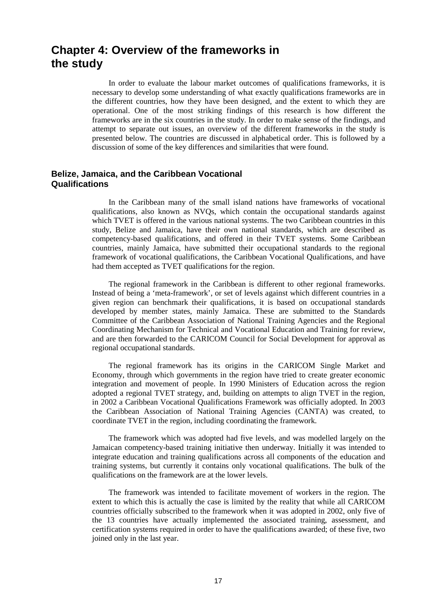## **Chapter 4: Overview of the frameworks in the study**

In order to evaluate the labour market outcomes of qualifications frameworks, it is necessary to develop some understanding of what exactly qualifications frameworks are in the different countries, how they have been designed, and the extent to which they are operational. One of the most striking findings of this research is how different the frameworks are in the six countries in the study. In order to make sense of the findings, and attempt to separate out issues, an overview of the different frameworks in the study is presented below. The countries are discussed in alphabetical order. This is followed by a discussion of some of the key differences and similarities that were found.

## **Belize, Jamaica, and the Caribbean Vocational Qualifications**

In the Caribbean many of the small island nations have frameworks of vocational qualifications, also known as NVQs, which contain the occupational standards against which TVET is offered in the various national systems. The two Caribbean countries in this study, Belize and Jamaica, have their own national standards, which are described as competency-based qualifications, and offered in their TVET systems. Some Caribbean countries, mainly Jamaica, have submitted their occupational standards to the regional framework of vocational qualifications, the Caribbean Vocational Qualifications, and have had them accepted as TVET qualifications for the region.

The regional framework in the Caribbean is different to other regional frameworks. Instead of being a 'meta-framework', or set of levels against which different countries in a given region can benchmark their qualifications, it is based on occupational standards developed by member states, mainly Jamaica. These are submitted to the Standards Committee of the Caribbean Association of National Training Agencies and the Regional Coordinating Mechanism for Technical and Vocational Education and Training for review, and are then forwarded to the CARICOM Council for Social Development for approval as regional occupational standards.

The regional framework has its origins in the CARICOM Single Market and Economy, through which governments in the region have tried to create greater economic integration and movement of people. In 1990 Ministers of Education across the region adopted a regional TVET strategy, and, building on attempts to align TVET in the region, in 2002 a Caribbean Vocational Qualifications Framework was officially adopted. In 2003 the Caribbean Association of National Training Agencies (CANTA) was created, to coordinate TVET in the region, including coordinating the framework.

The framework which was adopted had five levels, and was modelled largely on the Jamaican competency-based training initiative then underway. Initially it was intended to integrate education and training qualifications across all components of the education and training systems, but currently it contains only vocational qualifications. The bulk of the qualifications on the framework are at the lower levels.

The framework was intended to facilitate movement of workers in the region. The extent to which this is actually the case is limited by the reality that while all CARICOM countries officially subscribed to the framework when it was adopted in 2002, only five of the 13 countries have actually implemented the associated training, assessment, and certification systems required in order to have the qualifications awarded; of these five, two joined only in the last year.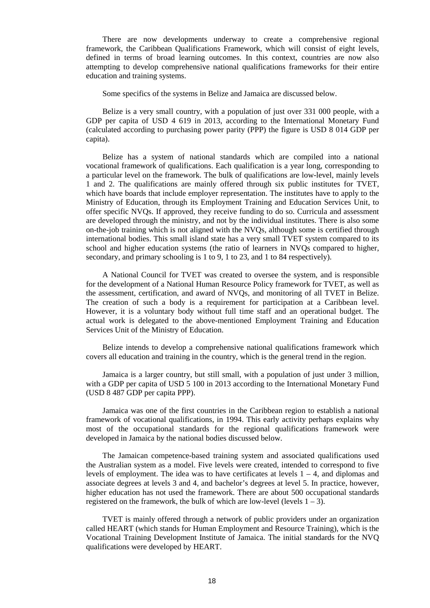There are now developments underway to create a comprehensive regional framework, the Caribbean Qualifications Framework, which will consist of eight levels, defined in terms of broad learning outcomes. In this context, countries are now also attempting to develop comprehensive national qualifications frameworks for their entire education and training systems.

Some specifics of the systems in Belize and Jamaica are discussed below.

Belize is a very small country, with a population of just over 331 000 people, with a GDP per capita of USD 4 619 in 2013, according to the International Monetary Fund (calculated according to purchasing power parity (PPP) the figure is USD 8 014 GDP per capita).

Belize has a system of national standards which are compiled into a national vocational framework of qualifications. Each qualification is a year long, corresponding to a particular level on the framework. The bulk of qualifications are low-level, mainly levels 1 and 2. The qualifications are mainly offered through six public institutes for TVET, which have boards that include employer representation. The institutes have to apply to the Ministry of Education, through its Employment Training and Education Services Unit, to offer specific NVQs. If approved, they receive funding to do so. Curricula and assessment are developed through the ministry, and not by the individual institutes. There is also some on-the-job training which is not aligned with the NVQs, although some is certified through international bodies. This small island state has a very small TVET system compared to its school and higher education systems (the ratio of learners in NVQs compared to higher, secondary, and primary schooling is 1 to 9, 1 to 23, and 1 to 84 respectively).

A National Council for TVET was created to oversee the system, and is responsible for the development of a National Human Resource Policy framework for TVET, as well as the assessment, certification, and award of NVQs, and monitoring of all TVET in Belize. The creation of such a body is a requirement for participation at a Caribbean level. However, it is a voluntary body without full time staff and an operational budget. The actual work is delegated to the above-mentioned Employment Training and Education Services Unit of the Ministry of Education.

Belize intends to develop a comprehensive national qualifications framework which covers all education and training in the country, which is the general trend in the region.

Jamaica is a larger country, but still small, with a population of just under 3 million, with a GDP per capita of USD 5 100 in 2013 according to the International Monetary Fund (USD 8 487 GDP per capita PPP).

Jamaica was one of the first countries in the Caribbean region to establish a national framework of vocational qualifications, in 1994. This early activity perhaps explains why most of the occupational standards for the regional qualifications framework were developed in Jamaica by the national bodies discussed below.

The Jamaican competence-based training system and associated qualifications used the Australian system as a model. Five levels were created, intended to correspond to five levels of employment. The idea was to have certificates at levels  $1 - 4$ , and diplomas and associate degrees at levels 3 and 4, and bachelor's degrees at level 5. In practice, however, higher education has not used the framework. There are about 500 occupational standards registered on the framework, the bulk of which are low-level (levels  $1 - 3$ ).

TVET is mainly offered through a network of public providers under an organization called HEART (which stands for Human Employment and Resource Training), which is the Vocational Training Development Institute of Jamaica. The initial standards for the NVQ qualifications were developed by HEART.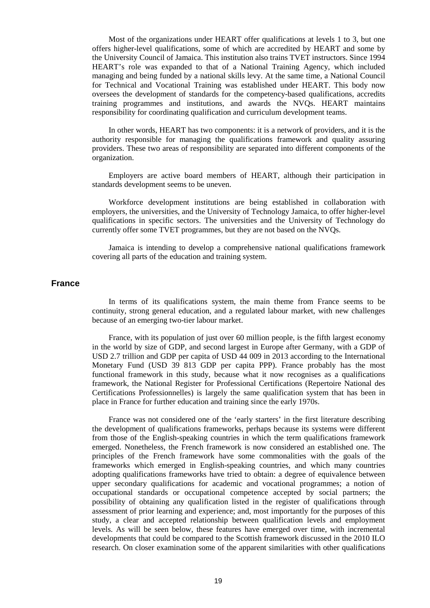Most of the organizations under HEART offer qualifications at levels 1 to 3, but one offers higher-level qualifications, some of which are accredited by HEART and some by the University Council of Jamaica. This institution also trains TVET instructors. Since 1994 HEART's role was expanded to that of a National Training Agency, which included managing and being funded by a national skills levy. At the same time, a National Council for Technical and Vocational Training was established under HEART. This body now oversees the development of standards for the competency-based qualifications, accredits training programmes and institutions, and awards the NVQs. HEART maintains responsibility for coordinating qualification and curriculum development teams.

In other words, HEART has two components: it is a network of providers, and it is the authority responsible for managing the qualifications framework and quality assuring providers. These two areas of responsibility are separated into different components of the organization.

Employers are active board members of HEART, although their participation in standards development seems to be uneven.

Workforce development institutions are being established in collaboration with employers, the universities, and the University of Technology Jamaica, to offer higher-level qualifications in specific sectors. The universities and the University of Technology do currently offer some TVET programmes, but they are not based on the NVQs.

Jamaica is intending to develop a comprehensive national qualifications framework covering all parts of the education and training system.

#### **France**

In terms of its qualifications system, the main theme from France seems to be continuity, strong general education, and a regulated labour market, with new challenges because of an emerging two-tier labour market.

France, with its population of just over 60 million people, is the fifth largest economy in the world by size of GDP, and second largest in Europe after Germany, with a GDP of USD 2.7 trillion and GDP per capita of USD 44 009 in 2013 according to the International Monetary Fund (USD 39 813 GDP per capita PPP). France probably has the most functional framework in this study, because what it now recognises as a qualifications framework, the National Register for Professional Certifications (Repertoire National des Certifications Professionnelles) is largely the same qualification system that has been in place in France for further education and training since the early 1970s.

France was not considered one of the 'early starters' in the first literature describing the development of qualifications frameworks, perhaps because its systems were different from those of the English-speaking countries in which the term qualifications framework emerged. Nonetheless, the French framework is now considered an established one. The principles of the French framework have some commonalities with the goals of the frameworks which emerged in English-speaking countries, and which many countries adopting qualifications frameworks have tried to obtain: a degree of equivalence between upper secondary qualifications for academic and vocational programmes; a notion of occupational standards or occupational competence accepted by social partners; the possibility of obtaining any qualification listed in the register of qualifications through assessment of prior learning and experience; and, most importantly for the purposes of this study, a clear and accepted relationship between qualification levels and employment levels. As will be seen below, these features have emerged over time, with incremental developments that could be compared to the Scottish framework discussed in the 2010 ILO research. On closer examination some of the apparent similarities with other qualifications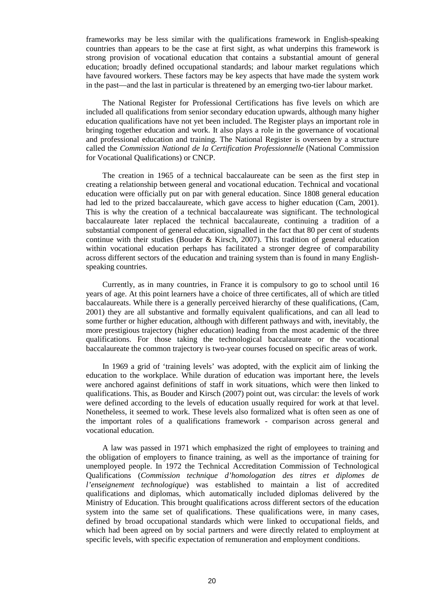frameworks may be less similar with the qualifications framework in English-speaking countries than appears to be the case at first sight, as what underpins this framework is strong provision of vocational education that contains a substantial amount of general education; broadly defined occupational standards; and labour market regulations which have favoured workers. These factors may be key aspects that have made the system work in the past—and the last in particular is threatened by an emerging two-tier labour market.

The National Register for Professional Certifications has five levels on which are included all qualifications from senior secondary education upwards, although many higher education qualifications have not yet been included. The Register plays an important role in bringing together education and work. It also plays a role in the governance of vocational and professional education and training. The National Register is overseen by a structure called the *Commission National de la Certification Professionnelle* (National Commission for Vocational Qualifications) or CNCP.

The creation in 1965 of a technical baccalaureate can be seen as the first step in creating a relationship between general and vocational education. Technical and vocational education were officially put on par with general education. Since 1808 general education had led to the prized baccalaureate, which gave access to higher education (Cam, 2001). This is why the creation of a technical baccalaureate was significant. The technological baccalaureate later replaced the technical baccalaureate, continuing a tradition of a substantial component of general education, signalled in the fact that 80 per cent of students continue with their studies (Bouder & Kirsch, 2007). This tradition of general education within vocational education perhaps has facilitated a stronger degree of comparability across different sectors of the education and training system than is found in many Englishspeaking countries.

Currently, as in many countries, in France it is compulsory to go to school until 16 years of age. At this point learners have a choice of three certificates, all of which are titled baccalaureats. While there is a generally perceived hierarchy of these qualifications, (Cam, 2001) they are all substantive and formally equivalent qualifications, and can all lead to some further or higher education, although with different pathways and with, inevitably, the more prestigious trajectory (higher education) leading from the most academic of the three qualifications. For those taking the technological baccalaureate or the vocational baccalaureate the common trajectory is two-year courses focused on specific areas of work.

In 1969 a grid of 'training levels' was adopted, with the explicit aim of linking the education to the workplace. While duration of education was important here, the levels were anchored against definitions of staff in work situations, which were then linked to qualifications. This, as Bouder and Kirsch (2007) point out, was circular: the levels of work were defined according to the levels of education usually required for work at that level. Nonetheless, it seemed to work. These levels also formalized what is often seen as one of the important roles of a qualifications framework - comparison across general and vocational education.

A law was passed in 1971 which emphasized the right of employees to training and the obligation of employers to finance training, as well as the importance of training for unemployed people. In 1972 the Technical Accreditation Commission of Technological Qualifications (*Commission technique d'homologation des titres et diplomes de l'enseignement technologique*) was established to maintain a list of accredited qualifications and diplomas, which automatically included diplomas delivered by the Ministry of Education. This brought qualifications across different sectors of the education system into the same set of qualifications. These qualifications were, in many cases, defined by broad occupational standards which were linked to occupational fields, and which had been agreed on by social partners and were directly related to employment at specific levels, with specific expectation of remuneration and employment conditions.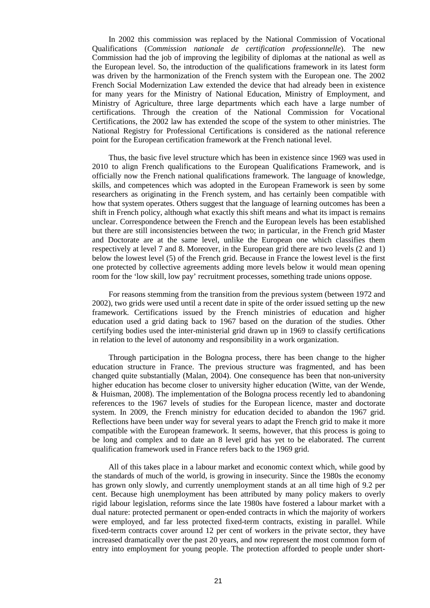In 2002 this commission was replaced by the National Commission of Vocational Qualifications (*Commission nationale de certification professionnelle*). The new Commission had the job of improving the legibility of diplomas at the national as well as the European level. So, the introduction of the qualifications framework in its latest form was driven by the harmonization of the French system with the European one. The 2002 French Social Modernization Law extended the device that had already been in existence for many years for the Ministry of National Education, Ministry of Employment, and Ministry of Agriculture, three large departments which each have a large number of certifications. Through the creation of the National Commission for Vocational Certifications, the 2002 law has extended the scope of the system to other ministries. The National Registry for Professional Certifications is considered as the national reference point for the European certification framework at the French national level.

Thus, the basic five level structure which has been in existence since 1969 was used in 2010 to align French qualifications to the European Qualifications Framework, and is officially now the French national qualifications framework. The language of knowledge, skills, and competences which was adopted in the European Framework is seen by some researchers as originating in the French system, and has certainly been compatible with how that system operates. Others suggest that the language of learning outcomes has been a shift in French policy, although what exactly this shift means and what its impact is remains unclear. Correspondence between the French and the European levels has been established but there are still inconsistencies between the two; in particular, in the French grid Master and Doctorate are at the same level, unlike the European one which classifies them respectively at level 7 and 8. Moreover, in the European grid there are two levels (2 and 1) below the lowest level (5) of the French grid. Because in France the lowest level is the first one protected by collective agreements adding more levels below it would mean opening room for the 'low skill, low pay' recruitment processes, something trade unions oppose.

For reasons stemming from the transition from the previous system (between 1972 and 2002), two grids were used until a recent date in spite of the order issued setting up the new framework. Certifications issued by the French ministries of education and higher education used a grid dating back to 1967 based on the duration of the studies. Other certifying bodies used the inter-ministerial grid drawn up in 1969 to classify certifications in relation to the level of autonomy and responsibility in a work organization.

Through participation in the Bologna process, there has been change to the higher education structure in France. The previous structure was fragmented, and has been changed quite substantially (Malan, 2004). One consequence has been that non-university higher education has become closer to university higher education (Witte, van der Wende, & Huisman, 2008). The implementation of the Bologna process recently led to abandoning references to the 1967 levels of studies for the European licence, master and doctorate system. In 2009, the French ministry for education decided to abandon the 1967 grid. Reflections have been under way for several years to adapt the French grid to make it more compatible with the European framework. It seems, however, that this process is going to be long and complex and to date an 8 level grid has yet to be elaborated. The current qualification framework used in France refers back to the 1969 grid.

All of this takes place in a labour market and economic context which, while good by the standards of much of the world, is growing in insecurity. Since the 1980s the economy has grown only slowly, and currently unemployment stands at an all time high of 9.2 per cent. Because high unemployment has been attributed by many policy makers to overly rigid labour legislation, reforms since the late 1980s have fostered a labour market with a dual nature: protected permanent or open-ended contracts in which the majority of workers were employed, and far less protected fixed-term contracts, existing in parallel. While fixed-term contracts cover around 12 per cent of workers in the private sector, they have increased dramatically over the past 20 years, and now represent the most common form of entry into employment for young people. The protection afforded to people under short-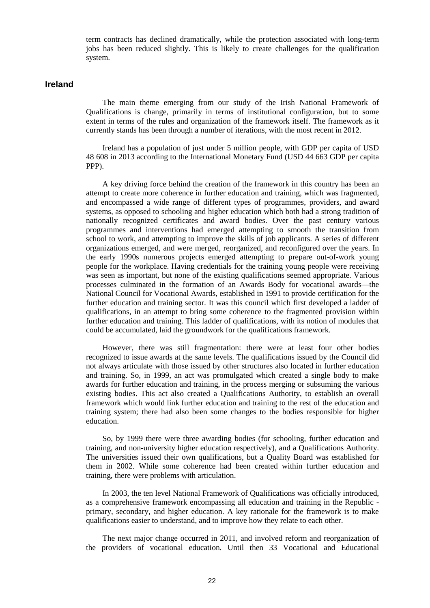term contracts has declined dramatically, while the protection associated with long-term jobs has been reduced slightly. This is likely to create challenges for the qualification system.

#### **Ireland**

The main theme emerging from our study of the Irish National Framework of Qualifications is change, primarily in terms of institutional configuration, but to some extent in terms of the rules and organization of the framework itself. The framework as it currently stands has been through a number of iterations, with the most recent in 2012.

Ireland has a population of just under 5 million people, with GDP per capita of USD 48 608 in 2013 according to the International Monetary Fund (USD 44 663 GDP per capita PPP).

A key driving force behind the creation of the framework in this country has been an attempt to create more coherence in further education and training, which was fragmented, and encompassed a wide range of different types of programmes, providers, and award systems, as opposed to schooling and higher education which both had a strong tradition of nationally recognized certificates and award bodies. Over the past century various programmes and interventions had emerged attempting to smooth the transition from school to work, and attempting to improve the skills of job applicants. A series of different organizations emerged, and were merged, reorganized, and reconfigured over the years. In the early 1990s numerous projects emerged attempting to prepare out-of-work young people for the workplace. Having credentials for the training young people were receiving was seen as important, but none of the existing qualifications seemed appropriate. Various processes culminated in the formation of an Awards Body for vocational awards—the National Council for Vocational Awards, established in 1991 to provide certification for the further education and training sector. It was this council which first developed a ladder of qualifications, in an attempt to bring some coherence to the fragmented provision within further education and training. This ladder of qualifications, with its notion of modules that could be accumulated, laid the groundwork for the qualifications framework.

However, there was still fragmentation: there were at least four other bodies recognized to issue awards at the same levels. The qualifications issued by the Council did not always articulate with those issued by other structures also located in further education and training. So, in 1999, an act was promulgated which created a single body to make awards for further education and training, in the process merging or subsuming the various existing bodies. This act also created a Qualifications Authority, to establish an overall framework which would link further education and training to the rest of the education and training system; there had also been some changes to the bodies responsible for higher education.

So, by 1999 there were three awarding bodies (for schooling, further education and training, and non-university higher education respectively), and a Qualifications Authority. The universities issued their own qualifications, but a Quality Board was established for them in 2002. While some coherence had been created within further education and training, there were problems with articulation.

In 2003, the ten level National Framework of Qualifications was officially introduced, as a comprehensive framework encompassing all education and training in the Republic primary, secondary, and higher education. A key rationale for the framework is to make qualifications easier to understand, and to improve how they relate to each other.

The next major change occurred in 2011, and involved reform and reorganization of the providers of vocational education. Until then 33 Vocational and Educational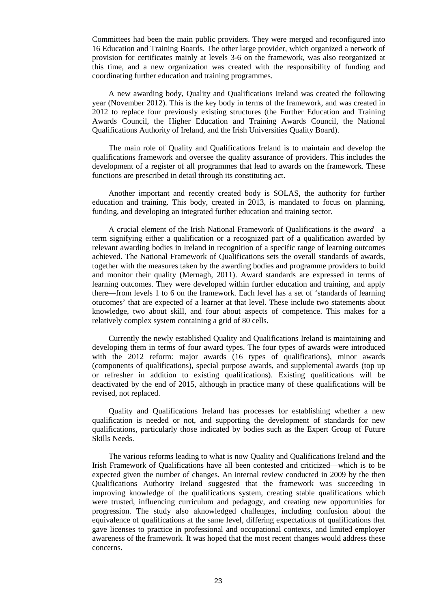Committees had been the main public providers. They were merged and reconfigured into 16 Education and Training Boards. The other large provider, which organized a network of provision for certificates mainly at levels 3-6 on the framework, was also reorganized at this time, and a new organization was created with the responsibility of funding and coordinating further education and training programmes.

A new awarding body, Quality and Qualifications Ireland was created the following year (November 2012). This is the key body in terms of the framework, and was created in 2012 to replace four previously existing structures (the Further Education and Training Awards Council, the Higher Education and Training Awards Council, the National Qualifications Authority of Ireland, and the Irish Universities Quality Board).

The main role of Quality and Qualifications Ireland is to maintain and develop the qualifications framework and oversee the quality assurance of providers. This includes the development of a register of all programmes that lead to awards on the framework. These functions are prescribed in detail through its constituting act.

Another important and recently created body is SOLAS, the authority for further education and training. This body, created in 2013, is mandated to focus on planning, funding, and developing an integrated further education and training sector.

A crucial element of the Irish National Framework of Qualifications is the *award*—a term signifying either a qualification or a recognized part of a qualification awarded by relevant awarding bodies in Ireland in recognition of a specific range of learning outcomes achieved. The National Framework of Qualifications sets the overall standards of awards, together with the measures taken by the awarding bodies and programme providers to build and monitor their quality (Mernagh, 2011). Award standards are expressed in terms of learning outcomes. They were developed within further education and training, and apply there—from levels 1 to 6 on the framework. Each level has a set of 'standards of learning otucomes' that are expected of a learner at that level. These include two statements about knowledge, two about skill, and four about aspects of competence. This makes for a relatively complex system containing a grid of 80 cells.

Currently the newly established Quality and Qualifications Ireland is maintaining and developing them in terms of four award types. The four types of awards were introduced with the 2012 reform: major awards (16 types of qualifications), minor awards (components of qualifications), special purpose awards, and supplemental awards (top up or refresher in addition to existing qualifications). Existing qualifications will be deactivated by the end of 2015, although in practice many of these qualifications will be revised, not replaced.

Quality and Qualifications Ireland has processes for establishing whether a new qualification is needed or not, and supporting the development of standards for new qualifications, particularly those indicated by bodies such as the Expert Group of Future Skills Needs.

The various reforms leading to what is now Quality and Qualifications Ireland and the Irish Framework of Qualifications have all been contested and criticized—which is to be expected given the number of changes. An internal review conducted in 2009 by the then Qualifications Authority Ireland suggested that the framework was succeeding in improving knowledge of the qualifications system, creating stable qualifications which were trusted, influencing curriculum and pedagogy, and creating new opportunities for progression. The study also aknowledged challenges, including confusion about the equivalence of qualifications at the same level, differing expectations of qualifications that gave licenses to practice in professional and occupational contexts, and limited employer awareness of the framework. It was hoped that the most recent changes would address these concerns.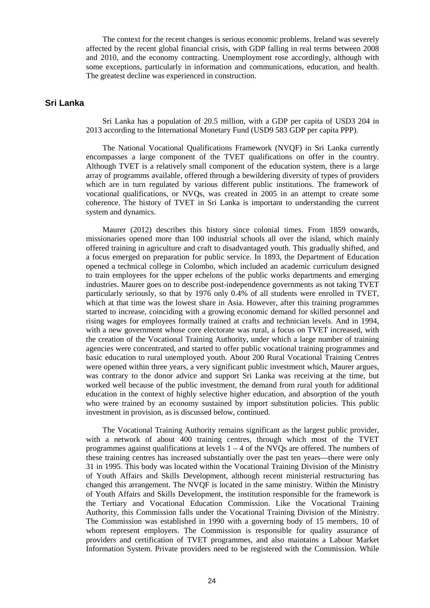The context for the recent changes is serious economic problems. Ireland was severely affected by the recent global financial crisis, with GDP falling in real terms between 2008 and 2010, and the economy contracting. Unemployment rose accordingly, although with some exceptions, particularly in information and communications, education, and health. The greatest decline was experienced in construction.

## **Sri Lanka**

Sri Lanka has a population of 20.5 million, with a GDP per capita of USD3 204 in 2013 according to the International Monetary Fund (USD9 583 GDP per capita PPP).

The National Vocational Qualifications Framework (NVQF) in Sri Lanka currently encompasses a large component of the TVET qualifications on offer in the country. Although TVET is a relatively small component of the education system, there is a large array of programms available, offered through a bewildering diversity of types of providers which are in turn regulated by various different public institutions. The framework of vocational qualifications, or NVQs, was created in 2005 in an attempt to create some coherence. The history of TVET in Sri Lanka is important to understanding the current system and dynamics.

Maurer (2012) describes this history since colonial times. From 1859 onwards, missionaries opened more than 100 industrial schools all over the island, which mainly offered training in agriculture and craft to disadvantaged youth. This gradually shifted, and a focus emerged on preparation for public service. In 1893, the Department of Education opened a technical college in Colombo, which included an academic curriculum designed to train employees for the upper echelons of the public works departments and emerging industries. Maurer goes on to describe post-independence governments as not taking TVET particularly seriously, so that by 1976 only 0.4% of all students were enrolled in TVET, which at that time was the lowest share in Asia. However, after this training programmes started to increase, coinciding with a growing economic demand for skilled personnel and rising wages for employees formally trained at crafts and technician levels. And in 1994, with a new government whose core electorate was rural, a focus on TVET increased, with the creation of the Vocational Training Authority, under which a large number of training agencies were concentrated, and started to offer public vocational training programmes and basic education to rural unemployed youth. About 200 Rural Vocational Training Centres were opened within three years, a very significant public investment which, Maurer argues, was contrary to the donor advice and support Sri Lanka was receiving at the time, but worked well because of the public investment, the demand from rural youth for additional education in the context of highly selective higher education, and absorption of the youth who were trained by an economy sustained by import substitution policies. This public investment in provision, as is discussed below, continued.

The Vocational Training Authority remains significant as the largest public provider, with a network of about 400 training centres, through which most of the TVET programmes against qualifications at levels  $1 - 4$  of the NVQs are offered. The numbers of these training centres has increased substantially over the past ten years—there were only 31 in 1995. This body was located within the Vocational Training Division of the Ministry of Youth Affairs and Skills Development, although recent ministerial restructuring has changed this arrangement. The NVQF is located in the same ministry. Within the Ministry of Youth Affairs and Skills Development, the institution responsible for the framework is the Tertiary and Vocational Education Commission. Like the Vocational Training Authority, this Commission falls under the Vocational Training Division of the Ministry. The Commission was established in 1990 with a governing body of 15 members, 10 of whom represent employers. The Commission is responsible for quality assurance of providers and certification of TVET programmes, and also maintains a Labour Market Information System. Private providers need to be registered with the Commission. While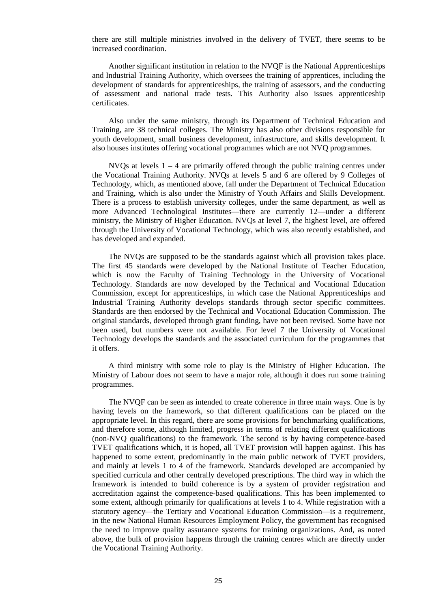there are still multiple ministries involved in the delivery of TVET, there seems to be increased coordination.

Another significant institution in relation to the NVQF is the National Apprenticeships and Industrial Training Authority, which oversees the training of apprentices, including the development of standards for apprenticeships, the training of assessors, and the conducting of assessment and national trade tests. This Authority also issues apprenticeship certificates.

Also under the same ministry, through its Department of Technical Education and Training, are 38 technical colleges. The Ministry has also other divisions responsible for youth development, small business development, infrastructure, and skills development. It also houses institutes offering vocational programmes which are not NVQ programmes.

NVQs at levels  $1 - 4$  are primarily offered through the public training centres under the Vocational Training Authority. NVQs at levels 5 and 6 are offered by 9 Colleges of Technology, which, as mentioned above, fall under the Department of Technical Education and Training, which is also under the Ministry of Youth Affairs and Skills Development. There is a process to establish university colleges, under the same department, as well as more Advanced Technological Institutes—there are currently 12—under a different ministry, the Ministry of Higher Education. NVQs at level 7, the highest level, are offered through the University of Vocational Technology, which was also recently established, and has developed and expanded.

The NVQs are supposed to be the standards against which all provision takes place. The first 45 standards were developed by the National Institute of Teacher Education, which is now the Faculty of Training Technology in the University of Vocational Technology. Standards are now developed by the Technical and Vocational Education Commission, except for apprenticeships, in which case the National Apprenticeships and Industrial Training Authority develops standards through sector specific committees. Standards are then endorsed by the Technical and Vocational Education Commission. The original standards, developed through grant funding, have not been revised. Some have not been used, but numbers were not available. For level 7 the University of Vocational Technology develops the standards and the associated curriculum for the programmes that it offers.

A third ministry with some role to play is the Ministry of Higher Education. The Ministry of Labour does not seem to have a major role, although it does run some training programmes.

The NVQF can be seen as intended to create coherence in three main ways. One is by having levels on the framework, so that different qualifications can be placed on the appropriate level. In this regard, there are some provisions for benchmarking qualifications, and therefore some, although limited, progress in terms of relating different qualifications (non-NVQ qualifications) to the framework. The second is by having competence-based TVET qualifications which, it is hoped, all TVET provision will happen against. This has happened to some extent, predominantly in the main public network of TVET providers, and mainly at levels 1 to 4 of the framework. Standards developed are accompanied by specified curricula and other centrally developed prescriptions. The third way in which the framework is intended to build coherence is by a system of provider registration and accreditation against the competence-based qualifications. This has been implemented to some extent, although primarily for qualifications at levels 1 to 4. While registration with a statutory agency—the Tertiary and Vocational Education Commission—is a requirement, in the new National Human Resources Employment Policy, the government has recognised the need to improve quality assurance systems for training organizations. And, as noted above, the bulk of provision happens through the training centres which are directly under the Vocational Training Authority.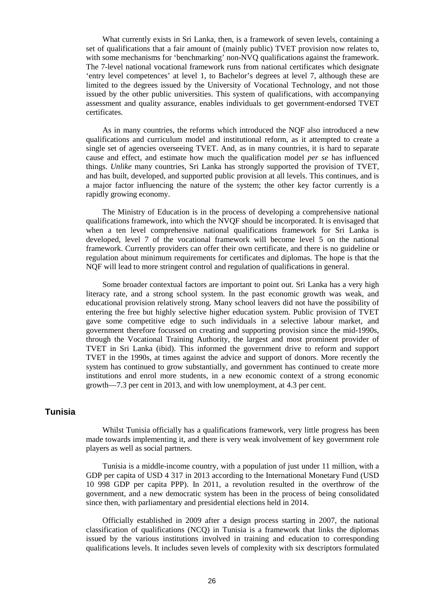What currently exists in Sri Lanka, then, is a framework of seven levels, containing a set of qualifications that a fair amount of (mainly public) TVET provision now relates to, with some mechanisms for 'benchmarking' non-NVQ qualifications against the framework. The 7-level national vocational framework runs from national certificates which designate 'entry level competences' at level 1, to Bachelor's degrees at level 7, although these are limited to the degrees issued by the University of Vocational Technology, and not those issued by the other public universities. This system of qualifications, with accompanying assessment and quality assurance, enables individuals to get government-endorsed TVET certificates.

As in many countries, the reforms which introduced the NQF also introduced a new qualifications and curriculum model and institutional reform, as it attempted to create a single set of agencies overseeing TVET. And, as in many countries, it is hard to separate cause and effect, and estimate how much the qualification model *per se* has influenced things. *Unlike* many countries, Sri Lanka has strongly supported the provision of TVET, and has built, developed, and supported public provision at all levels. This continues, and is a major factor influencing the nature of the system; the other key factor currently is a rapidly growing economy.

The Ministry of Education is in the process of developing a comprehensive national qualifications framework, into which the NVQF should be incorporated. It is envisaged that when a ten level comprehensive national qualifications framework for Sri Lanka is developed, level 7 of the vocational framework will become level 5 on the national framework. Currently providers can offer their own certificate, and there is no guideline or regulation about minimum requirements for certificates and diplomas. The hope is that the NQF will lead to more stringent control and regulation of qualifications in general.

Some broader contextual factors are important to point out. Sri Lanka has a very high literacy rate, and a strong school system. In the past economic growth was weak, and educational provision relatively strong. Many school leavers did not have the possibility of entering the free but highly selective higher education system. Public provision of TVET gave some competitive edge to such individuals in a selective labour market, and government therefore focussed on creating and supporting provision since the mid-1990s, through the Vocational Training Authority, the largest and most prominent provider of TVET in Sri Lanka (ibid). This informed the government drive to reform and support TVET in the 1990s, at times against the advice and support of donors. More recently the system has continued to grow substantially, and government has continued to create more institutions and enrol more students, in a new economic context of a strong economic growth—7.3 per cent in 2013, and with low unemployment, at 4.3 per cent.

## **Tunisia**

Whilst Tunisia officially has a qualifications framework, very little progress has been made towards implementing it, and there is very weak involvement of key government role players as well as social partners.

Tunisia is a middle-income country, with a population of just under 11 million, with a GDP per capita of USD 4 317 in 2013 according to the International Monetary Fund (USD 10 998 GDP per capita PPP). In 2011, a revolution resulted in the overthrow of the government, and a new democratic system has been in the process of being consolidated since then, with parliamentary and presidential elections held in 2014.

Officially established in 2009 after a design process starting in 2007, the national classification of qualifications (NCQ) in Tunisia is a framework that links the diplomas issued by the various institutions involved in training and education to corresponding qualifications levels. It includes seven levels of complexity with six descriptors formulated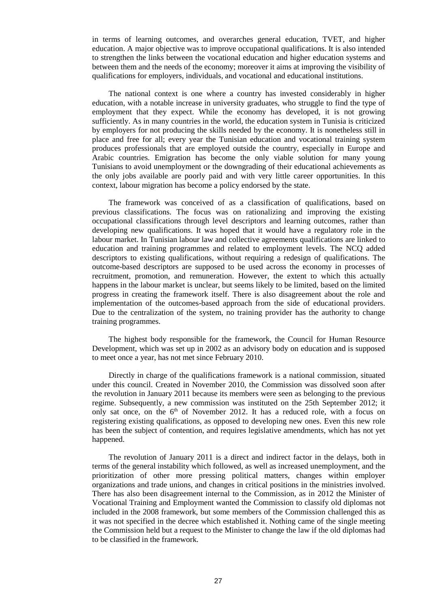in terms of learning outcomes, and overarches general education, TVET, and higher education. A major objective was to improve occupational qualifications. It is also intended to strengthen the links between the vocational education and higher education systems and between them and the needs of the economy; moreover it aims at improving the visibility of qualifications for employers, individuals, and vocational and educational institutions.

The national context is one where a country has invested considerably in higher education, with a notable increase in university graduates, who struggle to find the type of employment that they expect. While the economy has developed, it is not growing sufficiently. As in many countries in the world, the education system in Tunisia is criticized by employers for not producing the skills needed by the economy. It is nonetheless still in place and free for all; every year the Tunisian education and vocational training system produces professionals that are employed outside the country, especially in Europe and Arabic countries. Emigration has become the only viable solution for many young Tunisians to avoid unemployment or the downgrading of their educational achievements as the only jobs available are poorly paid and with very little career opportunities. In this context, labour migration has become a policy endorsed by the state.

The framework was conceived of as a classification of qualifications, based on previous classifications. The focus was on rationalizing and improving the existing occupational classifications through level descriptors and learning outcomes, rather than developing new qualifications. It was hoped that it would have a regulatory role in the labour market. In Tunisian labour law and collective agreements qualifications are linked to education and training programmes and related to employment levels. The NCQ added descriptors to existing qualifications, without requiring a redesign of qualifications. The outcome-based descriptors are supposed to be used across the economy in processes of recruitment, promotion, and remuneration. However, the extent to which this actually happens in the labour market is unclear, but seems likely to be limited, based on the limited progress in creating the framework itself. There is also disagreement about the role and implementation of the outcomes-based approach from the side of educational providers. Due to the centralization of the system, no training provider has the authority to change training programmes.

The highest body responsible for the framework, the Council for Human Resource Development, which was set up in 2002 as an advisory body on education and is supposed to meet once a year, has not met since February 2010.

Directly in charge of the qualifications framework is a national commission, situated under this council. Created in November 2010, the Commission was dissolved soon after the revolution in January 2011 because its members were seen as belonging to the previous regime. Subsequently, a new commission was instituted on the 25th September 2012; it only sat once, on the  $6<sup>th</sup>$  of November 2012. It has a reduced role, with a focus on registering existing qualifications, as opposed to developing new ones. Even this new role has been the subject of contention, and requires legislative amendments, which has not yet happened.

The revolution of January 2011 is a direct and indirect factor in the delays, both in terms of the general instability which followed, as well as increased unemployment, and the prioritization of other more pressing political matters, changes within employer organizations and trade unions, and changes in critical positions in the ministries involved. There has also been disagreement internal to the Commission, as in 2012 the Minister of Vocational Training and Employment wanted the Commission to classify old diplomas not included in the 2008 framework, but some members of the Commission challenged this as it was not specified in the decree which established it. Nothing came of the single meeting the Commission held but a request to the Minister to change the law if the old diplomas had to be classified in the framework.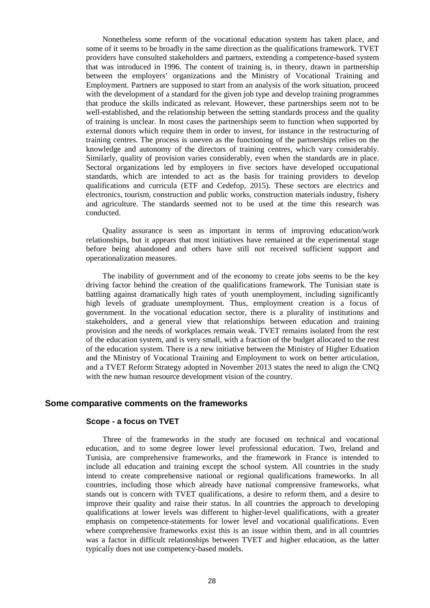Nonetheless some reform of the vocational education system has taken place, and some of it seems to be broadly in the same direction as the qualifications framework. TVET providers have consulted stakeholders and partners, extending a competence-based system that was introduced in 1996. The content of training is, in theory, drawn in partnership between the employers' organizations and the Ministry of Vocational Training and Employment. Partners are supposed to start from an analysis of the work situation, proceed with the development of a standard for the given job type and develop training programmes that produce the skills indicated as relevant. However, these partnerships seem not to be well-established, and the relationship between the setting standards process and the quality of training is unclear. In most cases the partnerships seem to function when supported by external donors which require them in order to invest, for instance in the restructuring of training centres. The process is uneven as the functioning of the partnerships relies on the knowledge and autonomy of the directors of training centres, which vary considerably. Similarly, quality of provision varies considerably, even when the standards are in place. Sectoral organizations led by employers in five sectors have developed occupational standards, which are intended to act as the basis for training providers to develop qualifications and curricula (ETF and Cedefop, 2015). These sectors are electrics and electronics, tourism, construction and public works, construction materials industry, fishery and agriculture. The standards seemed not to be used at the time this research was conducted.

Quality assurance is seen as important in terms of improving education/work relationships, but it appears that most initiatives have remained at the experimental stage before being abandoned and others have still not received sufficient support and operationalization measures.

The inability of government and of the economy to create jobs seems to be the key driving factor behind the creation of the qualifications framework. The Tunisian state is battling against dramatically high rates of youth unemployment, including significantly high levels of graduate unemployment. Thus, employment creation is a focus of government. In the vocational education sector, there is a plurality of institutions and stakeholders, and a general view that relationships between education and training provision and the needs of workplaces remain weak. TVET remains isolated from the rest of the education system, and is very small, with a fraction of the budget allocated to the rest of the education system. There is a new initiative between the Ministry of Higher Eduation and the Ministry of Vocational Training and Employment to work on better articulation, and a TVET Reform Strategy adopted in November 2013 states the need to align the CNQ with the new human resource development vision of the country.

#### **Some comparative comments on the frameworks**

#### **Scope - a focus on TVET**

Three of the frameworks in the study are focused on technical and vocational education, and to some degree lower level professional education. Two, Ireland and Tunisia, are comprehensive frameworks, and the framework in France is intended to include all education and training except the school system. All countries in the study intend to create comprehensive national or regional qualifications frameworks. In all countries, including those which already have national comprensive frameworks, what stands out is concern with TVET qualifications, a desire to reform them, and a desire to improve their quality and raise their status. In all countries the approach to developing qualifications at lower levels was different to higher-level qualifications, with a greater emphasis on competence-statements for lower level and vocational qualifications. Even where comprehensive frameworks exist this is an issue within them, and in all countries was a factor in difficult relationships between TVET and higher education, as the latter typically does not use competency-based models.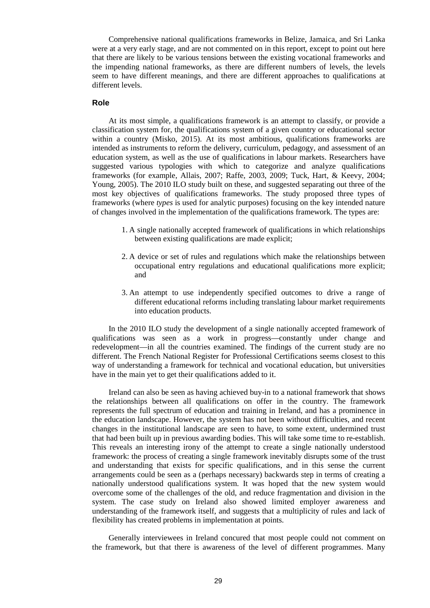Comprehensive national qualifications frameworks in Belize, Jamaica, and Sri Lanka were at a very early stage, and are not commented on in this report, except to point out here that there are likely to be various tensions between the existing vocational frameworks and the impending national frameworks, as there are different numbers of levels, the levels seem to have different meanings, and there are different approaches to qualifications at different levels.

#### **Role**

At its most simple, a qualifications framework is an attempt to classify, or provide a classification system for, the qualifications system of a given country or educational sector within a country (Misko, 2015). At its most ambitious, qualifications frameworks are intended as instruments to reform the delivery, curriculum, pedagogy, and assessment of an education system, as well as the use of qualifications in labour markets. Researchers have suggested various typologies with which to categorize and analyze qualifications frameworks (for example, Allais, 2007; Raffe, 2003, 2009; Tuck, Hart, & Keevy, 2004; Young, 2005). The 2010 ILO study built on these, and suggested separating out three of the most key objectives of qualifications frameworks. The study proposed three types of frameworks (where *types* is used for analytic purposes) focusing on the key intended nature of changes involved in the implementation of the qualifications framework. The types are:

- 1. A single nationally accepted framework of qualifications in which relationships between existing qualifications are made explicit;
- 2. A device or set of rules and regulations which make the relationships between occupational entry regulations and educational qualifications more explicit; and
- 3. An attempt to use independently specified outcomes to drive a range of different educational reforms including translating labour market requirements into education products.

In the 2010 ILO study the development of a single nationally accepted framework of qualifications was seen as a work in progress—constantly under change and redevelopment—in all the countries examined. The findings of the current study are no different. The French National Register for Professional Certifications seems closest to this way of understanding a framework for technical and vocational education, but universities have in the main yet to get their qualifications added to it.

Ireland can also be seen as having achieved buy-in to a national framework that shows the relationships between all qualifications on offer in the country. The framework represents the full spectrum of education and training in Ireland, and has a prominence in the education landscape. However, the system has not been without difficulties, and recent changes in the institutional landscape are seen to have, to some extent, undermined trust that had been built up in previous awarding bodies. This will take some time to re-establish. This reveals an interesting irony of the attempt to create a single nationally understood framework: the process of creating a single framework inevitably disrupts some of the trust and understanding that exists for specific qualifications, and in this sense the current arrangements could be seen as a (perhaps necessary) backwards step in terms of creating a nationally understood qualifications system. It was hoped that the new system would overcome some of the challenges of the old, and reduce fragmentation and division in the system. The case study on Ireland also showed limited employer awareness and understanding of the framework itself, and suggests that a multiplicity of rules and lack of flexibility has created problems in implementation at points.

Generally interviewees in Ireland concured that most people could not comment on the framework, but that there is awareness of the level of different programmes. Many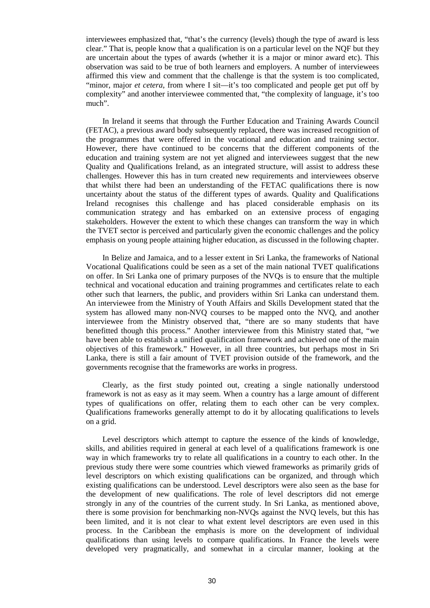interviewees emphasized that, "that's the currency (levels) though the type of award is less clear." That is, people know that a qualification is on a particular level on the NQF but they are uncertain about the types of awards (whether it is a major or minor award etc). This observation was said to be true of both learners and employers. A number of interviewees affirmed this view and comment that the challenge is that the system is too complicated, "minor, major *et cetera*, from where I sit—it's too complicated and people get put off by complexity" and another interviewee commented that, "the complexity of language, it's too much".

In Ireland it seems that through the Further Education and Training Awards Council (FETAC), a previous award body subsequently replaced, there was increased recognition of the programmes that were offered in the vocational and education and training sector. However, there have continued to be concerns that the different components of the education and training system are not yet aligned and interviewees suggest that the new Quality and Qualifications Ireland, as an integrated structure, will assist to address these challenges. However this has in turn created new requirements and interviewees observe that whilst there had been an understanding of the FETAC qualifications there is now uncertainty about the status of the different types of awards. Quality and Qualifications Ireland recognises this challenge and has placed considerable emphasis on its communication strategy and has embarked on an extensive process of engaging stakeholders. However the extent to which these changes can transform the way in which the TVET sector is perceived and particularly given the economic challenges and the policy emphasis on young people attaining higher education, as discussed in the following chapter.

In Belize and Jamaica, and to a lesser extent in Sri Lanka, the frameworks of National Vocational Qualifications could be seen as a set of the main national TVET qualifications on offer. In Sri Lanka one of primary purposes of the NVQs is to ensure that the multiple technical and vocational education and training programmes and certificates relate to each other such that learners, the public, and providers within Sri Lanka can understand them. An interviewee from the Ministry of Youth Affairs and Skills Development stated that the system has allowed many non-NVQ courses to be mapped onto the NVQ, and another interviewee from the Ministry observed that, "there are so many students that have benefitted though this process." Another interviewee from this Ministry stated that, "we have been able to establish a unified qualification framework and achieved one of the main objectives of this framework." However, in all three countries, but perhaps most in Sri Lanka, there is still a fair amount of TVET provision outside of the framework, and the governments recognise that the frameworks are works in progress.

Clearly, as the first study pointed out, creating a single nationally understood framework is not as easy as it may seem. When a country has a large amount of different types of qualifications on offer, relating them to each other can be very complex. Qualifications frameworks generally attempt to do it by allocating qualifications to levels on a grid.

Level descriptors which attempt to capture the essence of the kinds of knowledge, skills, and abilities required in general at each level of a qualifications framework is one way in which frameworks try to relate all qualifications in a country to each other. In the previous study there were some countries which viewed frameworks as primarily grids of level descriptors on which existing qualifications can be organized, and through which existing qualifications can be understood. Level descriptors were also seen as the base for the development of new qualifications. The role of level descriptors did not emerge strongly in any of the countries of the current study. In Sri Lanka, as mentioned above, there is some provision for benchmarking non-NVQs against the NVQ levels, but this has been limited, and it is not clear to what extent level descriptors are even used in this process. In the Caribbean the emphasis is more on the development of individual qualifications than using levels to compare qualifications. In France the levels were developed very pragmatically, and somewhat in a circular manner, looking at the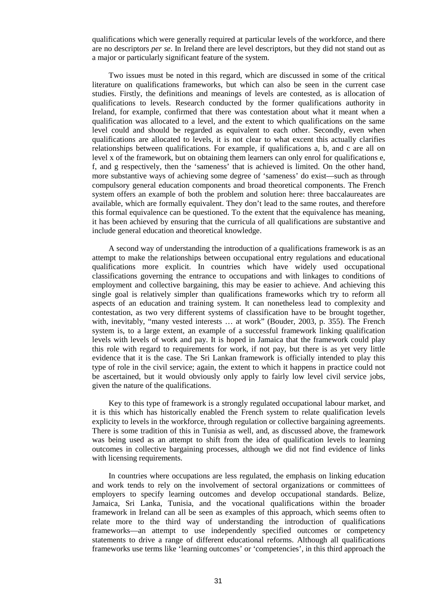qualifications which were generally required at particular levels of the workforce, and there are no descriptors *per se*. In Ireland there are level descriptors, but they did not stand out as a major or particularly significant feature of the system.

Two issues must be noted in this regard, which are discussed in some of the critical literature on qualifications frameworks, but which can also be seen in the current case studies. Firstly, the definitions and meanings of levels are contested, as is allocation of qualifications to levels. Research conducted by the former qualifications authority in Ireland, for example, confirmed that there was contestation about what it meant when a qualification was allocated to a level, and the extent to which qualifications on the same level could and should be regarded as equivalent to each other. Secondly, even when qualifications are allocated to levels, it is not clear to what excent this actually clarifies relationships between qualifications. For example, if qualifications a, b, and c are all on level x of the framework, but on obtaining them learners can only enrol for qualifications e, f, and g respectively, then the 'sameness' that is achieved is limited. On the other hand, more substantive ways of achieving some degree of 'sameness' do exist—such as through compulsory general education components and broad theoretical components. The French system offers an example of both the problem and solution here: three baccalaureates are available, which are formally equivalent. They don't lead to the same routes, and therefore this formal equivalence can be questioned. To the extent that the equivalence has meaning, it has been achieved by ensuring that the curricula of all qualifications are substantive and include general education and theoretical knowledge.

A second way of understanding the introduction of a qualifications framework is as an attempt to make the relationships between occupational entry regulations and educational qualifications more explicit. In countries which have widely used occupational classifications governing the entrance to occupations and with linkages to conditions of employment and collective bargaining, this may be easier to achieve. And achieving this single goal is relatively simpler than qualifications frameworks which try to reform all aspects of an education and training system. It can nonetheless lead to complexity and contestation, as two very different systems of classification have to be brought together, with, inevitably, "many vested interests … at work" (Bouder, 2003, p. 355). The French system is, to a large extent, an example of a successful framework linking qualification levels with levels of work and pay. It is hoped in Jamaica that the framework could play this role with regard to requirements for work, if not pay, but there is as yet very little evidence that it is the case. The Sri Lankan framework is officially intended to play this type of role in the civil service; again, the extent to which it happens in practice could not be ascertained, but it would obviously only apply to fairly low level civil service jobs, given the nature of the qualifications.

Key to this type of framework is a strongly regulated occupational labour market, and it is this which has historically enabled the French system to relate qualification levels explicity to levels in the workforce, through regulation or collective bargaining agreements. There is some tradition of this in Tunisia as well, and, as discussed above, the framework was being used as an attempt to shift from the idea of qualification levels to learning outcomes in collective bargaining processes, although we did not find evidence of links with licensing requirements.

In countries where occupations are less regulated, the emphasis on linking education and work tends to rely on the involvement of sectoral organizations or committees of employers to specify learning outcomes and develop occupational standards. Belize, Jamaica, Sri Lanka, Tunisia, and the vocational qualifications within the broader framework in Ireland can all be seen as examples of this approach, which seems often to relate more to the third way of understanding the introduction of qualifications frameworks—an attempt to use independently specified outcomes or competency statements to drive a range of different educational reforms. Although all qualifications frameworks use terms like 'learning outcomes' or 'competencies', in this third approach the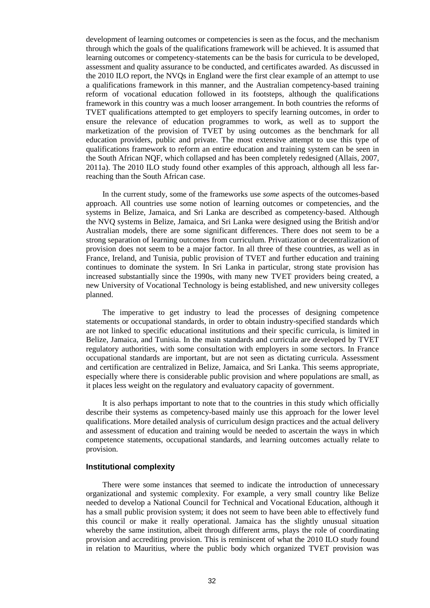development of learning outcomes or competencies is seen as the focus, and the mechanism through which the goals of the qualifications framework will be achieved. It is assumed that learning outcomes or competency-statements can be the basis for curricula to be developed, assessment and quality assurance to be conducted, and certificates awarded. As discussed in the 2010 ILO report, the NVQs in England were the first clear example of an attempt to use a qualifications framework in this manner, and the Australian competency-based training reform of vocational education followed in its footsteps, although the qualifications framework in this country was a much looser arrangement. In both countries the reforms of TVET qualifications attempted to get employers to specify learning outcomes, in order to ensure the relevance of education programmes to work, as well as to support the marketization of the provision of TVET by using outcomes as the benchmark for all education providers, public and private. The most extensive attempt to use this type of qualifications framework to reform an entire education and training system can be seen in the South African NQF, which collapsed and has been completely redesigned (Allais, 2007, 2011a). The 2010 ILO study found other examples of this approach, although all less farreaching than the South African case.

In the current study, some of the frameworks use *some* aspects of the outcomes-based approach. All countries use some notion of learning outcomes or competencies, and the systems in Belize, Jamaica, and Sri Lanka are described as competency-based. Although the NVQ systems in Belize, Jamaica, and Sri Lanka were designed using the British and/or Australian models, there are some significant differences. There does not seem to be a strong separation of learning outcomes from curriculum. Privatization or decentralization of provision does not seem to be a major factor. In all three of these countries, as well as in France, Ireland, and Tunisia, public provision of TVET and further education and training continues to dominate the system. In Sri Lanka in particular, strong state provision has increased substantially since the 1990s, with many new TVET providers being created, a new University of Vocational Technology is being established, and new university colleges planned.

The imperative to get industry to lead the processes of designing competence statements or occupational standards, in order to obtain industry-specified standards which are not linked to specific educational institutions and their specific curricula, is limited in Belize, Jamaica, and Tunisia. In the main standards and curricula are developed by TVET regulatory authorities, with some consultation with employers in some sectors. In France occupational standards are important, but are not seen as dictating curricula. Assessment and certification are centralized in Belize, Jamaica, and Sri Lanka. This seems appropriate, especially where there is considerable public provision and where populations are small, as it places less weight on the regulatory and evaluatory capacity of government.

It is also perhaps important to note that to the countries in this study which officially describe their systems as competency-based mainly use this approach for the lower level qualifications. More detailed analysis of curriculum design practices and the actual delivery and assessment of education and training would be needed to ascertain the ways in which competence statements, occupational standards, and learning outcomes actually relate to provision.

#### **Institutional complexity**

There were some instances that seemed to indicate the introduction of unnecessary organizational and systemic complexity. For example, a very small country like Belize needed to develop a National Council for Technical and Vocational Education, although it has a small public provision system; it does not seem to have been able to effectively fund this council or make it really operational. Jamaica has the slightly unusual situation whereby the same institution, albeit through different arms, plays the role of coordinating provision and accrediting provision. This is reminiscent of what the 2010 ILO study found in relation to Mauritius, where the public body which organized TVET provision was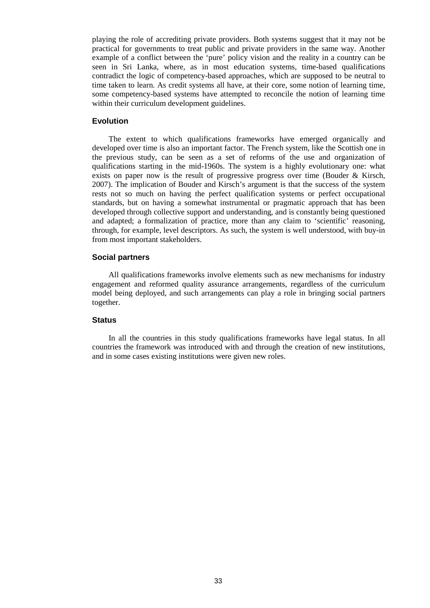playing the role of accrediting private providers. Both systems suggest that it may not be practical for governments to treat public and private providers in the same way. Another example of a conflict between the 'pure' policy vision and the reality in a country can be seen in Sri Lanka, where, as in most education systems, time-based qualifications contradict the logic of competency-based approaches, which are supposed to be neutral to time taken to learn. As credit systems all have, at their core, some notion of learning time, some competency-based systems have attempted to reconcile the notion of learning time within their curriculum development guidelines.

#### **Evolution**

The extent to which qualifications frameworks have emerged organically and developed over time is also an important factor. The French system, like the Scottish one in the previous study, can be seen as a set of reforms of the use and organization of qualifications starting in the mid-1960s. The system is a highly evolutionary one: what exists on paper now is the result of progressive progress over time (Bouder & Kirsch, 2007). The implication of Bouder and Kirsch's argument is that the success of the system rests not so much on having the perfect qualification systems or perfect occupational standards, but on having a somewhat instrumental or pragmatic approach that has been developed through collective support and understanding, and is constantly being questioned and adapted; a formalization of practice, more than any claim to 'scientific' reasoning, through, for example, level descriptors. As such, the system is well understood, with buy-in from most important stakeholders.

#### **Social partners**

All qualifications frameworks involve elements such as new mechanisms for industry engagement and reformed quality assurance arrangements, regardless of the curriculum model being deployed, and such arrangements can play a role in bringing social partners together.

#### **Status**

In all the countries in this study qualifications frameworks have legal status. In all countries the framework was introduced with and through the creation of new institutions, and in some cases existing institutions were given new roles.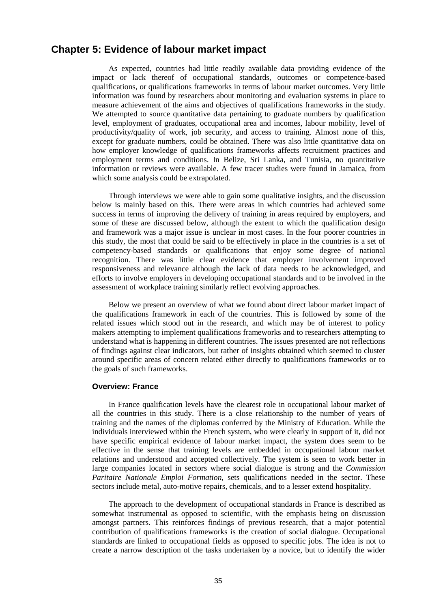## **Chapter 5: Evidence of labour market impact**

As expected, countries had little readily available data providing evidence of the impact or lack thereof of occupational standards, outcomes or competence-based qualifications, or qualifications frameworks in terms of labour market outcomes. Very little information was found by researchers about monitoring and evaluation systems in place to measure achievement of the aims and objectives of qualifications frameworks in the study. We attempted to source quantitative data pertaining to graduate numbers by qualification level, employment of graduates, occupational area and incomes, labour mobility, level of productivity/quality of work, job security, and access to training. Almost none of this, except for graduate numbers, could be obtained. There was also little quantitative data on how employer knowledge of qualifications frameworks affects recruitment practices and employment terms and conditions. In Belize, Sri Lanka, and Tunisia, no quantitative information or reviews were available. A few tracer studies were found in Jamaica, from which some analysis could be extrapolated.

Through interviews we were able to gain some qualitative insights, and the discussion below is mainly based on this. There were areas in which countries had achieved some success in terms of improving the delivery of training in areas required by employers, and some of these are discussed below, although the extent to which the qualification design and framework was a major issue is unclear in most cases. In the four poorer countries in this study, the most that could be said to be effectively in place in the countries is a set of competency-based standards or qualifications that enjoy some degree of national recognition. There was little clear evidence that employer involvement improved responsiveness and relevance although the lack of data needs to be acknowledged, and efforts to involve employers in developing occupational standards and to be involved in the assessment of workplace training similarly reflect evolving approaches.

Below we present an overview of what we found about direct labour market impact of the qualifications framework in each of the countries. This is followed by some of the related issues which stood out in the research, and which may be of interest to policy makers attempting to implement qualifications frameworks and to researchers attempting to understand what is happening in different countries. The issues presented are not reflections of findings against clear indicators, but rather of insights obtained which seemed to cluster around specific areas of concern related either directly to qualifications frameworks or to the goals of such frameworks.

#### **Overview: France**

In France qualification levels have the clearest role in occupational labour market of all the countries in this study. There is a close relationship to the number of years of training and the names of the diplomas conferred by the Ministry of Education. While the individuals interviewed within the French system, who were clearly in support of it, did not have specific empirical evidence of labour market impact, the system does seem to be effective in the sense that training levels are embedded in occupational labour market relations and understood and accepted collectively. The system is seen to work better in large companies located in sectors where social dialogue is strong and the *Commission Paritaire Nationale Emploi Formation*, sets qualifications needed in the sector. These sectors include metal, auto-motive repairs, chemicals, and to a lesser extend hospitality.

The approach to the development of occupational standards in France is described as somewhat instrumental as opposed to scientific, with the emphasis being on discussion amongst partners. This reinforces findings of previous research, that a major potential contribution of qualifications frameworks is the creation of social dialogue. Occupational standards are linked to occupational fields as opposed to specific jobs. The idea is not to create a narrow description of the tasks undertaken by a novice, but to identify the wider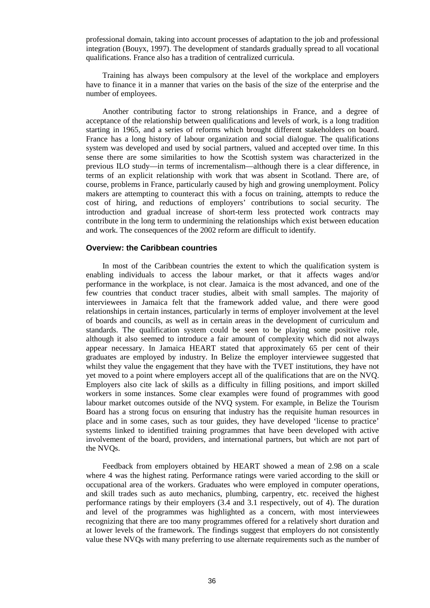professional domain, taking into account processes of adaptation to the job and professional integration (Bouyx, 1997). The development of standards gradually spread to all vocational qualifications. France also has a tradition of centralized curricula.

Training has always been compulsory at the level of the workplace and employers have to finance it in a manner that varies on the basis of the size of the enterprise and the number of employees.

Another contributing factor to strong relationships in France, and a degree of acceptance of the relationship between qualifications and levels of work, is a long tradition starting in 1965, and a series of reforms which brought different stakeholders on board. France has a long history of labour organization and social dialogue. The qualifications system was developed and used by social partners, valued and accepted over time. In this sense there are some similarities to how the Scottish system was characterized in the previous ILO study—in terms of incrementalism—although there is a clear difference, in terms of an explicit relationship with work that was absent in Scotland. There are, of course, problems in France, particularly caused by high and growing unemployment. Policy makers are attempting to counteract this with a focus on training, attempts to reduce the cost of hiring, and reductions of employers' contributions to social security. The introduction and gradual increase of short-term less protected work contracts may contribute in the long term to undermining the relationships which exist between education and work. The consequences of the 2002 reform are difficult to identify.

#### **Overview: the Caribbean countries**

In most of the Caribbean countries the extent to which the qualification system is enabling individuals to access the labour market, or that it affects wages and/or performance in the workplace, is not clear. Jamaica is the most advanced, and one of the few countries that conduct tracer studies, albeit with small samples. The majority of interviewees in Jamaica felt that the framework added value, and there were good relationships in certain instances, particularly in terms of employer involvement at the level of boards and councils, as well as in certain areas in the development of curriculum and standards. The qualification system could be seen to be playing some positive role, although it also seemed to introduce a fair amount of complexity which did not always appear necessary. In Jamaica HEART stated that approximately 65 per cent of their graduates are employed by industry. In Belize the employer interviewee suggested that whilst they value the engagement that they have with the TVET institutions, they have not yet moved to a point where employers accept all of the qualifications that are on the NVQ. Employers also cite lack of skills as a difficulty in filling positions, and import skilled workers in some instances. Some clear examples were found of programmes with good labour market outcomes outside of the NVQ system. For example, in Belize the Tourism Board has a strong focus on ensuring that industry has the requisite human resources in place and in some cases, such as tour guides, they have developed 'license to practice' systems linked to identified training programmes that have been developed with active involvement of the board, providers, and international partners, but which are not part of the NVQs.

Feedback from employers obtained by HEART showed a mean of 2.98 on a scale where 4 was the highest rating. Performance ratings were varied according to the skill or occupational area of the workers. Graduates who were employed in computer operations, and skill trades such as auto mechanics, plumbing, carpentry, etc. received the highest performance ratings by their employers (3.4 and 3.1 respectively, out of 4). The duration and level of the programmes was highlighted as a concern, with most interviewees recognizing that there are too many programmes offered for a relatively short duration and at lower levels of the framework. The findings suggest that employers do not consistently value these NVQs with many preferring to use alternate requirements such as the number of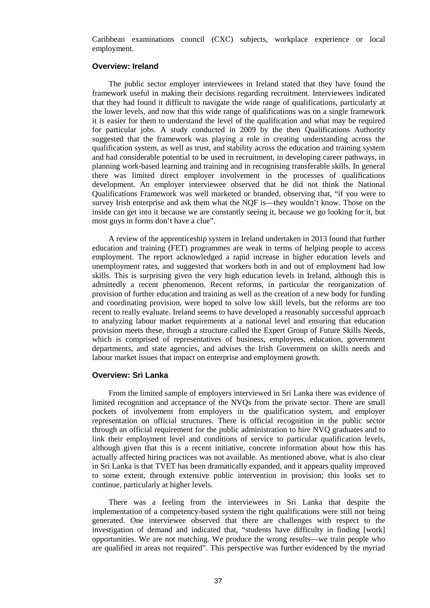Caribbean examinations council (CXC) subjects, workplace experience or local employment.

#### **Overview: Ireland**

The public sector employer interviewees in Ireland stated that they have found the framework useful in making their decisions regarding recruitment. Interviewees indicated that they had found it difficult to navigate the wide range of qualifications, particularly at the lower levels, and now that this wide range of qualifications was on a single framework it is easier for them to understand the level of the qualification and what may be required for particular jobs. A study conducted in 2009 by the then Qualifications Authority suggested that the framework was playing a role in creating understanding across the qualification system, as well as trust, and stability across the education and training system and had considerable potential to be used in recruitment, in developing career pathways, in planning work-based learning and training and in recognising transferable skills. In general there was limited direct employer involvement in the processes of qualifications development. An employer interviewee observed that he did not think the National Qualifications Framework was well marketed or branded, observing that, "if you were to survey Irish enterprise and ask them what the NQF is—they wouldn't know. Those on the inside can get into it because we are constantly seeing it, because we go looking for it, but most guys in forms don't have a clue".

A review of the apprenticeship system in Ireland undertaken in 2013 found that further education and training (FET) programmes are weak in terms of helping people to access employment. The report acknowledged a rapid increase in higher education levels and unemployment rates, and suggested that workers both in and out of employment had low skills. This is surprising given the very high education levels in Ireland, although this is admittedly a recent phenomenon. Recent reforms, in particular the reorganization of provision of further education and training as well as the creation of a new body for funding and coordinating provision, were hoped to solve low skill levels, but the reforms are too recent to really evaluate. Ireland seems to have developed a reasonably successful approach to analyzing labour market requirements at a national level and ensuring that education provision meets these, through a structure called the Expert Group of Future Skills Needs, which is comprised of representatives of business, employees, education, government departments, and state agencies, and advises the Irish Government on skills needs and labour market issues that impact on enterprise and employment growth.

#### **Overview: Sri Lanka**

From the limited sample of employers interviewed in Sri Lanka there was evidence of limited recognition and acceptance of the NVQs from the private sector. There are small pockets of involvement from employers in the qualification system, and employer representation on official structures. There is official recognition in the public sector through an official requirement for the public administration to hire NVQ graduates and to link their employment level and conditions of service to particular qualification levels, although given that this is a recent initiative, concrete information about how this has actually affected hiring practices was not available. As mentioned above, what is also clear in Sri Lanka is that TVET has been dramatically expanded, and it appears quality improved to some extent, through extensive public intervention in provision; this looks set to continue, particularly at higher levels.

There was a feeling from the interviewees in Sri Lanka that despite the implementation of a competency-based system the right qualifications were still not being generated. One interviewee observed that there are challenges with respect to the investigation of demand and indicated that, "students have difficulty in finding [work] opportunities. We are not matching. We produce the wrong results—we train people who are qualified in areas not required". This perspective was further evidenced by the myriad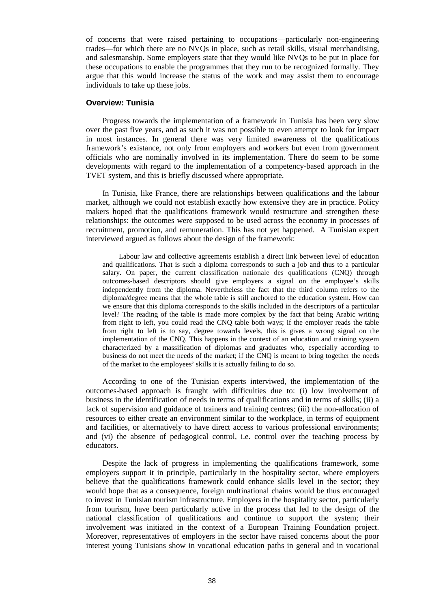of concerns that were raised pertaining to occupations—particularly non-engineering trades—for which there are no NVQs in place, such as retail skills, visual merchandising, and salesmanship. Some employers state that they would like NVQs to be put in place for these occupations to enable the programmes that they run to be recognized formally. They argue that this would increase the status of the work and may assist them to encourage individuals to take up these jobs.

#### **Overview: Tunisia**

Progress towards the implementation of a framework in Tunisia has been very slow over the past five years, and as such it was not possible to even attempt to look for impact in most instances. In general there was very limited awareness of the qualifications framework's existance, not only from employers and workers but even from government officials who are nominally involved in its implementation. There do seem to be some developments with regard to the implementation of a competency-based approach in the TVET system, and this is briefly discussed where appropriate.

In Tunisia, like France, there are relationships between qualifications and the labour market, although we could not establish exactly how extensive they are in practice. Policy makers hoped that the qualifications framework would restructure and strengthen these relationships: the outcomes were supposed to be used across the economy in processes of recruitment, promotion, and remuneration. This has not yet happened. A Tunisian expert interviewed argued as follows about the design of the framework:

Labour law and collective agreements establish a direct link between level of education and qualifications. That is such a diploma corresponds to such a job and thus to a particular salary. On paper, the current classification nationale des qualifications (CNQ) through outcomes-based descriptors should give employers a signal on the employee's skills independently from the diploma. Nevertheless the fact that the third column refers to the diploma/degree means that the whole table is still anchored to the education system. How can we ensure that this diploma corresponds to the skills included in the descriptors of a particular level? The reading of the table is made more complex by the fact that being Arabic writing from right to left, you could read the CNQ table both ways; if the employer reads the table from right to left is to say, degree towards levels, this is gives a wrong signal on the implementation of the CNQ. This happens in the context of an education and training system characterized by a massification of diplomas and graduates who, especially according to business do not meet the needs of the market; if the CNQ is meant to bring together the needs of the market to the employees' skills it is actually failing to do so.

According to one of the Tunisian experts interviwed, the implementation of the outcomes-based approach is fraught with difficulties due to: (i) low involvement of business in the identification of needs in terms of qualifications and in terms of skills; (ii) a lack of supervision and guidance of trainers and training centres; (iii) the non-allocation of resources to either create an environment similar to the workplace, in terms of equipment and facilities, or alternatively to have direct access to various professional environments; and (vi) the absence of pedagogical control, i.e. control over the teaching process by educators.

Despite the lack of progress in implementing the qualifications framework, some employers support it in principle, particularly in the hospitality sector, where employers believe that the qualifications framework could enhance skills level in the sector; they would hope that as a consequence, foreign multinational chains would be thus encouraged to invest in Tunisian tourism infrastructure. Employers in the hospitality sector, particularly from tourism, have been particularly active in the process that led to the design of the national classification of qualifications and continue to support the system; their involvement was initiated in the context of a European Training Foundation project. Moreover, representatives of employers in the sector have raised concerns about the poor interest young Tunisians show in vocational education paths in general and in vocational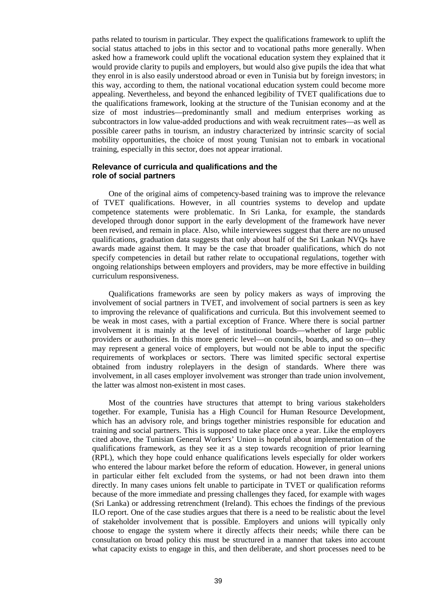paths related to tourism in particular. They expect the qualifications framework to uplift the social status attached to jobs in this sector and to vocational paths more generally. When asked how a framework could uplift the vocational education system they explained that it would provide clarity to pupils and employers, but would also give pupils the idea that what they enrol in is also easily understood abroad or even in Tunisia but by foreign investors; in this way, according to them, the national vocational education system could become more appealing. Nevertheless, and beyond the enhanced legibility of TVET qualifications due to the qualifications framework, looking at the structure of the Tunisian economy and at the size of most industries—predominantly small and medium enterprises working as subcontractors in low value-added productions and with weak recruitment rates—as well as possible career paths in tourism, an industry characterized by intrinsic scarcity of social mobility opportunities, the choice of most young Tunisian not to embark in vocational training, especially in this sector, does not appear irrational.

#### **Relevance of curricula and qualifications and the role of social partners**

One of the original aims of competency-based training was to improve the relevance of TVET qualifications. However, in all countries systems to develop and update competence statements were problematic. In Sri Lanka, for example, the standards developed through donor support in the early development of the framework have never been revised, and remain in place. Also, while interviewees suggest that there are no unused qualifications, graduation data suggests that only about half of the Sri Lankan NVQs have awards made against them. It may be the case that broader qualifications, which do not specify competencies in detail but rather relate to occupational regulations, together with ongoing relationships between employers and providers, may be more effective in building curriculum responsiveness.

Qualifications frameworks are seen by policy makers as ways of improving the involvement of social partners in TVET, and involvement of social partners is seen as key to improving the relevance of qualifications and curricula. But this involvement seemed to be weak in most cases, with a partial exception of France. Where there is social partner involvement it is mainly at the level of institutional boards—whether of large public providers or authorities. In this more generic level—on councils, boards, and so on—they may represent a general voice of employers, but would not be able to input the specific requirements of workplaces or sectors. There was limited specific sectoral expertise obtained from industry roleplayers in the design of standards. Where there was involvement, in all cases employer involvement was stronger than trade union involvement, the latter was almost non-existent in most cases.

Most of the countries have structures that attempt to bring various stakeholders together. For example, Tunisia has a High Council for Human Resource Development, which has an advisory role, and brings together ministries responsible for education and training and social partners. This is supposed to take place once a year. Like the employers cited above, the Tunisian General Workers' Union is hopeful about implementation of the qualifications framework, as they see it as a step towards recognition of prior learning (RPL), which they hope could enhance qualifications levels especially for older workers who entered the labour market before the reform of education. However, in general unions in particular either felt excluded from the systems, or had not been drawn into them directly. In many cases unions felt unable to participate in TVET or qualification reforms because of the more immediate and pressing challenges they faced, for example with wages (Sri Lanka) or addressing retrenchment (Ireland). This echoes the findings of the previous ILO report. One of the case studies argues that there is a need to be realistic about the level of stakeholder involvement that is possible. Employers and unions will typically only choose to engage the system where it directly affects their needs; while there can be consultation on broad policy this must be structured in a manner that takes into account what capacity exists to engage in this, and then deliberate, and short processes need to be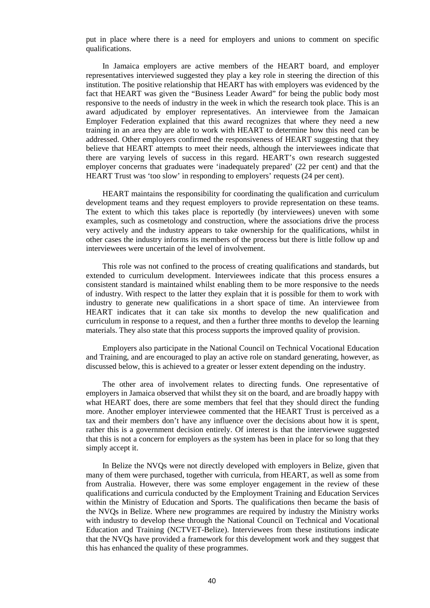put in place where there is a need for employers and unions to comment on specific qualifications.

In Jamaica employers are active members of the HEART board, and employer representatives interviewed suggested they play a key role in steering the direction of this institution. The positive relationship that HEART has with employers was evidenced by the fact that HEART was given the "Business Leader Award" for being the public body most responsive to the needs of industry in the week in which the research took place. This is an award adjudicated by employer representatives. An interviewee from the Jamaican Employer Federation explained that this award recognizes that where they need a new training in an area they are able to work with HEART to determine how this need can be addressed. Other employers confirmed the responsiveness of HEART suggesting that they believe that HEART attempts to meet their needs, although the interviewees indicate that there are varying levels of success in this regard. HEART's own research suggested employer concerns that graduates were 'inadequately prepared' (22 per cent) and that the HEART Trust was 'too slow' in responding to employers' requests (24 per cent).

HEART maintains the responsibility for coordinating the qualification and curriculum development teams and they request employers to provide representation on these teams. The extent to which this takes place is reportedly (by interviewees) uneven with some examples, such as cosmetology and construction, where the associations drive the process very actively and the industry appears to take ownership for the qualifications, whilst in other cases the industry informs its members of the process but there is little follow up and interviewees were uncertain of the level of involvement.

This role was not confined to the process of creating qualifications and standards, but extended to curriculum development. Interviewees indicate that this process ensures a consistent standard is maintained whilst enabling them to be more responsive to the needs of industry. With respect to the latter they explain that it is possible for them to work with industry to generate new qualifications in a short space of time. An interviewee from HEART indicates that it can take six months to develop the new qualification and curriculum in response to a request, and then a further three months to develop the learning materials. They also state that this process supports the improved quality of provision.

Employers also participate in the National Council on Technical Vocational Education and Training, and are encouraged to play an active role on standard generating, however, as discussed below, this is achieved to a greater or lesser extent depending on the industry.

The other area of involvement relates to directing funds. One representative of employers in Jamaica observed that whilst they sit on the board, and are broadly happy with what HEART does, there are some members that feel that they should direct the funding more. Another employer interviewee commented that the HEART Trust is perceived as a tax and their members don't have any influence over the decisions about how it is spent, rather this is a government decision entirely. Of interest is that the interviewee suggested that this is not a concern for employers as the system has been in place for so long that they simply accept it.

In Belize the NVQs were not directly developed with employers in Belize, given that many of them were purchased, together with curricula, from HEART, as well as some from from Australia. However, there was some employer engagement in the review of these qualifications and curricula conducted by the Employment Training and Education Services within the Ministry of Education and Sports. The qualifications then became the basis of the NVQs in Belize. Where new programmes are required by industry the Ministry works with industry to develop these through the National Council on Technical and Vocational Education and Training (NCTVET-Belize). Interviewees from these institutions indicate that the NVQs have provided a framework for this development work and they suggest that this has enhanced the quality of these programmes.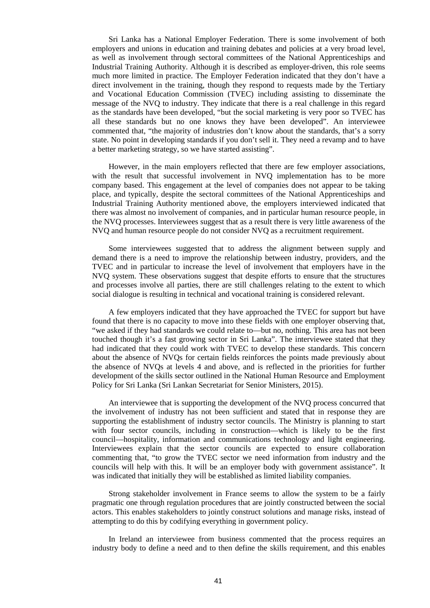Sri Lanka has a National Employer Federation. There is some involvement of both employers and unions in education and training debates and policies at a very broad level, as well as involvement through sectoral committees of the National Apprenticeships and Industrial Training Authority. Although it is described as employer-driven, this role seems much more limited in practice. The Employer Federation indicated that they don't have a direct involvement in the training, though they respond to requests made by the Tertiary and Vocational Education Commission (TVEC) including assisting to disseminate the message of the NVQ to industry. They indicate that there is a real challenge in this regard as the standards have been developed, "but the social marketing is very poor so TVEC has all these standards but no one knows they have been developed". An interviewee commented that, "the majority of industries don't know about the standards, that's a sorry state. No point in developing standards if you don't sell it. They need a revamp and to have a better marketing strategy, so we have started assisting".

However, in the main employers reflected that there are few employer associations, with the result that successful involvement in NVQ implementation has to be more company based. This engagement at the level of companies does not appear to be taking place, and typically, despite the sectoral committees of the National Apprenticeships and Industrial Training Authority mentioned above, the employers interviewed indicated that there was almost no involvement of companies, and in particular human resource people, in the NVQ processes. Interviewees suggest that as a result there is very little awareness of the NVQ and human resource people do not consider NVQ as a recruitment requirement.

Some interviewees suggested that to address the alignment between supply and demand there is a need to improve the relationship between industry, providers, and the TVEC and in particular to increase the level of involvement that employers have in the NVQ system. These observations suggest that despite efforts to ensure that the structures and processes involve all parties, there are still challenges relating to the extent to which social dialogue is resulting in technical and vocational training is considered relevant.

A few employers indicated that they have approached the TVEC for support but have found that there is no capacity to move into these fields with one employer observing that, "we asked if they had standards we could relate to—but no, nothing. This area has not been touched though it's a fast growing sector in Sri Lanka". The interviewee stated that they had indicated that they could work with TVEC to develop these standards. This concern about the absence of NVQs for certain fields reinforces the points made previously about the absence of NVQs at levels 4 and above, and is reflected in the priorities for further development of the skills sector outlined in the National Human Resource and Employment Policy for Sri Lanka (Sri Lankan Secretariat for Senior Ministers, 2015).

An interviewee that is supporting the development of the NVQ process concurred that the involvement of industry has not been sufficient and stated that in response they are supporting the establishment of industry sector councils. The Ministry is planning to start with four sector councils, including in construction—which is likely to be the first council—hospitality, information and communications technology and light engineering. Interviewees explain that the sector councils are expected to ensure collaboration commenting that, "to grow the TVEC sector we need information from industry and the councils will help with this. It will be an employer body with government assistance". It was indicated that initially they will be established as limited liability companies.

Strong stakeholder involvement in France seems to allow the system to be a fairly pragmatic one through regulation procedures that are jointly constructed between the social actors. This enables stakeholders to jointly construct solutions and manage risks, instead of attempting to do this by codifying everything in government policy.

In Ireland an interviewee from business commented that the process requires an industry body to define a need and to then define the skills requirement, and this enables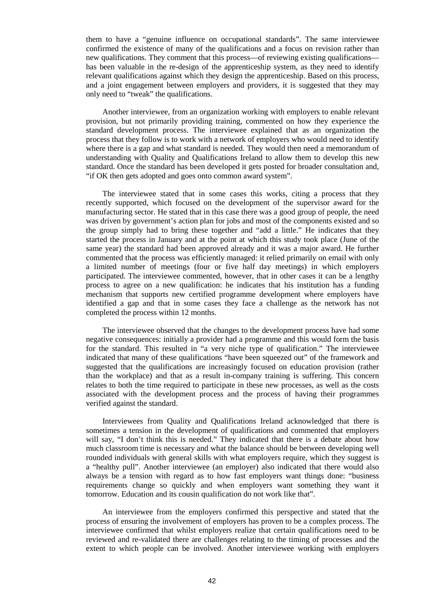them to have a "genuine influence on occupational standards". The same interviewee confirmed the existence of many of the qualifications and a focus on revision rather than new qualifications. They comment that this process—of reviewing existing qualifications has been valuable in the re-design of the apprenticeship system, as they need to identify relevant qualifications against which they design the apprenticeship. Based on this process, and a joint engagement between employers and providers, it is suggested that they may only need to "tweak" the qualifications.

Another interviewee, from an organization working with employers to enable relevant provision, but not primarily providing training, commented on how they experience the standard development process. The interviewee explained that as an organization the process that they follow is to work with a network of employers who would need to identify where there is a gap and what standard is needed. They would then need a memorandum of understanding with Quality and Qualifications Ireland to allow them to develop this new standard. Once the standard has been developed it gets posted for broader consultation and, "if OK then gets adopted and goes onto common award system".

The interviewee stated that in some cases this works, citing a process that they recently supported, which focused on the development of the supervisor award for the manufacturing sector. He stated that in this case there was a good group of people, the need was driven by government's action plan for jobs and most of the components existed and so the group simply had to bring these together and "add a little." He indicates that they started the process in January and at the point at which this study took place (June of the same year) the standard had been approved already and it was a major award. He further commented that the process was efficiently managed: it relied primarily on email with only a limited number of meetings (four or five half day meetings) in which employers participated. The interviewee commented, however, that in other cases it can be a lengthy process to agree on a new qualification: he indicates that his institution has a funding mechanism that supports new certified programme development where employers have identified a gap and that in some cases they face a challenge as the network has not completed the process within 12 months.

The interviewee observed that the changes to the development process have had some negative consequences: initially a provider had a programme and this would form the basis for the standard. This resulted in "a very niche type of qualification." The interviewee indicated that many of these qualifications "have been squeezed out" of the framework and suggested that the qualifications are increasingly focused on education provision (rather than the workplace) and that as a result in-company training is suffering. This concern relates to both the time required to participate in these new processes, as well as the costs associated with the development process and the process of having their programmes verified against the standard.

Interviewees from Quality and Qualifications Ireland acknowledged that there is sometimes a tension in the development of qualifications and commented that employers will say, "I don't think this is needed." They indicated that there is a debate about how much classroom time is necessary and what the balance should be between developing well rounded individuals with general skills with what employers require, which they suggest is a "healthy pull". Another interviewee (an employer) also indicated that there would also always be a tension with regard as to how fast employers want things done: "business requirements change so quickly and when employers want something they want it tomorrow. Education and its cousin qualification do not work like that".

An interviewee from the employers confirmed this perspective and stated that the process of ensuring the involvement of employers has proven to be a complex process. The interviewee confirmed that whilst employers realize that certain qualifications need to be reviewed and re-validated there are challenges relating to the timing of processes and the extent to which people can be involved. Another interviewee working with employers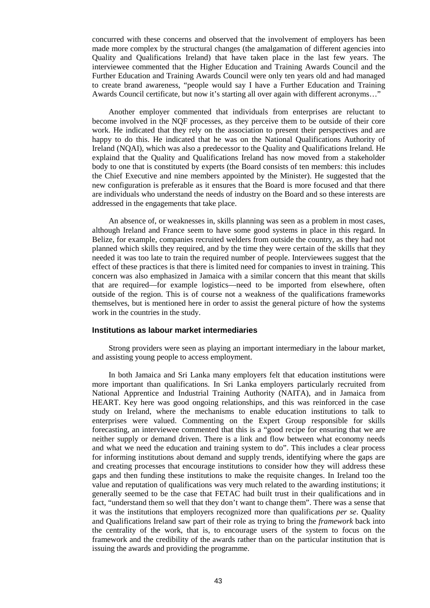concurred with these concerns and observed that the involvement of employers has been made more complex by the structural changes (the amalgamation of different agencies into Quality and Qualifications Ireland) that have taken place in the last few years. The interviewee commented that the Higher Education and Training Awards Council and the Further Education and Training Awards Council were only ten years old and had managed to create brand awareness, "people would say I have a Further Education and Training Awards Council certificate, but now it's starting all over again with different acronyms…"

Another employer commented that individuals from enterprises are reluctant to become involved in the NQF processes, as they perceive them to be outside of their core work. He indicated that they rely on the association to present their perspectives and are happy to do this. He indicated that he was on the National Qualifications Authority of Ireland (NQAI), which was also a predecessor to the Quality and Qualifications Ireland. He explaind that the Quality and Qualifications Ireland has now moved from a stakeholder body to one that is constituted by experts (the Board consists of ten members: this includes the Chief Executive and nine members appointed by the Minister). He suggested that the new configuration is preferable as it ensures that the Board is more focused and that there are individuals who understand the needs of industry on the Board and so these interests are addressed in the engagements that take place.

An absence of, or weaknesses in, skills planning was seen as a problem in most cases, although Ireland and France seem to have some good systems in place in this regard. In Belize, for example, companies recruited welders from outside the country, as they had not planned which skills they required, and by the time they were certain of the skills that they needed it was too late to train the required number of people. Interviewees suggest that the effect of these practices is that there is limited need for companies to invest in training. This concern was also emphasized in Jamaica with a similar concern that this meant that skills that are required—for example logistics—need to be imported from elsewhere, often outside of the region. This is of course not a weakness of the qualifications frameworks themselves, but is mentioned here in order to assist the general picture of how the systems work in the countries in the study.

#### **Institutions as labour market intermediaries**

Strong providers were seen as playing an important intermediary in the labour market, and assisting young people to access employment.

In both Jamaica and Sri Lanka many employers felt that education institutions were more important than qualifications. In Sri Lanka employers particularly recruited from National Apprentice and Industrial Training Authority (NAITA), and in Jamaica from HEART. Key here was good ongoing relationships, and this was reinforced in the case study on Ireland, where the mechanisms to enable education institutions to talk to enterprises were valued. Commenting on the Expert Group responsible for skills forecasting, an interviewee commented that this is a "good recipe for ensuring that we are neither supply or demand driven. There is a link and flow between what economy needs and what we need the education and training system to do". This includes a clear process for informing institutions about demand and supply trends, identifying where the gaps are and creating processes that encourage institutions to consider how they will address these gaps and then funding these institutions to make the requisite changes. In Ireland too the value and reputation of qualifications was very much related to the awarding institutions; it generally seemed to be the case that FETAC had built trust in their qualifications and in fact, "understand them so well that they don't want to change them". There was a sense that it was the institutions that employers recognized more than qualifications *per se*. Quality and Qualifications Ireland saw part of their role as trying to bring the *framework* back into the centrality of the work, that is, to encourage users of the system to focus on the framework and the credibility of the awards rather than on the particular institution that is issuing the awards and providing the programme.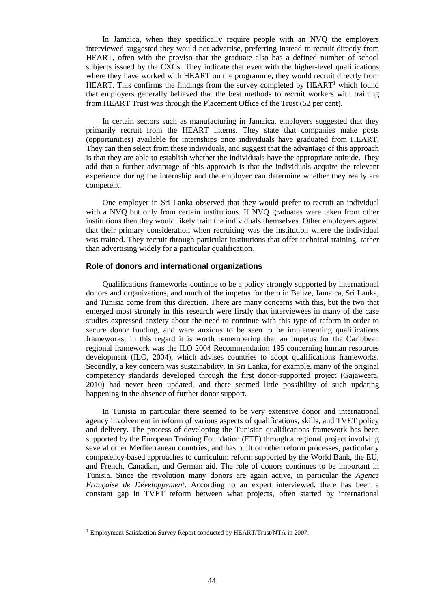In Jamaica, when they specifically require people with an NVQ the employers interviewed suggested they would not advertise, preferring instead to recruit directly from HEART, often with the proviso that the graduate also has a defined number of school subjects issued by the CXCs. They indicate that even with the higher-level qualifications where they have worked with HEART on the programme, they would recruit directly from HEART. This confirms the findings from the survey completed by HEART<sup>1</sup> which found that employers generally believed that the best methods to recruit workers with training from HEART Trust was through the Placement Office of the Trust (52 per cent).

In certain sectors such as manufacturing in Jamaica, employers suggested that they primarily recruit from the HEART interns. They state that companies make posts (opportunities) available for internships once individuals have graduated from HEART. They can then select from these individuals, and suggest that the advantage of this approach is that they are able to establish whether the individuals have the appropriate attitude. They add that a further advantage of this approach is that the individuals acquire the relevant experience during the internship and the employer can determine whether they really are competent.

One employer in Sri Lanka observed that they would prefer to recruit an individual with a NVQ but only from certain institutions. If NVQ graduates were taken from other institutions then they would likely train the individuals themselves. Other employers agreed that their primary consideration when recruiting was the institution where the individual was trained. They recruit through particular institutions that offer technical training, rather than advertising widely for a particular qualification.

#### **Role of donors and international organizations**

Qualifications frameworks continue to be a policy strongly supported by international donors and organizations, and much of the impetus for them in Belize, Jamaica, Sri Lanka, and Tunisia come from this direction. There are many concerns with this, but the two that emerged most strongly in this research were firstly that interviewees in many of the case studies expressed anxiety about the need to continue with this type of reform in order to secure donor funding, and were anxious to be seen to be implementing qualifications frameworks; in this regard it is worth remembering that an impetus for the Caribbean regional framework was the ILO 2004 Recommendation 195 concerning human resources development (ILO, 2004), which advises countries to adopt qualifications frameworks. Secondly, a key concern was sustainability. In Sri Lanka, for example, many of the original competency standards developed through the first donor-supported project (Gajaweera, 2010) had never been updated, and there seemed little possibility of such updating happening in the absence of further donor support.

In Tunisia in particular there seemed to be very extensive donor and international agency involvement in reform of various aspects of qualifications, skills, and TVET policy and delivery. The process of developing the Tunisian qualifications framework has been supported by the European Training Foundation (ETF) through a regional project involving several other Mediterranean countries, and has built on other reform processes, particularly competency-based approaches to curriculum reform supported by the World Bank, the EU, and French, Canadian, and German aid. The role of donors continues to be important in Tunisia. Since the revolution many donors are again active, in particular the *Agence Française de Développement*. According to an expert interviewed, there has been a constant gap in TVET reform between what projects, often started by international

<sup>&</sup>lt;sup>1</sup> Employment Satisfaction Survey Report conducted by HEART/Trust/NTA in 2007.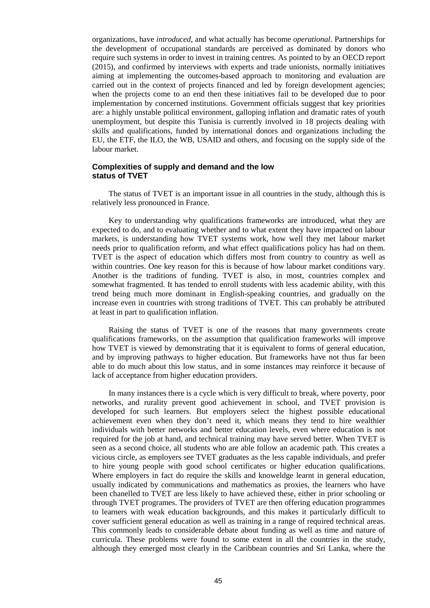organizations, have *introduced*, and what actually has become *operational*. Partnerships for the development of occupational standards are perceived as dominated by donors who require such systems in order to invest in training centres. As pointed to by an OECD report (2015), and confirmed by interviews with experts and trade unionists, normally initiatives aiming at implementing the outcomes-based approach to monitoring and evaluation are carried out in the context of projects financed and led by foreign development agencies; when the projects come to an end then these initiatives fail to be developed due to poor implementation by concerned institutions. Government officials suggest that key priorities are: a highly unstable political environment, galloping inflation and dramatic rates of youth unemployment, but despite this Tunisia is currently involved in 18 projects dealing with skills and qualifications, funded by international donors and organizations including the EU, the ETF, the ILO, the WB, USAID and others, and focusing on the supply side of the labour market.

#### **Complexities of supply and demand and the low status of TVET**

The status of TVET is an important issue in all countries in the study, although this is relatively less pronounced in France.

Key to understanding why qualifications frameworks are introduced, what they are expected to do, and to evaluating whether and to what extent they have impacted on labour markets, is understanding how TVET systems work, how well they met labour market needs prior to qualification reform, and what effect qualifications policy has had on them. TVET is the aspect of education which differs most from country to country as well as within countries. One key reason for this is because of how labour market conditions vary. Another is the traditions of funding. TVET is also, in most, countries complex and somewhat fragmented. It has tended to enroll students with less academic ability, with this trend being much more dominant in English-speaking countries, and gradually on the increase even in countries with strong traditions of TVET. This can probably be attributed at least in part to qualification inflation.

Raising the status of TVET is one of the reasons that many governments create qualifications frameworks, on the assumption that qualification frameworks will improve how TVET is viewed by demonstrating that it is equivalent to forms of general education, and by improving pathways to higher education. But frameworks have not thus far been able to do much about this low status, and in some instances may reinforce it because of lack of acceptance from higher education providers.

In many instances there is a cycle which is very difficult to break, where poverty, poor networks, and rurality prevent good achievement in school, and TVET provision is developed for such learners. But employers select the highest possible educational achievement even when they don't need it, which means they tend to hire wealthier individuals with better networks and better education levels, even where education is not required for the job at hand, and technical training may have served better. When TVET is seen as a second choice, all students who are able follow an academic path. This creates a vicious circle, as employers see TVET graduates as the less capable individuals, and prefer to hire young people with good school certificates or higher education qualifications. Where employers in fact do require the skills and knoweldge learnt in general education, usually indicated by communications and mathematics as proxies, the learners who have been chanelled to TVET are less likely to have achieved these, either in prior schooling or through TVET programes. The providers of TVET are then offering education programmes to learners with weak education backgrounds, and this makes it particularly difficult to cover sufficient general education as well as training in a range of required technical areas. This commonly leads to considerable debate about funding as well as time and nature of curricula. These problems were found to some extent in all the countries in the study, although they emerged most clearly in the Caribbean countries and Sri Lanka, where the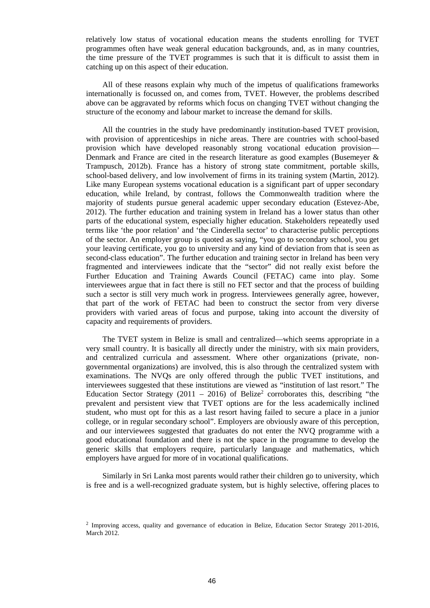relatively low status of vocational education means the students enrolling for TVET programmes often have weak general education backgrounds, and, as in many countries, the time pressure of the TVET programmes is such that it is difficult to assist them in catching up on this aspect of their education.

All of these reasons explain why much of the impetus of qualifications frameworks internationally is focussed on, and comes from, TVET. However, the problems described above can be aggravated by reforms which focus on changing TVET without changing the structure of the economy and labour market to increase the demand for skills.

All the countries in the study have predominantly institution-based TVET provision, with provision of apprenticeships in niche areas. There are countries with school-based provision which have developed reasonably strong vocational education provision— Denmark and France are cited in the research literature as good examples (Busemeyer  $\&$ Trampusch, 2012b). France has a history of strong state commitment, portable skills, school-based delivery, and low involvement of firms in its training system (Martin, 2012). Like many European systems vocational education is a significant part of upper secondary education, while Ireland, by contrast, follows the Commonwealth tradition where the majority of students pursue general academic upper secondary education (Estevez-Abe, 2012). The further education and training system in Ireland has a lower status than other parts of the educational system, especially higher education. Stakeholders repeatedly used terms like 'the poor relation' and 'the Cinderella sector' to characterise public perceptions of the sector. An employer group is quoted as saying, "you go to secondary school, you get your leaving certificate, you go to university and any kind of deviation from that is seen as second-class education". The further education and training sector in Ireland has been very fragmented and interviewees indicate that the "sector" did not really exist before the Further Education and Training Awards Council (FETAC) came into play. Some interviewees argue that in fact there is still no FET sector and that the process of building such a sector is still very much work in progress. Interviewees generally agree, however, that part of the work of FETAC had been to construct the sector from very diverse providers with varied areas of focus and purpose, taking into account the diversity of capacity and requirements of providers.

The TVET system in Belize is small and centralized—which seems appropriate in a very small country. It is basically all directly under the ministry, with six main providers, and centralized curricula and assessment. Where other organizations (private, nongovernmental organizations) are involved, this is also through the centralized system with examinations. The NVQs are only offered through the public TVET institutions, and interviewees suggested that these institutions are viewed as "institution of last resort." The Education Sector Strategy (2011 - 2016) of Belize<sup>2</sup> corroborates this, describing "the prevalent and persistent view that TVET options are for the less academically inclined student, who must opt for this as a last resort having failed to secure a place in a junior college, or in regular secondary school". Employers are obviously aware of this perception, and our interviewees suggested that graduates do not enter the NVQ programme with a good educational foundation and there is not the space in the programme to develop the generic skills that employers require, particularly language and mathematics, which employers have argued for more of in vocational qualifications.

Similarly in Sri Lanka most parents would rather their children go to university, which is free and is a well-recognized graduate system, but is highly selective, offering places to

 $2$  Improving access, quality and governance of education in Belize, Education Sector Strategy 2011-2016, March 2012.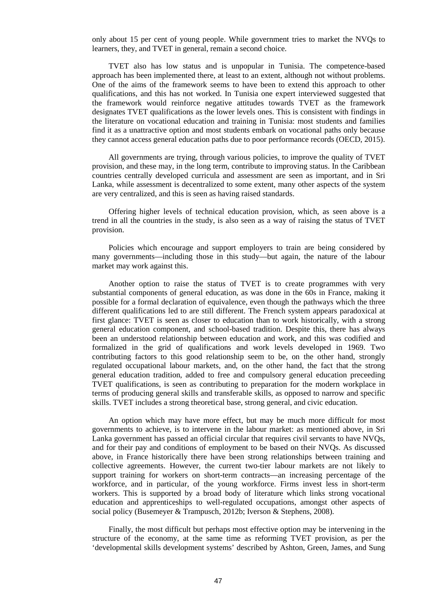only about 15 per cent of young people. While government tries to market the NVQs to learners, they, and TVET in general, remain a second choice.

TVET also has low status and is unpopular in Tunisia. The competence-based approach has been implemented there, at least to an extent, although not without problems. One of the aims of the framework seems to have been to extend this approach to other qualifications, and this has not worked. In Tunisia one expert interviewed suggested that the framework would reinforce negative attitudes towards TVET as the framework designates TVET qualifications as the lower levels ones. This is consistent with findings in the literature on vocational education and training in Tunisia: most students and families find it as a unattractive option and most students embark on vocational paths only because they cannot access general education paths due to poor performance records (OECD, 2015).

All governments are trying, through various policies, to improve the quality of TVET provision, and these may, in the long term, contribute to improving status. In the Caribbean countries centrally developed curricula and assessment are seen as important, and in Sri Lanka, while assessment is decentralized to some extent, many other aspects of the system are very centralized, and this is seen as having raised standards.

Offering higher levels of technical education provision, which, as seen above is a trend in all the countries in the study, is also seen as a way of raising the status of TVET provision.

Policies which encourage and support employers to train are being considered by many governments—including those in this study—but again, the nature of the labour market may work against this.

Another option to raise the status of TVET is to create programmes with very substantial components of general education, as was done in the 60s in France, making it possible for a formal declaration of equivalence, even though the pathways which the three different qualifications led to are still different. The French system appears paradoxical at first glance: TVET is seen as closer to education than to work historically, with a strong general education component, and school-based tradition. Despite this, there has always been an understood relationship between education and work, and this was codified and formalized in the grid of qualifications and work levels developed in 1969. Two contributing factors to this good relationship seem to be, on the other hand, strongly regulated occupational labour markets, and, on the other hand, the fact that the strong general education tradition, added to free and compulsory general education preceeding TVET qualifications, is seen as contributing to preparation for the modern workplace in terms of producing general skills and transferable skills, as opposed to narrow and specific skills. TVET includes a strong theoretical base, strong general, and civic education.

An option which may have more effect, but may be much more difficult for most governments to achieve, is to intervene in the labour market: as mentioned above, in Sri Lanka government has passed an official circular that requires civil servants to have NVQs, and for their pay and conditions of employment to be based on their NVQs. As discussed above, in France historically there have been strong relationships between training and collective agreements. However, the current two-tier labour markets are not likely to support training for workers on short-term contracts—an increasing percentage of the workforce, and in particular, of the young workforce. Firms invest less in short-term workers. This is supported by a broad body of literature which links strong vocational education and apprenticeships to well-regulated occupations, amongst other aspects of social policy (Busemeyer & Trampusch, 2012b; Iverson & Stephens, 2008).

Finally, the most difficult but perhaps most effective option may be intervening in the structure of the economy, at the same time as reforming TVET provision, as per the 'developmental skills development systems' described by Ashton, Green, James, and Sung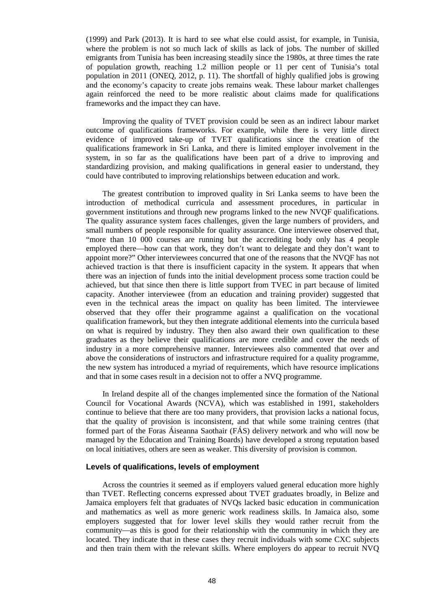(1999) and Park (2013). It is hard to see what else could assist, for example, in Tunisia, where the problem is not so much lack of skills as lack of jobs. The number of skilled emigrants from Tunisia has been increasing steadily since the 1980s, at three times the rate of population growth, reaching 1.2 million people or 11 per cent of Tunisia's total population in 2011 (ONEQ, 2012, p. 11). The shortfall of highly qualified jobs is growing and the economy's capacity to create jobs remains weak. These labour market challenges again reinforced the need to be more realistic about claims made for qualifications frameworks and the impact they can have.

Improving the quality of TVET provision could be seen as an indirect labour market outcome of qualifications frameworks. For example, while there is very little direct evidence of improved take-up of TVET qualifications since the creation of the qualifications framework in Sri Lanka, and there is limited employer involvement in the system, in so far as the qualifications have been part of a drive to improving and standardizing provision, and making qualifications in general easier to understand, they could have contributed to improving relationships between education and work.

The greatest contribution to improved quality in Sri Lanka seems to have been the introduction of methodical curricula and assessment procedures, in particular in government institutions and through new programs linked to the new NVQF qualifications. The quality assurance system faces challenges, given the large numbers of providers, and small numbers of people responsible for quality assurance. One interviewee observed that, "more than 10 000 courses are running but the accrediting body only has 4 people employed there—how can that work, they don't want to delegate and they don't want to appoint more?" Other interviewees concurred that one of the reasons that the NVQF has not achieved traction is that there is insufficient capacity in the system. It appears that when there was an injection of funds into the initial development process some traction could be achieved, but that since then there is little support from TVEC in part because of limited capacity. Another interviewee (from an education and training provider) suggested that even in the technical areas the impact on quality has been limited. The interviewee observed that they offer their programme against a qualification on the vocational qualification framework, but they then integrate additional elements into the curricula based on what is required by industry. They then also award their own qualification to these graduates as they believe their qualifications are more credible and cover the needs of industry in a more comprehensive manner. Interviewees also commented that over and above the considerations of instructors and infrastructure required for a quality programme, the new system has introduced a myriad of requirements, which have resource implications and that in some cases result in a decision not to offer a NVQ programme.

In Ireland despite all of the changes implemented since the formation of the National Council for Vocational Awards (NCVA), which was established in 1991, stakeholders continue to believe that there are too many providers, that provision lacks a national focus, that the quality of provision is inconsistent, and that while some training centres (that formed part of the Foras Áiseanna Saothair (FÁS) delivery network and who will now be managed by the Education and Training Boards) have developed a strong reputation based on local initiatives, others are seen as weaker. This diversity of provision is common.

#### **Levels of qualifications, levels of employment**

Across the countries it seemed as if employers valued general education more highly than TVET. Reflecting concerns expressed about TVET graduates broadly, in Belize and Jamaica employers felt that graduates of NVQs lacked basic education in communication and mathematics as well as more generic work readiness skills. In Jamaica also, some employers suggested that for lower level skills they would rather recruit from the community—as this is good for their relationship with the community in which they are located. They indicate that in these cases they recruit individuals with some CXC subjects and then train them with the relevant skills. Where employers do appear to recruit NVQ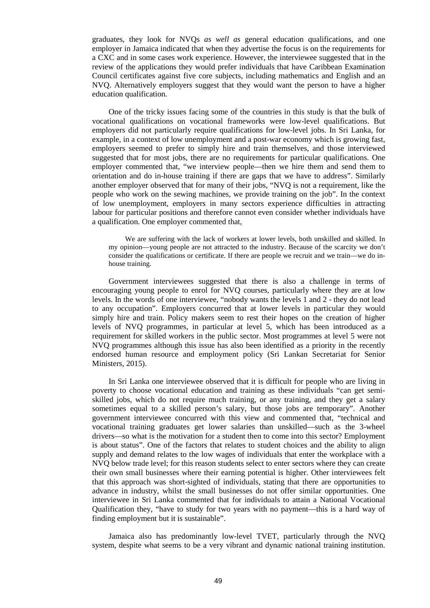graduates, they look for NVQs *as well as* general education qualifications, and one employer in Jamaica indicated that when they advertise the focus is on the requirements for a CXC and in some cases work experience. However, the interviewee suggested that in the review of the applications they would prefer individuals that have Caribbean Examination Council certificates against five core subjects, including mathematics and English and an NVQ. Alternatively employers suggest that they would want the person to have a higher education qualification.

One of the tricky issues facing some of the countries in this study is that the bulk of vocational qualifications on vocational frameworks were low-level qualifications. But employers did not particularly require qualifications for low-level jobs. In Sri Lanka, for example, in a context of low unemployment and a post-war economy which is growing fast, employers seemed to prefer to simply hire and train themselves, and those interviewed suggested that for most jobs, there are no requirements for particular qualifications. One employer commented that, "we interview people—then we hire them and send them to orientation and do in-house training if there are gaps that we have to address". Similarly another employer observed that for many of their jobs, "NVQ is not a requirement, like the people who work on the sewing machines, we provide training on the job". In the context of low unemployment, employers in many sectors experience difficulties in attracting labour for particular positions and therefore cannot even consider whether individuals have a qualification. One employer commented that,

We are suffering with the lack of workers at lower levels, both unskilled and skilled. In my opinion—young people are not attracted to the industry. Because of the scarcity we don't consider the qualifications or certificate. If there are people we recruit and we train—we do inhouse training.

Government interviewees suggested that there is also a challenge in terms of encouraging young people to enrol for NVQ courses, particularly where they are at low levels. In the words of one interviewee, "nobody wants the levels 1 and 2 - they do not lead to any occupation". Employers concurred that at lower levels in particular they would simply hire and train. Policy makers seem to rest their hopes on the creation of higher levels of NVQ programmes, in particular at level 5, which has been introduced as a requirement for skilled workers in the public sector. Most programmes at level 5 were not NVQ programmes although this issue has also been identified as a priority in the recently endorsed human resource and employment policy (Sri Lankan Secretariat for Senior Ministers, 2015).

In Sri Lanka one interviewee observed that it is difficult for people who are living in poverty to choose vocational education and training as these individuals "can get semiskilled jobs, which do not require much training, or any training, and they get a salary sometimes equal to a skilled person's salary, but those jobs are temporary". Another government interviewee concurred with this view and commented that, "technical and vocational training graduates get lower salaries than unskilled—such as the 3-wheel drivers—so what is the motivation for a student then to come into this sector? Employment is about status". One of the factors that relates to student choices and the ability to align supply and demand relates to the low wages of individuals that enter the workplace with a NVQ below trade level; for this reason students select to enter sectors where they can create their own small businesses where their earning potential is higher. Other interviewees felt that this approach was short-sighted of individuals, stating that there are opportunities to advance in industry, whilst the small businesses do not offer similar opportunities. One interviewee in Sri Lanka commented that for individuals to attain a National Vocational Qualification they, "have to study for two years with no payment—this is a hard way of finding employment but it is sustainable".

Jamaica also has predominantly low-level TVET, particularly through the NVQ system, despite what seems to be a very vibrant and dynamic national training institution.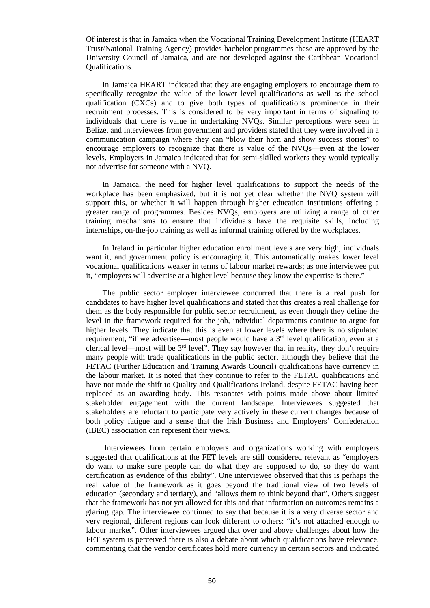Of interest is that in Jamaica when the Vocational Training Development Institute (HEART Trust/National Training Agency) provides bachelor programmes these are approved by the University Council of Jamaica, and are not developed against the Caribbean Vocational Qualifications.

In Jamaica HEART indicated that they are engaging employers to encourage them to specifically recognize the value of the lower level qualifications as well as the school qualification (CXCs) and to give both types of qualifications prominence in their recruitment processes. This is considered to be very important in terms of signaling to individuals that there is value in undertaking NVQs. Similar perceptions were seen in Belize, and interviewees from government and providers stated that they were involved in a communication campaign where they can "blow their horn and show success stories" to encourage employers to recognize that there is value of the NVQs—even at the lower levels. Employers in Jamaica indicated that for semi-skilled workers they would typically not advertise for someone with a NVQ.

In Jamaica, the need for higher level qualifications to support the needs of the workplace has been emphasized, but it is not yet clear whether the NVQ system will support this, or whether it will happen through higher education institutions offering a greater range of programmes. Besides NVQs, employers are utilizing a range of other training mechanisms to ensure that individuals have the requisite skills, including internships, on-the-job training as well as informal training offered by the workplaces.

In Ireland in particular higher education enrollment levels are very high, individuals want it, and government policy is encouraging it. This automatically makes lower level vocational qualifications weaker in terms of labour market rewards; as one interviewee put it, "employers will advertise at a higher level because they know the expertise is there."

The public sector employer interviewee concurred that there is a real push for candidates to have higher level qualifications and stated that this creates a real challenge for them as the body responsible for public sector recruitment, as even though they define the level in the framework required for the job, individual departments continue to argue for higher levels. They indicate that this is even at lower levels where there is no stipulated requirement, "if we advertise—most people would have a 3<sup>rd</sup> level qualification, even at a clerical level—most will be 3rd level". They say however that in reality, they don't require many people with trade qualifications in the public sector, although they believe that the FETAC (Further Education and Training Awards Council) qualifications have currency in the labour market. It is noted that they continue to refer to the FETAC qualifications and have not made the shift to Quality and Qualifications Ireland, despite FETAC having been replaced as an awarding body. This resonates with points made above about limited stakeholder engagement with the current landscape. Interviewees suggested that stakeholders are reluctant to participate very actively in these current changes because of both policy fatigue and a sense that the Irish Business and Employers' Confederation (IBEC) association can represent their views.

 Interviewees from certain employers and organizations working with employers suggested that qualifications at the FET levels are still considered relevant as "employers do want to make sure people can do what they are supposed to do, so they do want certification as evidence of this ability". One interviewee observed that this is perhaps the real value of the framework as it goes beyond the traditional view of two levels of education (secondary and tertiary), and "allows them to think beyond that". Others suggest that the framework has not yet allowed for this and that information on outcomes remains a glaring gap. The interviewee continued to say that because it is a very diverse sector and very regional, different regions can look different to others: "it's not attached enough to labour market". Other interviewees argued that over and above challenges about how the FET system is perceived there is also a debate about which qualifications have relevance, commenting that the vendor certificates hold more currency in certain sectors and indicated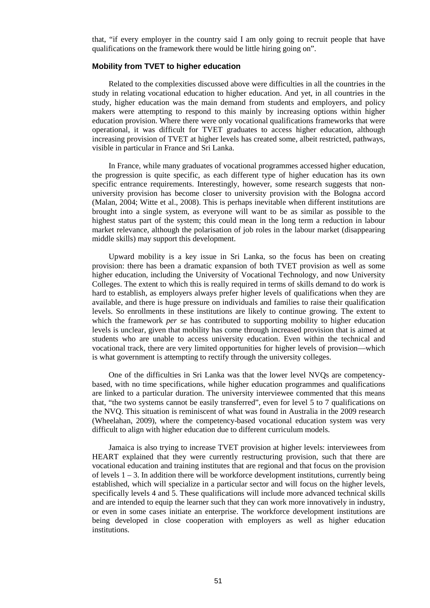that, "if every employer in the country said I am only going to recruit people that have qualifications on the framework there would be little hiring going on".

#### **Mobility from TVET to higher education**

Related to the complexities discussed above were difficulties in all the countries in the study in relating vocational education to higher education. And yet, in all countries in the study, higher education was the main demand from students and employers, and policy makers were attempting to respond to this mainly by increasing options within higher education provision. Where there were only vocational qualifications frameworks that were operational, it was difficult for TVET graduates to access higher education, although increasing provision of TVET at higher levels has created some, albeit restricted, pathways, visible in particular in France and Sri Lanka.

In France, while many graduates of vocational programmes accessed higher education, the progression is quite specific, as each different type of higher education has its own specific entrance requirements. Interestingly, however, some research suggests that nonuniversity provision has become closer to university provision with the Bologna accord (Malan, 2004; Witte et al., 2008). This is perhaps inevitable when different institutions are brought into a single system, as everyone will want to be as similar as possible to the highest status part of the system; this could mean in the long term a reduction in labour market relevance, although the polarisation of job roles in the labour market (disappearing middle skills) may support this development.

Upward mobility is a key issue in Sri Lanka, so the focus has been on creating provision: there has been a dramatic expansion of both TVET provision as well as some higher education, including the University of Vocational Technology, and now University Colleges. The extent to which this is really required in terms of skills demand to do work is hard to establish, as employers always prefer higher levels of qualifications when they are available, and there is huge pressure on individuals and families to raise their qualification levels. So enrollments in these institutions are likely to continue growing. The extent to which the framework *per se* has contributed to supporting mobility to higher education levels is unclear, given that mobility has come through increased provision that is aimed at students who are unable to access university education. Even within the technical and vocational track, there are very limited opportunities for higher levels of provision—which is what government is attempting to rectify through the university colleges.

One of the difficulties in Sri Lanka was that the lower level NVQs are competencybased, with no time specifications, while higher education programmes and qualifications are linked to a particular duration. The university interviewee commented that this means that, "the two systems cannot be easily transferred", even for level 5 to 7 qualifications on the NVQ. This situation is reminiscent of what was found in Australia in the 2009 research (Wheelahan, 2009), where the competency-based vocational education system was very difficult to align with higher education due to different curriculum models.

Jamaica is also trying to increase TVET provision at higher levels: interviewees from HEART explained that they were currently restructuring provision, such that there are vocational education and training institutes that are regional and that focus on the provision of levels  $1 - 3$ . In addition there will be workforce development institutions, currently being established, which will specialize in a particular sector and will focus on the higher levels, specifically levels 4 and 5. These qualifications will include more advanced technical skills and are intended to equip the learner such that they can work more innovatively in industry, or even in some cases initiate an enterprise. The workforce development institutions are being developed in close cooperation with employers as well as higher education institutions.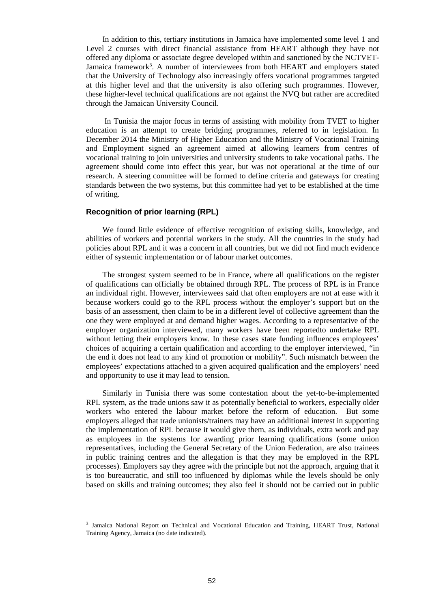In addition to this, tertiary institutions in Jamaica have implemented some level 1 and Level 2 courses with direct financial assistance from HEART although they have not offered any diploma or associate degree developed within and sanctioned by the NCTVET-Jamaica framework<sup>3</sup>. A number of interviewees from both HEART and employers stated that the University of Technology also increasingly offers vocational programmes targeted at this higher level and that the university is also offering such programmes. However, these higher-level technical qualifications are not against the NVQ but rather are accredited through the Jamaican University Council.

 In Tunisia the major focus in terms of assisting with mobility from TVET to higher education is an attempt to create bridging programmes, referred to in legislation. In December 2014 the Ministry of Higher Education and the Ministry of Vocational Training and Employment signed an agreement aimed at allowing learners from centres of vocational training to join universities and university students to take vocational paths. The agreement should come into effect this year, but was not operational at the time of our research. A steering committee will be formed to define criteria and gateways for creating standards between the two systems, but this committee had yet to be established at the time of writing.

#### **Recognition of prior learning (RPL)**

We found little evidence of effective recognition of existing skills, knowledge, and abilities of workers and potential workers in the study. All the countries in the study had policies about RPL and it was a concern in all countries, but we did not find much evidence either of systemic implementation or of labour market outcomes.

The strongest system seemed to be in France, where all qualifications on the register of qualifications can officially be obtained through RPL. The process of RPL is in France an individual right. However, interviewees said that often employers are not at ease with it because workers could go to the RPL process without the employer's support but on the basis of an assessment, then claim to be in a different level of collective agreement than the one they were employed at and demand higher wages. According to a representative of the employer organization interviewed, many workers have been reportedto undertake RPL without letting their employers know. In these cases state funding influences employees' choices of acquiring a certain qualification and according to the employer interviewed, "in the end it does not lead to any kind of promotion or mobility". Such mismatch between the employees' expectations attached to a given acquired qualification and the employers' need and opportunity to use it may lead to tension.

Similarly in Tunisia there was some contestation about the yet-to-be-implemented RPL system, as the trade unions saw it as potentially beneficial to workers, especially older workers who entered the labour market before the reform of education. But some employers alleged that trade unionists/trainers may have an additional interest in supporting the implementation of RPL because it would give them, as individuals, extra work and pay as employees in the systems for awarding prior learning qualifications (some union representatives, including the General Secretary of the Union Federation, are also trainees in public training centres and the allegation is that they may be employed in the RPL processes). Employers say they agree with the principle but not the approach, arguing that it is too bureaucratic, and still too influenced by diplomas while the levels should be only based on skills and training outcomes; they also feel it should not be carried out in public

<sup>&</sup>lt;sup>3</sup> Jamaica National Report on Technical and Vocational Education and Training, HEART Trust, National Training Agency, Jamaica (no date indicated).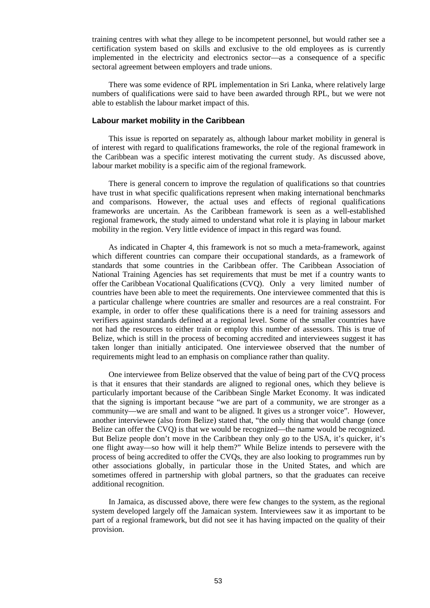training centres with what they allege to be incompetent personnel, but would rather see a certification system based on skills and exclusive to the old employees as is currently implemented in the electricity and electronics sector—as a consequence of a specific sectoral agreement between employers and trade unions.

There was some evidence of RPL implementation in Sri Lanka, where relatively large numbers of qualifications were said to have been awarded through RPL, but we were not able to establish the labour market impact of this.

#### **Labour market mobility in the Caribbean**

This issue is reported on separately as, although labour market mobility in general is of interest with regard to qualifications frameworks, the role of the regional framework in the Caribbean was a specific interest motivating the current study. As discussed above, labour market mobility is a specific aim of the regional framework.

There is general concern to improve the regulation of qualifications so that countries have trust in what specific qualifications represent when making international benchmarks and comparisons. However, the actual uses and effects of regional qualifications frameworks are uncertain. As the Caribbean framework is seen as a well-established regional framework, the study aimed to understand what role it is playing in labour market mobility in the region. Very little evidence of impact in this regard was found.

As indicated in Chapter 4, this framework is not so much a meta-framework, against which different countries can compare their occupational standards, as a framework of standards that some countries in the Caribbean offer. The Caribbean Association of National Training Agencies has set requirements that must be met if a country wants to offer the Caribbean Vocational Qualifications (CVQ ). Only a very limited number of countries have been able to meet the requirements. One interviewee commented that this is a particular challenge where countries are smaller and resources are a real constraint. For example, in order to offer these qualifications there is a need for training assessors and verifiers against standards defined at a regional level. Some of the smaller countries have not had the resources to either train or employ this number of assessors. This is true of Belize, which is still in the process of becoming accredited and interviewees suggest it has taken longer than initially anticipated. One interviewee observed that the number of requirements might lead to an emphasis on compliance rather than quality.

One interviewee from Belize observed that the value of being part of the CVQ process is that it ensures that their standards are aligned to regional ones, which they believe is particularly important because of the Caribbean Single Market Economy. It was indicated that the signing is important because "we are part of a community, we are stronger as a community—we are small and want to be aligned. It gives us a stronger voice". However, another interviewee (also from Belize) stated that, "the only thing that would change (once Belize can offer the CVQ) is that we would be recognized—the name would be recognized. But Belize people don't move in the Caribbean they only go to the USA, it's quicker, it's one flight away—so how will it help them?" While Belize intends to persevere with the process of being accredited to offer the CVQs, they are also looking to programmes run by other associations globally, in particular those in the United States, and which are sometimes offered in partnership with global partners, so that the graduates can receive additional recognition.

In Jamaica, as discussed above, there were few changes to the system, as the regional system developed largely off the Jamaican system. Interviewees saw it as important to be part of a regional framework, but did not see it has having impacted on the quality of their provision.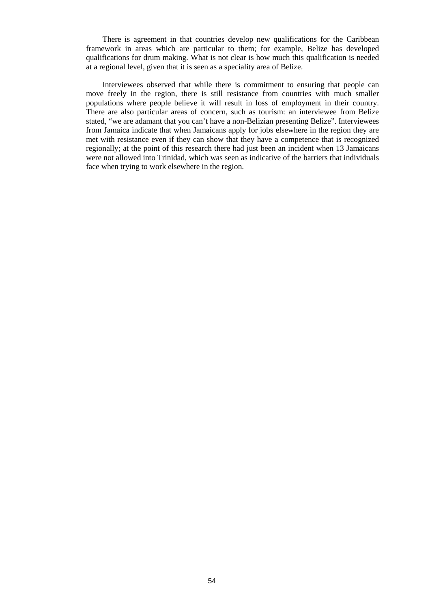There is agreement in that countries develop new qualifications for the Caribbean framework in areas which are particular to them; for example, Belize has developed qualifications for drum making. What is not clear is how much this qualification is needed at a regional level, given that it is seen as a speciality area of Belize.

Interviewees observed that while there is commitment to ensuring that people can move freely in the region, there is still resistance from countries with much smaller populations where people believe it will result in loss of employment in their country. There are also particular areas of concern, such as tourism: an interviewee from Belize stated, "we are adamant that you can't have a non-Belizian presenting Belize". Interviewees from Jamaica indicate that when Jamaicans apply for jobs elsewhere in the region they are met with resistance even if they can show that they have a competence that is recognized regionally; at the point of this research there had just been an incident when 13 Jamaicans were not allowed into Trinidad, which was seen as indicative of the barriers that individuals face when trying to work elsewhere in the region.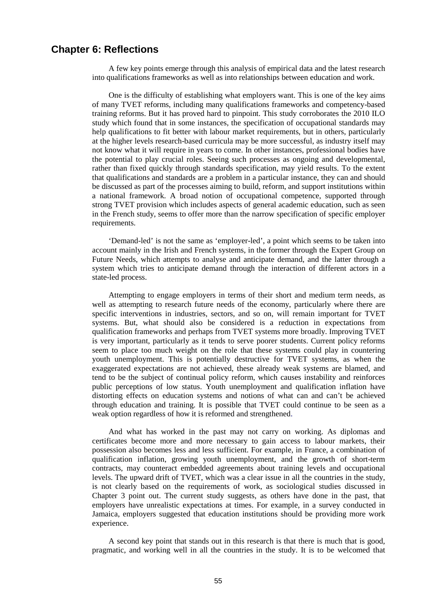## **Chapter 6: Reflections**

A few key points emerge through this analysis of empirical data and the latest research into qualifications frameworks as well as into relationships between education and work.

One is the difficulty of establishing what employers want. This is one of the key aims of many TVET reforms, including many qualifications frameworks and competency-based training reforms. But it has proved hard to pinpoint. This study corroborates the 2010 ILO study which found that in some instances, the specification of occupational standards may help qualifications to fit better with labour market requirements, but in others, particularly at the higher levels research-based curricula may be more successful, as industry itself may not know what it will require in years to come. In other instances, professional bodies have the potential to play crucial roles. Seeing such processes as ongoing and developmental, rather than fixed quickly through standards specification, may yield results. To the extent that qualifications and standards are a problem in a particular instance, they can and should be discussed as part of the processes aiming to build, reform, and support institutions within a national framework. A broad notion of occupational competence, supported through strong TVET provision which includes aspects of general academic education, such as seen in the French study, seems to offer more than the narrow specification of specific employer requirements.

'Demand-led' is not the same as 'employer-led', a point which seems to be taken into account mainly in the Irish and French systems, in the former through the Expert Group on Future Needs, which attempts to analyse and anticipate demand, and the latter through a system which tries to anticipate demand through the interaction of different actors in a state-led process.

Attempting to engage employers in terms of their short and medium term needs, as well as attempting to research future needs of the economy, particularly where there are specific interventions in industries, sectors, and so on, will remain important for TVET systems. But, what should also be considered is a reduction in expectations from qualification frameworks and perhaps from TVET systems more broadly. Improving TVET is very important, particularly as it tends to serve poorer students. Current policy reforms seem to place too much weight on the role that these systems could play in countering youth unemployment. This is potentially destructive for TVET systems, as when the exaggerated expectations are not achieved, these already weak systems are blamed, and tend to be the subject of continual policy reform, which causes instability and reinforces public perceptions of low status. Youth unemployment and qualification inflation have distorting effects on education systems and notions of what can and can't be achieved through education and training. It is possible that TVET could continue to be seen as a weak option regardless of how it is reformed and strengthened.

And what has worked in the past may not carry on working. As diplomas and certificates become more and more necessary to gain access to labour markets, their possession also becomes less and less sufficient. For example, in France, a combination of qualification inflation, growing youth unemployment, and the growth of short-term contracts, may counteract embedded agreements about training levels and occupational levels. The upward drift of TVET, which was a clear issue in all the countries in the study, is not clearly based on the requirements of work, as sociological studies discussed in Chapter 3 point out. The current study suggests, as others have done in the past, that employers have unrealistic expectations at times. For example, in a survey conducted in Jamaica, employers suggested that education institutions should be providing more work experience.

A second key point that stands out in this research is that there is much that is good, pragmatic, and working well in all the countries in the study. It is to be welcomed that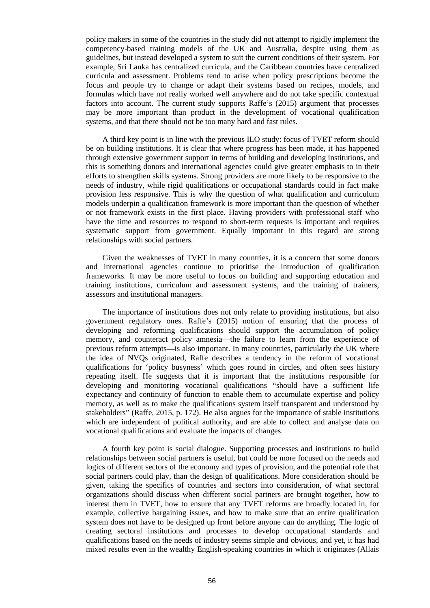policy makers in some of the countries in the study did not attempt to rigidly implement the competency-based training models of the UK and Australia, despite using them as guidelines, but instead developed a system to suit the current conditions of their system. For example, Sri Lanka has centralized curricula, and the Caribbean countries have centralized curricula and assessment. Problems tend to arise when policy prescriptions become the focus and people try to change or adapt their systems based on recipes, models, and formulas which have not really worked well anywhere and do not take specific contextual factors into account. The current study supports Raffe's (2015) argument that processes may be more important than product in the development of vocational qualification systems, and that there should not be too many hard and fast rules.

A third key point is in line with the previous ILO study: focus of TVET reform should be on building institutions. It is clear that where progress has been made, it has happened through extensive government support in terms of building and developing institutions, and this is something donors and international agencies could give greater emphasis to in their efforts to strengthen skills systems. Strong providers are more likely to be responsive to the needs of industry, while rigid qualifications or occupational standards could in fact make provision less responsive. This is why the question of what qualification and curriculum models underpin a qualification framework is more important than the question of whether or not framework exists in the first place. Having providers with professional staff who have the time and resources to respond to short-term requests is important and requires systematic support from government. Equally important in this regard are strong relationships with social partners.

Given the weaknesses of TVET in many countries, it is a concern that some donors and international agencies continue to prioritise the introduction of qualification frameworks. It may be more useful to focus on building and supporting education and training institutions, curriculum and assessment systems, and the training of trainers, assessors and institutional managers.

The importance of institutions does not only relate to providing institutions, but also government regulatory ones. Raffe's (2015) notion of ensuring that the process of developing and reforming qualifications should support the accumulation of policy memory, and counteract policy amnesia—the failure to learn from the experience of previous reform attempts—is also important. In many countries, particularly the UK where the idea of NVQs originated, Raffe describes a tendency in the reform of vocational qualifications for 'policy busyness' which goes round in circles, and often sees history repeating itself. He suggests that it is important that the institutions responsible for developing and monitoring vocational qualifications "should have a sufficient life expectancy and continuity of function to enable them to accumulate expertise and policy memory, as well as to make the qualifications system itself transparent and understood by stakeholders" (Raffe, 2015, p. 172). He also argues for the importance of stable institutions which are independent of political authority, and are able to collect and analyse data on vocational qualifications and evaluate the impacts of changes.

A fourth key point is social dialogue. Supporting processes and institutions to build relationships between social partners is useful, but could be more focused on the needs and logics of different sectors of the economy and types of provision, and the potential role that social partners could play, than the design of qualifications. More consideration should be given, taking the specifics of countries and sectors into consideration, of what sectoral organizations should discuss when different social partners are brought together, how to interest them in TVET, how to ensure that any TVET reforms are broadly located in, for example, collective bargaining issues, and how to make sure that an entire qualification system does not have to be designed up front before anyone can do anything. The logic of creating sectoral institutions and processes to develop occupational standards and qualifications based on the needs of industry seems simple and obvious, and yet, it has had mixed results even in the wealthy English-speaking countries in which it originates (Allais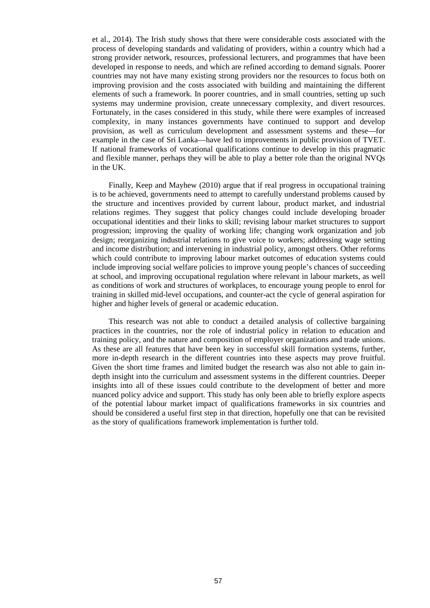et al., 2014). The Irish study shows that there were considerable costs associated with the process of developing standards and validating of providers, within a country which had a strong provider network, resources, professional lecturers, and programmes that have been developed in response to needs, and which are refined according to demand signals. Poorer countries may not have many existing strong providers nor the resources to focus both on improving provision and the costs associated with building and maintaining the different elements of such a framework. In poorer countries, and in small countries, setting up such systems may undermine provision, create unnecessary complexity, and divert resources. Fortunately, in the cases considered in this study, while there were examples of increased complexity, in many instances governments have continued to support and develop provision, as well as curriculum development and assessment systems and these—for example in the case of Sri Lanka—have led to improvements in public provision of TVET. If national frameworks of vocational qualifications continue to develop in this pragmatic and flexible manner, perhaps they will be able to play a better role than the original NVQs in the UK.

Finally, Keep and Mayhew (2010) argue that if real progress in occupational training is to be achieved, governments need to attempt to carefully understand problems caused by the structure and incentives provided by current labour, product market, and industrial relations regimes. They suggest that policy changes could include developing broader occupational identities and their links to skill; revising labour market structures to support progression; improving the quality of working life; changing work organization and job design; reorganizing industrial relations to give voice to workers; addressing wage setting and income distribution; and intervening in industrial policy, amongst others. Other reforms which could contribute to improving labour market outcomes of education systems could include improving social welfare policies to improve young people's chances of succeeding at school, and improving occupational regulation where relevant in labour markets, as well as conditions of work and structures of workplaces, to encourage young people to enrol for training in skilled mid-level occupations, and counter-act the cycle of general aspiration for higher and higher levels of general or academic education.

This research was not able to conduct a detailed analysis of collective bargaining practices in the countries, nor the role of industrial policy in relation to education and training policy, and the nature and composition of employer organizations and trade unions. As these are all features that have been key in successful skill formation systems, further, more in-depth research in the different countries into these aspects may prove fruitful. Given the short time frames and limited budget the research was also not able to gain indepth insight into the curriculum and assessment systems in the different countries. Deeper insights into all of these issues could contribute to the development of better and more nuanced policy advice and support. This study has only been able to briefly explore aspects of the potential labour market impact of qualifications frameworks in six countries and should be considered a useful first step in that direction, hopefully one that can be revisited as the story of qualifications framework implementation is further told.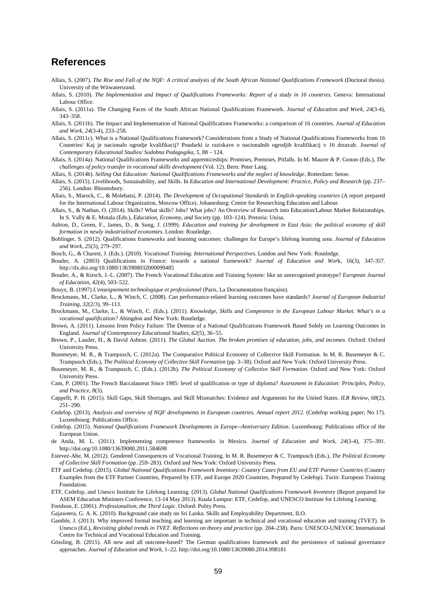## **References**

- Allais, S. (2007). *The Rise and Fall of the NQF: A critical analysis of the South African National Qualifications Framework* (Doctoral thesis). University of the Witwatersrand.
- Allais, S. (2010). *The Implementation and Impact of Qualifications Frameworks: Report of a study in 16 countries.* Geneva: International Labour Office.
- Allais, S. (2011a). The Changing Faces of the South African National Qualifications Framework. *Journal of Education and Work*, *24*(3-4), 343–358.
- Allais, S. (2011b). The Impact and Implementation of National Qualifications Frameworks: a comparison of 16 countries. *Journal of Education and Work*, *24*(3-4), 233–258.
- Allais, S. (2011c). What is a National Qualifications Framework? Considerations from a Study of National Qualifications Frameworks from 16 Countries/ Kaj je nacionalo ogrodje kvalifikacij? Poudarki iz raziskave o nacionalnih ogrodjih kvalifikacij v 16 drzavah. *Journal of Contemporary Educational Studies/ Sodobna Pedagogika*, *5*, 88 – 124.
- Allais, S. (2014a). National Qualifications Frameworks and apprenticeships: Promises, Premises, Pitfalls. In M. Maurer & P. Gonon (Eds.), *The challenges of policy transfer in vocational skills development* (Vol. 12). Bern: Peter Lang.

Allais, S. (2014b). *Selling Out Education: National Qualifications Frameworks and the neglect of knowledge*. Rotterdam: Sense.

- Allais, S. (2015). Livelihoods, Sustainability, and Skills. In *Education and International Development: Practice, Policy and Research* (pp. 237– 256). London: Bloomsbury.
- Allais, S., Marock, C., & Molebatsi, P. (2014). *The Development of Occupational Standards in English-speaking countries* (A report prepared for the International Labour Organization, Moscow Office). Johanesburg: Centre for Researching Education and Labour.
- Allais, S., & Nathan, O. (2014). Skills? What skills? Jobs? What jobs? An Overview of Research into Education/Labour Market Relationships. In S. Vally & E. Motala (Eds.), *Education, Economy, and Society* (pp. 103–124). Pretoria: Unisa.
- Ashton, D., Green, F., James, D., & Sung, J. (1999). *Education and training for development in East Asia: the political economy of skill formation in newly industrialised economies*. London: Routledge.
- Bohlinger, S. (2012). Qualifications frameworks and learning outcomes: challenges for Europe's lifelong learning area. *Journal of Education and Work*, *25*(3), 279–297.

Bosch, G., & Charest, J. (Eds.). (2010). *Vocational Training. International Perspectives.* London and New York: Routledge.

- Bouder, A. (2003) Qualifications in France: towards a national framework? *Journal of Education and Wor*k, 16(3), 347-357. http://dx.doi.org/10.1080/1363908032000099485
- Bouder, A., & Kirsch, J.-L. (2007). The French Vocational Education and Training System: like an unrecognised prototype? *European Journal of Education*, *42*(4), 503–522.

Bouyx, B. (1997) *L'enseignement technologique et professionnel* (Paris, La Documentation française).

- Brockmann, M., Clarke, L., & Winch, C. (2008). Can performance-related learning outcomes have standards? *Journal of European Industrial Training*, *32*(2/3), 99–113.
- Brockmann, M., Clarke, L., & Winch, C. (Eds.). (2011). *Knowledge, Skills and Competence in the European Labour Market. What's in a vocational qualification?* Abingdon and New York: Routledge.
- Brown, A. (2011). Lessons from Policy Failure: The Demise of a National Qualifications Framework Based Solely on Learning Outcomes in England. *Journal of Contemporary Educational Studies*, *62*(5), 36–55.
- Brown, P., Lauder, H., & David Ashton. (2011). *The Global Auction. The broken promises of education, jobs, and incomes*. Oxford: Oxford University Press.
- Busemeyer, M. R., & Trampusch, C. (2012a). The Comparative Political Economy of Collective Skill Formation. In M. R. Busemeyer & C. Trampusch (Eds.), *The Political Economy of Collective Skill Formation* (pp. 3–38). Oxford and New York: Oxford University Press.
- Busemeyer, M. R., & Trampusch, C. (Eds.). (2012b). *The Political Economy of Collective Skill Formation*. Oxford and New York: Oxford University Press.
- Cam, P. (2001). The French Baccalaureat Since 1985: level of qualification or type of diploma? *Assessment in Education: Principles, Policy, and Practice*, *8*(3).
- Cappelli, P. H. (2015). Skill Gaps, Skill Shortages, and Skill Mismatches: Evidence and Arguments for the United States. *ILR Review*, *68*(2), 251–290.
- Cedefop. (2013). *Analysis and overview of NQF developments in European countries. Annual report 2012.* (Cedefop working paper; No 17). Luxembourg: Publications Office.
- Cedefop. (2015). *National Qualifications Framework Developments in Europe--Anniversary Edition*. Luxembourg: Publications office of the European Union.
- de Anda, M. L. (2011). Implementing competence frameworks in Mexico. *Journal of Education and Work*, *24*(3-4), 375–391. http://doi.org/10.1080/13639080.2011.584698
- Estevez-Abe, M. (2012). Gendered Consequences of Vocational Training. In M. R. Busemeyer & C. Trampusch (Eds.), *The Political Economy of Collective Skill Formation* (pp. 259–283). Oxford and New York: Oxford University Press.
- ETF and Cedefop. (2015). *Global National Qualifications Framework Inventory: Country Cases from EU and ETF Partner Countries* (Country Examples from the ETF Partner Countries, Prepared by ETF, and Europe 2020 Countries, Prepared by Cedefop). Turin: European Training Foundation.

ETF, Cedefop, and Unesco Institute for Lifelong Learning. (2013). *Global National Qualifications Framework Inventory* (Report prepared for ASEM Education Ministers Conference, 13-14 May 2013). Kuala Lumpur: ETF, Cedefop, and UNESCO Institute for Lifelong Learning.

Freidson, E. (2001). *Professionalism, the Third Logic*. Oxford: Polity Press.

Gajaweera, G. A. K. (2010). Background case study on Sri Lanka. Skills and Employability Department, ILO.

- Gamble, J. (2013). Why improved formal teaching and learning are important in technical and vocational education and training (TVET). In Unesco (Ed.), *Revisiting global trends in TVET. Reflections on theory and practice* (pp. 204–238). Paris: UNESCO-UNEVOC International Centre for Technical and Vocational Education and Training.
- Gössling, B. (2015). All new and all outcome-based? The German qualifications framework and the persistence of national governance approaches. *Journal of Education and Work*, 1–22. http://doi.org/10.1080/13639080.2014.998181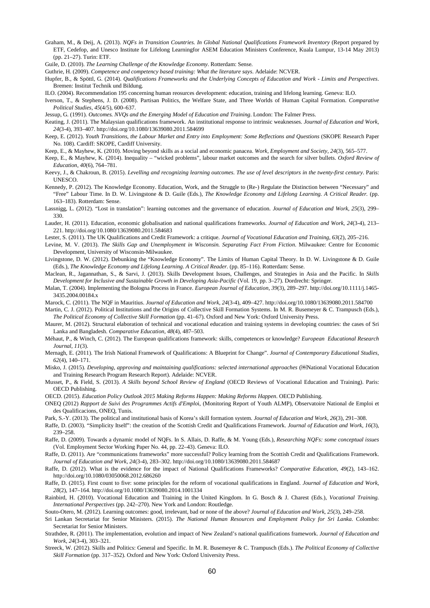Graham, M., & Deij, A. (2013). *NQFs in Transition Countries. In Global National Qualifications Framework Inventory* (Report prepared by ETF, Cedefop, and Unesco Institute for Lifelong Learningfor ASEM Education Ministers Conference, Kuala Lumpur, 13-14 May 2013) (pp. 21–27). Turin: ETF.

Guile, D. (2010). *The Learning Challenge of the Knowledge Economy*. Rotterdam: Sense.

Guthrie, H. (2009). *Competence and competency based training: What the literature says*. Adelaide: NCVER.

- Hupfer, B., & Spöttl, G. (2014). *Qualifications Frameworks and the Underlying Concepts of Education and Work Limits and Perspectives*. Bremen: Institut Technik und Bildung.
- ILO. (2004). Recommendation 195 concerning human reosurces development: education, training and lifelong learning. Geneva: ILO.
- Iverson, T., & Stephens, J. D. (2008). Partisan Politics, the Welfare State, and Three Worlds of Human Capital Formation. *Comparative Political Studies*, *45*(4/5), 600–637.

Jessup, G. (1991). *Outcomes. NVQs and the Emerging Model of Education and Training*. London: The Falmer Press.

- Keating, J. (2011). The Malaysian qualifications framework. An institutional response to intrinsic weaknesses. *Journal of Education and Work*, *24*(3-4), 393–407. http://doi.org/10.1080/13639080.2011.584699
- Keep, E. (2012). *Youth Transitions, the Labour Market and Entry into Employment: Some Reflections and Questions* (SKOPE Research Paper No. 108). Cardiff: SKOPE, Cardiff University.
- Keep, E., & Mayhew, K. (2010). Moving beyond skills as a social and economic panacea. *Work, Employment and Society*, *24*(3), 565–577.
- Keep, E., & Mayhew, K. (2014). Inequality "wicked problems", labour market outcomes and the search for silver bullets. *Oxford Review of Education*, *40*(6), 764–781.
- Keevy, J., & Chakroun, B. (2015). *Levelling and recognizing learning outcomes. The use of level descriptors in the twenty-first century*. Paris: UNESCO.
- Kennedy, P. (2012). The Knowledge Economy. Education, Work, and the Struggle to (Re-) Regulate the Distinction between "Necessary" and "Free" Labour Time. In D. W. Livingstone & D. Guile (Eds.), *The Knowledge Economy and Lifelong Learning. A Critical Reader.* (pp. 163–183). Rotterdam: Sense.
- Lassnigg, L. (2012). "Lost in translation": learning outcomes and the governance of education. *Journal of Education and Work*, *25*(3), 299– 330.
- Lauder, H. (2011). Education, economic globalisation and national qualifications frameworks. *Journal of Education and Work*, *24*(3-4), 213– 221. http://doi.org/10.1080/13639080.2011.584683
- Lester, S. (2011). The UK Qualifications and Credit Framework: a critique. *Journal of Vocational Education and Training*, *63*(2), 205–216.
- Levine, M. V. (2013). *The Skills Gap and Unemployment in Wisconsin. Separating Fact From Fiction*. Milwaukee: Centre for Economic Development, University of Wisconsin-Milwaukee.
- Livingstone, D. W. (2012). Debunking the "Knowledge Economy". The Limits of Human Capital Theory. In D. W. Livingstone & D. Guile (Eds.), *The Knowledge Economy and Lifelong Learning. A Critical Reader.* (pp. 85–116). Rotterdam: Sense.
- Maclean, R., Jagannathan, S., & Sarvi, J. (2013). Skills Development Issues, Challenges, and Strategies in Asia and the Pacific. In *Skills Development for Inclusive and Sustainable Growth in Developing Asia-Pacific* (Vol. 19, pp. 3–27). Dordrecht: Springer.
- Malan, T. (2004). Implementing the Bologna Process in France. *European Journal of Education*, *39*(3), 289–297. http://doi.org/10.1111/j.1465- 3435.2004.00184.x
- Marock, C. (2011). The NQF in Mauritius. *Journal of Education and Work*, *24*(3-4), 409–427. http://doi.org/10.1080/13639080.2011.584700
- Martin, C. J. (2012). Political Institutions and the Origins of Collective Skill Formation Systems. In M. R. Busemeyer & C. Trampusch (Eds.), *The Political Economy of Collective Skill Formation* (pp. 41–67). Oxford and New York: Oxford University Press.
- Maurer, M. (2012). Structural elaboration of technical and vocational education and training systems in developing countries: the cases of Sri Lanka and Bangladesh. *Comparative Education*, *48*(4), 487–503.
- Méhaut, P., & Winch, C. (2012). The European qualifications framework: skills, competences or knowledge? *European Educational Research Journal*, *11*(3).
- Mernagh, E. (2011). The Irish National Framework of Qualifications: A Blueprint for Change". *Journal of Contemporary Educational Studies*, *62*(4), 140–171.
- Misko, J. (2015). *Developing, approving and maintaining qualifications: selected international approaches* (@National Vocational Education and Training Research Program Research Report). Adelaide: NCVER.
- Musset, P., & Field, S. (2013). *A Skills beyond School Review of England* (OECD Reviews of Vocational Education and Training). Paris: OECD Publishing.
- OECD. (2015). *Education Policy Outlook 2015 Making Reforms Happen: Making Reforms Happen*. OECD Publishing.
- ONEQ (2012) *Rapport de Suivi des Programmes Actifs d'Emplo*i, (Monitoring Report of Youth ALMP), Observatoire National de Emploi et des Qualificacions, ONEQ, Tunis.
- Park, S.-Y. (2013). The political and institutional basis of Korea's skill formation system. *Journal of Education and Work*, *26*(3), 291–308.
- Raffe, D. (2003). "Simplicity Itself": the creation of the Scottish Credit and Qualifications Framework. *Journal of Education and Work*, *16*(3), 239–258.
- Raffe, D. (2009). Towards a dynamic model of NQFs. In S. Allais, D. Raffe, & M. Young (Eds.), *Researching NQFs: some conceptual issues* (Vol. Employment Sector Working Paper No. 44, pp. 22–43). Geneva: ILO.
- Raffe, D. (2011). Are "communications frameworks" more successful? Policy learning from the Scottish Credit and Qualifications Framework. *Journal of Education and Work*, *24*(3-4), 283–302. http://doi.org/10.1080/13639080.2011.584687
- Raffe, D. (2012). What is the evidence for the impact of National Qualifications Frameworks? *Comparative Education*, *49*(2), 143–162. http://doi.org/10.1080/03050068.2012.686260
- Raffe, D. (2015). First count to five: some principles for the reform of vocational qualifications in England. *Journal of Education and Work*, *28*(2), 147–164. http://doi.org/10.1080/13639080.2014.1001334
- Rainbird, H. (2010). Vocational Education and Training in the United Kingdom. In G. Bosch & J. Charest (Eds.), *Vocational Training. International Perspectives* (pp. 242–270). New York and London: Routledge.

Souto-Otero, M. (2012). Learning outcomes: good, irrelevant, bad or none of the above? *Journal of Education and Work*, *25*(3), 249–258.

- Sri Lankan Secretariat for Senior Ministers. (2015). *The National Human Resources and Employment Policy for Sri Lanka*. Colombo: Secretariat for Senior Ministers.
- Strathdee, R. (2011). The implementation, evolution and impact of New Zealand's national qualifications framework. *Journal of Education and Work*, *24*(3-4), 303–321.
- Streeck, W. (2012). Skills and Politics: General and Specific. In M. R. Busemeyer & C. Trampusch (Eds.). *The Political Economy of Collective Skill Formation* (pp. 317–352). Oxford and New York: Oxford University Press.